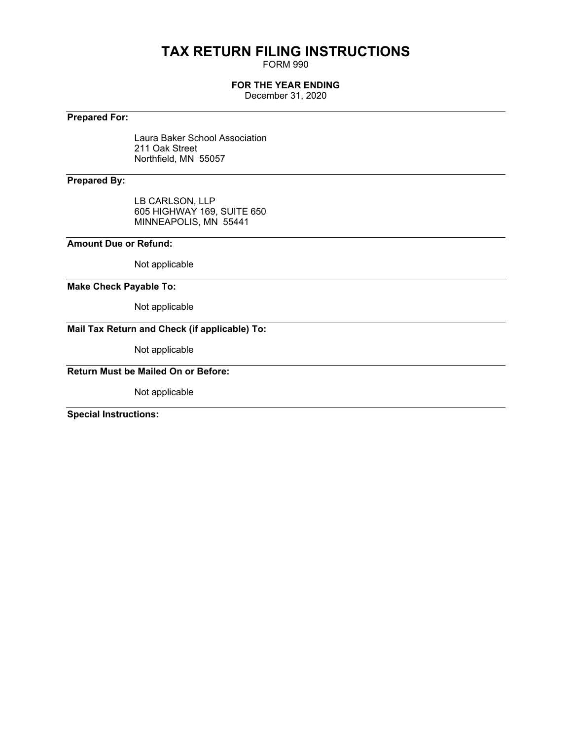## **TAX RETURN FILING INSTRUCTIONS**

FORM 990

### **FOR THE YEAR ENDING**

December 31, 2020

### **Prepared For:**

Laura Baker School Association 211 Oak Street Northfield, MN 55057

### **Prepared By:**

LB CARLSON, LLP 605 HIGHWAY 169, SUITE 650 MINNEAPOLIS, MN 55441

### **Amount Due or Refund:**

Not applicable

### **Make Check Payable To:**

Not applicable

### **Mail Tax Return and Check (if applicable) To:**

Not applicable

### **Return Must be Mailed On or Before:**

Not applicable

**Special Instructions:**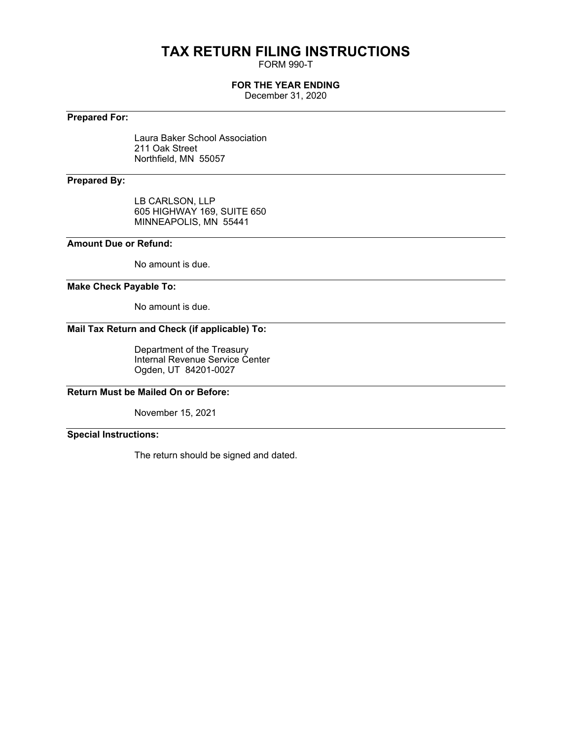## **TAX RETURN FILING INSTRUCTIONS**

FORM 990-T

### **FOR THE YEAR ENDING**

December 31, 2020

### **Prepared For:**

Laura Baker School Association 211 Oak Street Northfield, MN 55057

### **Prepared By:**

LB CARLSON, LLP 605 HIGHWAY 169, SUITE 650 MINNEAPOLIS, MN 55441

### **Amount Due or Refund:**

No amount is due.

### **Make Check Payable To:**

No amount is due.

### **Mail Tax Return and Check (if applicable) To:**

Department of the Treasury Internal Revenue Service Center Ogden, UT 84201-0027

**Return Must be Mailed On or Before:**

November 15, 2021

### **Special Instructions:**

The return should be signed and dated.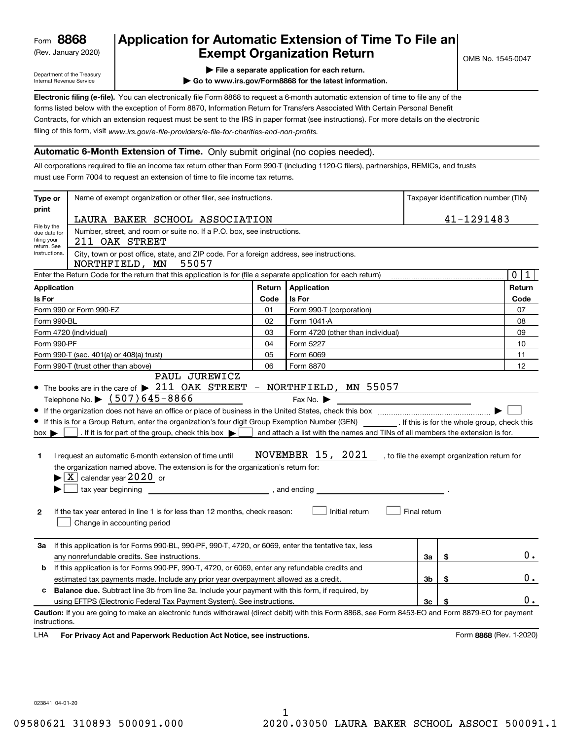(Rev. January 2020)

### **Application for Automatic Extension of Time To File an Exempt Organization Return**

Department of the Treasury Internal Revenue Service

- **| File a separate application for each return.**
- **| Go to www.irs.gov/Form8868 for the latest information.**

**Electronic filing (e-file).**  You can electronically file Form 8868 to request a 6-month automatic extension of time to file any of the filing of this form, visit www.irs.gov/e-file-providers/e-file-for-charities-and-non-profits. forms listed below with the exception of Form 8870, Information Return for Transfers Associated With Certain Personal Benefit Contracts, for which an extension request must be sent to the IRS in paper format (see instructions). For more details on the electronic

#### **Automatic 6-Month Extension of Time.** Only submit original (no copies needed).

All corporations required to file an income tax return other than Form 990-T (including 1120-C filers), partnerships, REMICs, and trusts must use Form 7004 to request an extension of time to file income tax returns.

| print<br>41-1291483<br>LAURA BAKER SCHOOL ASSOCIATION<br>File by the<br>Number, street, and room or suite no. If a P.O. box, see instructions.<br>due date for<br>filing your<br>211 OAK STREET<br>return. See<br>City, town or post office, state, and ZIP code. For a foreign address, see instructions.<br>instructions.<br>55057<br>NORTHFIELD, MN<br>Enter the Return Code for the return that this application is for (file a separate application for each return)<br>Application<br><b>Application</b><br>Return<br>Is For<br>Is For<br>Code<br>Form 990 or Form 990-EZ<br>Form 990-T (corporation)<br>01<br>02<br>Form 1041-A<br>Form 990-BL<br>Form 4720 (individual)<br>03<br>Form 4720 (other than individual)<br>Form 990-PF<br>04<br>Form 5227<br>Form 990-T (sec. 401(a) or 408(a) trust)<br>05<br>Form 6069<br>Form 990-T (trust other than above)<br>06<br>Form 8870<br>PAUL JUREWICZ<br>• The books are in the care of > 211 OAK STREET - NORTHFIELD, MN 55057<br>Telephone No. > (507)645-8866<br>Fax No. $\blacktriangleright$<br><u> 1989 - Andrea Albert III, politik a postala pre</u><br>• If this is for a Group Return, enter the organization's four digit Group Exemption Number (GEN) _________. If this is for the whole group, check this<br>and attach a list with the names and TINs of all members the extension is for.<br>. If it is for part of the group, check this box $\blacktriangleright$<br>$box \blacktriangleright$<br>NOVEMBER 15, 2021<br>I request an automatic 6-month extension of time until<br>, to file the exempt organization return for<br>1<br>the organization named above. The extension is for the organization's return for:<br>$\blacktriangleright$ $\boxed{\text{X}}$ calendar year $2020$ or<br>$\frac{1}{2}$ , and ending<br>Initial return<br>Final return<br>If the tax year entered in line 1 is for less than 12 months, check reason:<br>$\mathbf{2}$<br>Change in accounting period<br>If this application is for Forms 990-BL, 990-PF, 990-T, 4720, or 6069, enter the tentative tax, less<br>За<br>\$<br>any nonrefundable credits. See instructions.<br>За<br>If this application is for Forms 990-PF, 990-T, 4720, or 6069, enter any refundable credits and<br>b<br>Зb<br>\$<br>estimated tax payments made. Include any prior year overpayment allowed as a credit.<br><b>Balance due.</b> Subtract line 3b from line 3a. Include your payment with this form, if required, by<br>c<br>using EFTPS (Electronic Federal Tax Payment System). See instructions.<br>Зc<br>\$ | Taxpayer identification number (TIN) |
|----------------------------------------------------------------------------------------------------------------------------------------------------------------------------------------------------------------------------------------------------------------------------------------------------------------------------------------------------------------------------------------------------------------------------------------------------------------------------------------------------------------------------------------------------------------------------------------------------------------------------------------------------------------------------------------------------------------------------------------------------------------------------------------------------------------------------------------------------------------------------------------------------------------------------------------------------------------------------------------------------------------------------------------------------------------------------------------------------------------------------------------------------------------------------------------------------------------------------------------------------------------------------------------------------------------------------------------------------------------------------------------------------------------------------------------------------------------------------------------------------------------------------------------------------------------------------------------------------------------------------------------------------------------------------------------------------------------------------------------------------------------------------------------------------------------------------------------------------------------------------------------------------------------------------------------------------------------------------------------------------------------------------------------------------------------------------------------------------------------------------------------------------------------------------------------------------------------------------------------------------------------------------------------------------------------------------------------------------------------------------------------------------------------------------------------------------------------------------------------------------------------------------------------------------------|--------------------------------------|
|                                                                                                                                                                                                                                                                                                                                                                                                                                                                                                                                                                                                                                                                                                                                                                                                                                                                                                                                                                                                                                                                                                                                                                                                                                                                                                                                                                                                                                                                                                                                                                                                                                                                                                                                                                                                                                                                                                                                                                                                                                                                                                                                                                                                                                                                                                                                                                                                                                                                                                                                                          |                                      |
|                                                                                                                                                                                                                                                                                                                                                                                                                                                                                                                                                                                                                                                                                                                                                                                                                                                                                                                                                                                                                                                                                                                                                                                                                                                                                                                                                                                                                                                                                                                                                                                                                                                                                                                                                                                                                                                                                                                                                                                                                                                                                                                                                                                                                                                                                                                                                                                                                                                                                                                                                          |                                      |
|                                                                                                                                                                                                                                                                                                                                                                                                                                                                                                                                                                                                                                                                                                                                                                                                                                                                                                                                                                                                                                                                                                                                                                                                                                                                                                                                                                                                                                                                                                                                                                                                                                                                                                                                                                                                                                                                                                                                                                                                                                                                                                                                                                                                                                                                                                                                                                                                                                                                                                                                                          |                                      |
|                                                                                                                                                                                                                                                                                                                                                                                                                                                                                                                                                                                                                                                                                                                                                                                                                                                                                                                                                                                                                                                                                                                                                                                                                                                                                                                                                                                                                                                                                                                                                                                                                                                                                                                                                                                                                                                                                                                                                                                                                                                                                                                                                                                                                                                                                                                                                                                                                                                                                                                                                          | $\overline{0}$<br>$\mathbf{1}$       |
|                                                                                                                                                                                                                                                                                                                                                                                                                                                                                                                                                                                                                                                                                                                                                                                                                                                                                                                                                                                                                                                                                                                                                                                                                                                                                                                                                                                                                                                                                                                                                                                                                                                                                                                                                                                                                                                                                                                                                                                                                                                                                                                                                                                                                                                                                                                                                                                                                                                                                                                                                          | Return                               |
|                                                                                                                                                                                                                                                                                                                                                                                                                                                                                                                                                                                                                                                                                                                                                                                                                                                                                                                                                                                                                                                                                                                                                                                                                                                                                                                                                                                                                                                                                                                                                                                                                                                                                                                                                                                                                                                                                                                                                                                                                                                                                                                                                                                                                                                                                                                                                                                                                                                                                                                                                          | Code                                 |
|                                                                                                                                                                                                                                                                                                                                                                                                                                                                                                                                                                                                                                                                                                                                                                                                                                                                                                                                                                                                                                                                                                                                                                                                                                                                                                                                                                                                                                                                                                                                                                                                                                                                                                                                                                                                                                                                                                                                                                                                                                                                                                                                                                                                                                                                                                                                                                                                                                                                                                                                                          | 07                                   |
|                                                                                                                                                                                                                                                                                                                                                                                                                                                                                                                                                                                                                                                                                                                                                                                                                                                                                                                                                                                                                                                                                                                                                                                                                                                                                                                                                                                                                                                                                                                                                                                                                                                                                                                                                                                                                                                                                                                                                                                                                                                                                                                                                                                                                                                                                                                                                                                                                                                                                                                                                          | 08                                   |
|                                                                                                                                                                                                                                                                                                                                                                                                                                                                                                                                                                                                                                                                                                                                                                                                                                                                                                                                                                                                                                                                                                                                                                                                                                                                                                                                                                                                                                                                                                                                                                                                                                                                                                                                                                                                                                                                                                                                                                                                                                                                                                                                                                                                                                                                                                                                                                                                                                                                                                                                                          | 09                                   |
|                                                                                                                                                                                                                                                                                                                                                                                                                                                                                                                                                                                                                                                                                                                                                                                                                                                                                                                                                                                                                                                                                                                                                                                                                                                                                                                                                                                                                                                                                                                                                                                                                                                                                                                                                                                                                                                                                                                                                                                                                                                                                                                                                                                                                                                                                                                                                                                                                                                                                                                                                          | 10                                   |
|                                                                                                                                                                                                                                                                                                                                                                                                                                                                                                                                                                                                                                                                                                                                                                                                                                                                                                                                                                                                                                                                                                                                                                                                                                                                                                                                                                                                                                                                                                                                                                                                                                                                                                                                                                                                                                                                                                                                                                                                                                                                                                                                                                                                                                                                                                                                                                                                                                                                                                                                                          | 11                                   |
|                                                                                                                                                                                                                                                                                                                                                                                                                                                                                                                                                                                                                                                                                                                                                                                                                                                                                                                                                                                                                                                                                                                                                                                                                                                                                                                                                                                                                                                                                                                                                                                                                                                                                                                                                                                                                                                                                                                                                                                                                                                                                                                                                                                                                                                                                                                                                                                                                                                                                                                                                          | 12                                   |
|                                                                                                                                                                                                                                                                                                                                                                                                                                                                                                                                                                                                                                                                                                                                                                                                                                                                                                                                                                                                                                                                                                                                                                                                                                                                                                                                                                                                                                                                                                                                                                                                                                                                                                                                                                                                                                                                                                                                                                                                                                                                                                                                                                                                                                                                                                                                                                                                                                                                                                                                                          |                                      |
|                                                                                                                                                                                                                                                                                                                                                                                                                                                                                                                                                                                                                                                                                                                                                                                                                                                                                                                                                                                                                                                                                                                                                                                                                                                                                                                                                                                                                                                                                                                                                                                                                                                                                                                                                                                                                                                                                                                                                                                                                                                                                                                                                                                                                                                                                                                                                                                                                                                                                                                                                          | 0.                                   |
|                                                                                                                                                                                                                                                                                                                                                                                                                                                                                                                                                                                                                                                                                                                                                                                                                                                                                                                                                                                                                                                                                                                                                                                                                                                                                                                                                                                                                                                                                                                                                                                                                                                                                                                                                                                                                                                                                                                                                                                                                                                                                                                                                                                                                                                                                                                                                                                                                                                                                                                                                          |                                      |
|                                                                                                                                                                                                                                                                                                                                                                                                                                                                                                                                                                                                                                                                                                                                                                                                                                                                                                                                                                                                                                                                                                                                                                                                                                                                                                                                                                                                                                                                                                                                                                                                                                                                                                                                                                                                                                                                                                                                                                                                                                                                                                                                                                                                                                                                                                                                                                                                                                                                                                                                                          | 0.                                   |
|                                                                                                                                                                                                                                                                                                                                                                                                                                                                                                                                                                                                                                                                                                                                                                                                                                                                                                                                                                                                                                                                                                                                                                                                                                                                                                                                                                                                                                                                                                                                                                                                                                                                                                                                                                                                                                                                                                                                                                                                                                                                                                                                                                                                                                                                                                                                                                                                                                                                                                                                                          |                                      |
|                                                                                                                                                                                                                                                                                                                                                                                                                                                                                                                                                                                                                                                                                                                                                                                                                                                                                                                                                                                                                                                                                                                                                                                                                                                                                                                                                                                                                                                                                                                                                                                                                                                                                                                                                                                                                                                                                                                                                                                                                                                                                                                                                                                                                                                                                                                                                                                                                                                                                                                                                          | 0.                                   |
| Caution: If you are going to make an electronic funds withdrawal (direct debit) with this Form 8868, see Form 8453-EO and Form 8879-EO for payment<br>instructions.<br>For Privacy Act and Paperwork Reduction Act Notice, see instructions.<br>Form 8868 (Rev. 1-2020)<br>LHA                                                                                                                                                                                                                                                                                                                                                                                                                                                                                                                                                                                                                                                                                                                                                                                                                                                                                                                                                                                                                                                                                                                                                                                                                                                                                                                                                                                                                                                                                                                                                                                                                                                                                                                                                                                                                                                                                                                                                                                                                                                                                                                                                                                                                                                                           |                                      |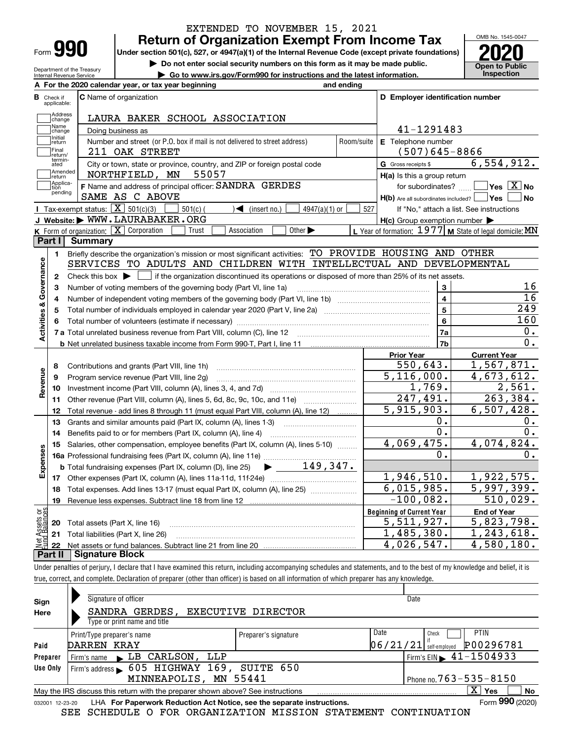| Form |  |
|------|--|

Department of the Treasury Internal Revenue Service

### **Return of Organization Exempt From Income Tax** EXTENDED TO NOVEMBER 15, 2021

**Under section 501(c), 527, or 4947(a)(1) of the Internal Revenue Code (except private foundations) 2020**

**| Do not enter social security numbers on this form as it may be made public.**

**| Go to www.irs.gov/Form990 for instructions and the latest information. Inspection**

OMB No. 1545-0047 **Open to Public** 

|                         |                             | A For the 2020 calendar year, or tax year beginning                                                                                                          | and ending |                                                         |                                                         |
|-------------------------|-----------------------------|--------------------------------------------------------------------------------------------------------------------------------------------------------------|------------|---------------------------------------------------------|---------------------------------------------------------|
| в                       | Check if<br>applicable:     | <b>C</b> Name of organization                                                                                                                                |            | D Employer identification number                        |                                                         |
|                         | Address<br>change           | LAURA BAKER SCHOOL ASSOCIATION                                                                                                                               |            |                                                         |                                                         |
|                         | Name<br>change              | Doing business as                                                                                                                                            |            | 41-1291483                                              |                                                         |
|                         | Initial<br>return           | Number and street (or P.O. box if mail is not delivered to street address)                                                                                   | Room/suite | E Telephone number                                      |                                                         |
|                         | Final<br>return/            | 211 OAK STREET                                                                                                                                               |            | $(507)645 - 8866$                                       |                                                         |
|                         | termin-<br>ated             | City or town, state or province, country, and ZIP or foreign postal code                                                                                     |            | G Gross receipts \$                                     | 6, 554, 912.                                            |
|                         | Amended<br>return           | NORTHFIELD, MN<br>55057                                                                                                                                      |            | $H(a)$ is this a group return                           |                                                         |
|                         | Applica-<br>tion<br>pending | F Name and address of principal officer: SANDRA GERDES<br>SAME AS C ABOVE                                                                                    |            | $H(b)$ Are all subordinates included? $\Box$ Yes $\Box$ | for subordinates? $\Box$ Yes $\boxed{X}$ No<br>  No     |
|                         |                             | Tax-exempt status: $\boxed{\mathbf{X}}$ 501(c)(3)<br>$\sqrt{\bullet}$ (insert no.)<br>$501(c)$ (<br>$4947(a)(1)$ or                                          | 527        |                                                         | If "No," attach a list. See instructions                |
|                         |                             | J Website: WWW.LAURABAKER.ORG                                                                                                                                |            | $H(c)$ Group exemption number $\blacktriangleright$     |                                                         |
|                         |                             | K Form of organization: X Corporation<br>Association<br>Other $\blacktriangleright$<br>Trust                                                                 |            |                                                         | L Year of formation: 1977 M State of legal domicile: MN |
|                         | Part I I                    | Summary                                                                                                                                                      |            |                                                         |                                                         |
|                         | 1.                          | Briefly describe the organization's mission or most significant activities: TO PROVIDE HOUSING AND OTHER                                                     |            |                                                         |                                                         |
|                         |                             | SERVICES TO ADULTS AND CHILDREN WITH INTELLECTUAL AND DEVELOPMENTAL                                                                                          |            |                                                         |                                                         |
| Activities & Governance | $\mathbf{2}$                | Check this box $\blacktriangleright$ $\Box$ if the organization discontinued its operations or disposed of more than 25% of its net assets.                  |            |                                                         |                                                         |
|                         | 3                           | Number of voting members of the governing body (Part VI, line 1a)                                                                                            |            | 3                                                       | 16                                                      |
|                         | 4                           |                                                                                                                                                              |            | $\overline{\mathbf{4}}$                                 | $\overline{16}$                                         |
|                         | 5                           |                                                                                                                                                              |            | $\overline{5}$                                          | 249                                                     |
|                         | 6                           |                                                                                                                                                              |            | 6                                                       | 160                                                     |
|                         |                             |                                                                                                                                                              |            | 7a                                                      | 0.                                                      |
|                         |                             |                                                                                                                                                              |            | 7b                                                      | 0.                                                      |
|                         |                             |                                                                                                                                                              |            | <b>Prior Year</b>                                       | <b>Current Year</b>                                     |
|                         | 8                           | Contributions and grants (Part VIII, line 1h)                                                                                                                |            | 550,643.<br>$\overline{5,116}$ , 000.                   | 1,567,871.<br>4,673,612.                                |
| Revenue                 | 9                           | Program service revenue (Part VIII, line 2g)                                                                                                                 |            | 1,769.                                                  | 2,561.                                                  |
|                         | 10                          |                                                                                                                                                              |            | 247,491.                                                | 263,384.                                                |
|                         |                             | 11 Other revenue (Part VIII, column (A), lines 5, 6d, 8c, 9c, 10c, and 11e)                                                                                  |            | 5,915,903.                                              | 6,507,428.                                              |
|                         | 12<br>13                    | Total revenue - add lines 8 through 11 (must equal Part VIII, column (A), line 12)                                                                           |            | ο.                                                      | 0.                                                      |
|                         | 14                          | Grants and similar amounts paid (Part IX, column (A), lines 1-3) <i>manumanonononononon</i><br>Benefits paid to or for members (Part IX, column (A), line 4) |            | $\overline{0}$ .                                        | 0.                                                      |
|                         | 15                          | Salaries, other compensation, employee benefits (Part IX, column (A), lines 5-10)                                                                            |            | 4,069,475.                                              | 4,074,824.                                              |
| Expenses                |                             |                                                                                                                                                              |            | 0.                                                      | $0$ .                                                   |
|                         |                             | $\blacktriangleright$ $\frac{149,347.}{ }$<br><b>b</b> Total fundraising expenses (Part IX, column (D), line 25)                                             |            |                                                         |                                                         |
|                         |                             |                                                                                                                                                              |            | 1,946,510.                                              | 1,922,575.                                              |
|                         | 18                          | Total expenses. Add lines 13-17 (must equal Part IX, column (A), line 25)                                                                                    |            | 6,015,985.                                              | 5,997,399.                                              |
|                         | 19                          |                                                                                                                                                              |            | $-100,082.$                                             | 510,029.                                                |
| بۆچ                     |                             |                                                                                                                                                              |            | <b>Beginning of Current Year</b>                        | <b>End of Year</b>                                      |
| ssets<br>Paris          |                             | <b>20</b> Total assets (Part X, line 16)                                                                                                                     |            | $\overline{5}$ , 511, 927.                              | 5,823,798.                                              |
|                         |                             | 21 Total liabilities (Part X, line 26)                                                                                                                       |            | 1,485,380.                                              | 1,243,618.                                              |
|                         | 22                          | Net assets or fund balances. Subtract line 21 from line 20 manual contents of the line                                                                       |            | 4,026,547.                                              | 4,580,180.                                              |
|                         |                             | <b>Part II   Signature Block</b>                                                                                                                             |            |                                                         |                                                         |

Under penalties of perjury, I declare that I have examined this return, including accompanying schedules and statements, and to the best of my knowledge and belief, it is true, correct, and complete. Declaration of preparer (other than officer) is based on all information of which preparer has any knowledge.

| Sign            | Signature of officer                                                            |                      | Date     |                                            |
|-----------------|---------------------------------------------------------------------------------|----------------------|----------|--------------------------------------------|
| Here            | SANDRA GERDES,                                                                  | EXECUTIVE DIRECTOR   |          |                                            |
|                 | Type or print name and title                                                    |                      |          |                                            |
|                 | Print/Type preparer's name                                                      | Preparer's signature | Date     | <b>PTIN</b><br>Check                       |
| Paid            | DARREN KRAY                                                                     |                      | 06/21/21 | P00296781<br>self-emploved                 |
| Preparer        | Firm's name LB CARLSON, LLP                                                     |                      |          | $1$ Firm's EIN $\triangleright$ 41-1504933 |
| Use Only        | Firm's address 605 HIGHWAY 169, SUITE 650                                       |                      |          |                                            |
|                 | MINNEAPOLIS, MN 55441                                                           |                      |          | Phone no. $763 - 535 - 8150$               |
|                 | May the IRS discuss this return with the preparer shown above? See instructions |                      |          | $X \vert Y$ es<br>No                       |
| 032001 12-23-20 | LHA For Paperwork Reduction Act Notice, see the separate instructions.          |                      |          | Form 990 (2020)                            |

SEE SCHEDULE O FOR ORGANIZATION MISSION STATEMENT CONTINUATION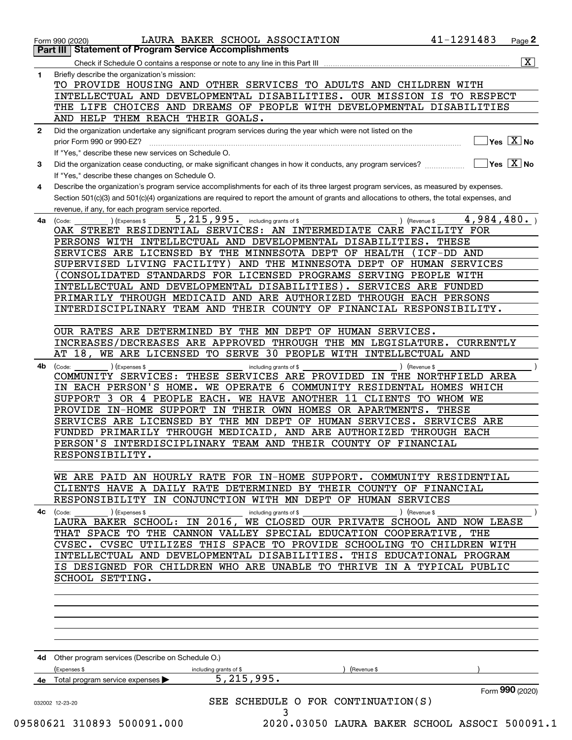|              | LAURA BAKER SCHOOL ASSOCIATION<br>Form 990 (2020)<br><b>Part III Statement of Program Service Accomplishments</b>                            | 41-1291483                  | Page 2                                                         |
|--------------|----------------------------------------------------------------------------------------------------------------------------------------------|-----------------------------|----------------------------------------------------------------|
|              |                                                                                                                                              |                             | $\overline{\mathtt{x}}$                                        |
| $\mathbf{1}$ | Check if Schedule O contains a response or note to any line in this Part III<br>Briefly describe the organization's mission:                 |                             |                                                                |
|              | TO PROVIDE HOUSING AND OTHER SERVICES TO ADULTS AND CHILDREN WITH                                                                            |                             |                                                                |
|              | INTELLECTUAL AND DEVELOPMENTAL DISABILITIES. OUR MISSION IS TO RESPECT                                                                       |                             |                                                                |
|              | THE LIFE CHOICES AND DREAMS OF PEOPLE WITH DEVELOPMENTAL DISABILITIES                                                                        |                             |                                                                |
|              | AND HELP THEM REACH THEIR GOALS.                                                                                                             |                             |                                                                |
|              |                                                                                                                                              |                             |                                                                |
| $\mathbf{2}$ | Did the organization undertake any significant program services during the year which were not listed on the                                 |                             |                                                                |
|              | prior Form 990 or 990-EZ?                                                                                                                    |                             | $\overline{\mathsf{Yes}\mathrel{\hspace{0.05cm}\mathbf{X}}$ No |
|              | If "Yes," describe these new services on Schedule O.                                                                                         |                             |                                                                |
| 3            | Did the organization cease conducting, or make significant changes in how it conducts, any program services?                                 |                             | $\overline{\ }$ Yes $\overline{\phantom{a}X}$ No               |
|              | If "Yes," describe these changes on Schedule O.                                                                                              |                             |                                                                |
| 4            | Describe the organization's program service accomplishments for each of its three largest program services, as measured by expenses.         |                             |                                                                |
|              | Section 501(c)(3) and 501(c)(4) organizations are required to report the amount of grants and allocations to others, the total expenses, and |                             |                                                                |
|              | revenue, if any, for each program service reported.                                                                                          |                             |                                                                |
| 4a           | 5, 215, 995. including grants of \$<br>(Expenses \$<br>(Code:                                                                                | 4,984,480.<br>) (Revenue \$ |                                                                |
|              | OAK STREET RESIDENTIAL SERVICES: AN INTERMEDIATE CARE FACILITY FOR                                                                           |                             |                                                                |
|              | PERSONS WITH INTELLECTUAL AND DEVELOPMENTAL DISABILITIES.                                                                                    | THESE                       |                                                                |
|              | SERVICES ARE LICENSED BY THE MINNESOTA DEPT OF HEALTH                                                                                        | (ICF-DD AND                 |                                                                |
|              | SUPERVISED LIVING FACILITY) AND THE MINNESOTA DEPT OF HUMAN SERVICES                                                                         |                             |                                                                |
|              | CONSOLIDATED STANDARDS FOR LICENSED PROGRAMS SERVING PEOPLE WITH                                                                             |                             |                                                                |
|              | INTELLECTUAL AND DEVELOPMENTAL DISABILITIES). SERVICES ARE FUNDED                                                                            |                             |                                                                |
|              | PRIMARILY THROUGH MEDICAID AND ARE AUTHORIZED THROUGH EACH PERSONS                                                                           |                             |                                                                |
|              | INTERDISCIPLINARY TEAM AND THEIR COUNTY OF FINANCIAL RESPONSIBILITY.                                                                         |                             |                                                                |
|              |                                                                                                                                              |                             |                                                                |
|              | OUR RATES ARE DETERMINED BY THE MN DEPT OF HUMAN SERVICES.                                                                                   |                             |                                                                |
|              | INCREASES/DECREASES ARE APPROVED THROUGH THE MN LEGISLATURE. CURRENTLY                                                                       |                             |                                                                |
|              | AT 18, WE ARE LICENSED TO SERVE 30 PEOPLE WITH INTELLECTUAL AND                                                                              |                             |                                                                |
| 4b           | ) (Expenses \$<br>(Code:<br>including grants of \$                                                                                           | ) (Revenue \$               |                                                                |
|              | COMMUNITY SERVICES: THESE SERVICES ARE PROVIDED IN THE NORTHFIELD AREA                                                                       |                             |                                                                |
|              | IN EACH PERSON'S HOME. WE OPERATE 6 COMMUNITY RESIDENTAL HOMES WHICH                                                                         |                             |                                                                |
|              | SUPPORT 3 OR 4 PEOPLE EACH. WE HAVE ANOTHER 11 CLIENTS TO WHOM WE                                                                            |                             |                                                                |
|              | PROVIDE IN-HOME SUPPORT IN THEIR OWN HOMES OR APARTMENTS.                                                                                    | THESE                       |                                                                |
|              | SERVICES ARE LICENSED BY THE MN DEPT OF HUMAN SERVICES. SERVICES ARE                                                                         |                             |                                                                |
|              | FUNDED PRIMARILY THROUGH MEDICAID, AND ARE AUTHORIZED THROUGH EACH                                                                           |                             |                                                                |
|              | PERSON'S INTERDISCIPLINARY TEAM AND THEIR COUNTY OF FINANCIAL                                                                                |                             |                                                                |
|              | RESPONSIBILITY.                                                                                                                              |                             |                                                                |
|              |                                                                                                                                              |                             |                                                                |
|              | WE ARE PAID AN HOURLY RATE FOR IN-HOME SUPPORT. COMMUNITY RESIDENTIAL                                                                        |                             |                                                                |
|              | CLIENTS HAVE A DAILY RATE DETERMINED BY THEIR COUNTY OF FINANCIAL                                                                            |                             |                                                                |
|              | RESPONSIBILITY IN CONJUNCTION WITH MN DEPT OF HUMAN SERVICES                                                                                 |                             |                                                                |
| 4с           | ) (Expenses \$<br>(Code:<br>including grants of \$                                                                                           | ) (Revenue \$               |                                                                |
|              | LAURA BAKER SCHOOL: IN 2016, WE CLOSED OUR PRIVATE SCHOOL AND NOW LEASE                                                                      |                             |                                                                |
|              | THAT SPACE TO THE CANNON VALLEY SPECIAL EDUCATION COOPERATIVE,                                                                               | THE                         |                                                                |
|              | CVSEC. CVSEC UTILIZES THIS SPACE TO PROVIDE SCHOOLING TO CHILDREN WITH                                                                       |                             |                                                                |
|              | INTELLECTUAL AND DEVELOPMENTAL DISABILITIES.                                                                                                 | THIS EDUCATIONAL PROGRAM    |                                                                |
|              | IS DESIGNED FOR CHILDREN WHO ARE UNABLE TO THRIVE IN A TYPICAL PUBLIC                                                                        |                             |                                                                |
|              | SCHOOL SETTING.                                                                                                                              |                             |                                                                |
|              |                                                                                                                                              |                             |                                                                |
|              |                                                                                                                                              |                             |                                                                |
|              |                                                                                                                                              |                             |                                                                |
|              |                                                                                                                                              |                             |                                                                |
|              |                                                                                                                                              |                             |                                                                |
|              |                                                                                                                                              |                             |                                                                |
| 4d           | Other program services (Describe on Schedule O.)                                                                                             |                             |                                                                |
|              | Expenses \$<br>including grants of \$<br>(Revenue \$                                                                                         |                             |                                                                |
| 4e           | $\overline{5,215,995.}$<br>Total program service expenses                                                                                    |                             |                                                                |
|              |                                                                                                                                              |                             | Form 990 (2020)                                                |
|              |                                                                                                                                              |                             |                                                                |
|              | SEE SCHEDULE O FOR CONTINUATION(S)<br>032002 12-23-20<br>3                                                                                   |                             |                                                                |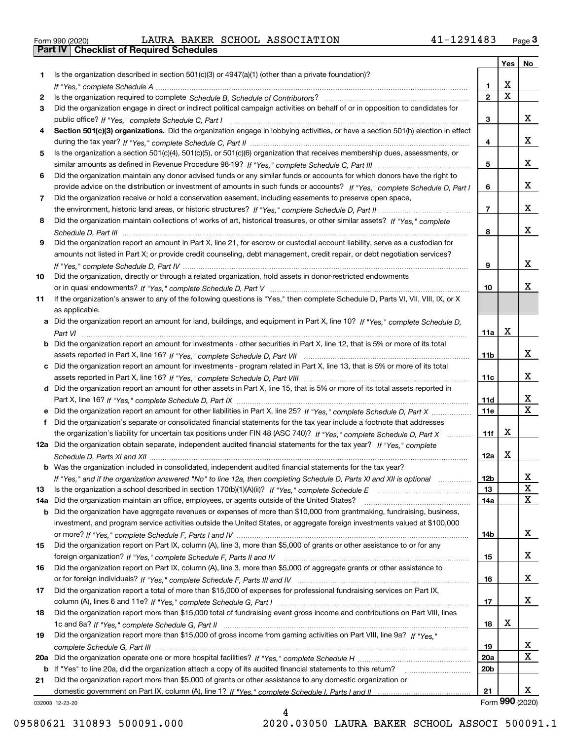|  | Form 990 (2020) |  |
|--|-----------------|--|

Form 990 (2020) LAURA BAKER SCHOOL ASSOCIATION 41-1291483 <sub>Page</sub> 3<br>**Part IV | Checklist of Required Schedules** 

|     |                                                                                                                                       |                 | Yes         | No              |
|-----|---------------------------------------------------------------------------------------------------------------------------------------|-----------------|-------------|-----------------|
| 1.  | Is the organization described in section $501(c)(3)$ or $4947(a)(1)$ (other than a private foundation)?                               |                 |             |                 |
|     |                                                                                                                                       | 1.              | X           |                 |
| 2   |                                                                                                                                       | $\overline{2}$  | $\mathbf X$ |                 |
| 3   | Did the organization engage in direct or indirect political campaign activities on behalf of or in opposition to candidates for       |                 |             |                 |
|     |                                                                                                                                       | 3               |             | x               |
| 4   | Section 501(c)(3) organizations. Did the organization engage in lobbying activities, or have a section 501(h) election in effect      | 4               |             | x               |
| 5   | Is the organization a section 501(c)(4), 501(c)(5), or 501(c)(6) organization that receives membership dues, assessments, or          |                 |             |                 |
|     |                                                                                                                                       | 5               |             | x               |
| 6   | Did the organization maintain any donor advised funds or any similar funds or accounts for which donors have the right to             |                 |             |                 |
|     | provide advice on the distribution or investment of amounts in such funds or accounts? If "Yes," complete Schedule D, Part I          | 6               |             | x               |
| 7   | Did the organization receive or hold a conservation easement, including easements to preserve open space,                             |                 |             |                 |
|     |                                                                                                                                       | $\overline{7}$  |             | x               |
| 8   | Did the organization maintain collections of works of art, historical treasures, or other similar assets? If "Yes," complete          |                 |             |                 |
|     |                                                                                                                                       | 8               |             | x               |
| 9   | Did the organization report an amount in Part X, line 21, for escrow or custodial account liability, serve as a custodian for         |                 |             |                 |
|     | amounts not listed in Part X; or provide credit counseling, debt management, credit repair, or debt negotiation services?             |                 |             |                 |
|     |                                                                                                                                       | 9               |             | x               |
| 10  | Did the organization, directly or through a related organization, hold assets in donor-restricted endowments                          |                 |             |                 |
|     |                                                                                                                                       | 10              |             | x               |
| 11  | If the organization's answer to any of the following questions is "Yes," then complete Schedule D, Parts VI, VIII, VIII, IX, or X     |                 |             |                 |
|     | as applicable.                                                                                                                        |                 |             |                 |
|     | a Did the organization report an amount for land, buildings, and equipment in Part X, line 10? If "Yes," complete Schedule D,         |                 |             |                 |
|     |                                                                                                                                       | 11a             | X           |                 |
|     | <b>b</b> Did the organization report an amount for investments - other securities in Part X, line 12, that is 5% or more of its total |                 |             | x               |
|     |                                                                                                                                       | 11 <sub>b</sub> |             |                 |
|     | c Did the organization report an amount for investments - program related in Part X, line 13, that is 5% or more of its total         | 11c             |             | x               |
|     | d Did the organization report an amount for other assets in Part X, line 15, that is 5% or more of its total assets reported in       |                 |             |                 |
|     |                                                                                                                                       | 11d             |             | х               |
|     |                                                                                                                                       | 11e             |             | $\mathbf X$     |
|     | Did the organization's separate or consolidated financial statements for the tax year include a footnote that addresses               |                 |             |                 |
|     | the organization's liability for uncertain tax positions under FIN 48 (ASC 740)? If "Yes," complete Schedule D, Part X                | 11f             | X           |                 |
|     | 12a Did the organization obtain separate, independent audited financial statements for the tax year? If "Yes," complete               |                 |             |                 |
|     |                                                                                                                                       | 12a             | X           |                 |
|     | <b>b</b> Was the organization included in consolidated, independent audited financial statements for the tax year?                    |                 |             |                 |
|     | If "Yes," and if the organization answered "No" to line 12a, then completing Schedule D, Parts XI and XII is optional                 | 12b             |             | ᅀ               |
| 13  |                                                                                                                                       | 13              |             | X               |
| 14a | Did the organization maintain an office, employees, or agents outside of the United States?                                           | 14a             |             | X               |
|     | <b>b</b> Did the organization have aggregate revenues or expenses of more than \$10,000 from grantmaking, fundraising, business,      |                 |             |                 |
|     | investment, and program service activities outside the United States, or aggregate foreign investments valued at \$100,000            |                 |             |                 |
|     |                                                                                                                                       | 14b             |             | x               |
| 15  | Did the organization report on Part IX, column (A), line 3, more than \$5,000 of grants or other assistance to or for any             |                 |             |                 |
|     | Did the organization report on Part IX, column (A), line 3, more than \$5,000 of aggregate grants or other assistance to              | 15              |             | x               |
| 16  |                                                                                                                                       | 16              |             | x               |
| 17  | Did the organization report a total of more than \$15,000 of expenses for professional fundraising services on Part IX,               |                 |             |                 |
|     |                                                                                                                                       | 17              |             | x               |
| 18  | Did the organization report more than \$15,000 total of fundraising event gross income and contributions on Part VIII, lines          |                 |             |                 |
|     |                                                                                                                                       | 18              | х           |                 |
| 19  | Did the organization report more than \$15,000 of gross income from gaming activities on Part VIII, line 9a? If "Yes."                |                 |             |                 |
|     |                                                                                                                                       | 19              |             | X,              |
|     |                                                                                                                                       | <b>20a</b>      |             | х               |
|     | b If "Yes" to line 20a, did the organization attach a copy of its audited financial statements to this return?                        | 20 <sub>b</sub> |             |                 |
| 21  | Did the organization report more than \$5,000 of grants or other assistance to any domestic organization or                           |                 |             |                 |
|     |                                                                                                                                       | 21              |             | x               |
|     | 032003 12-23-20                                                                                                                       |                 |             | Form 990 (2020) |

032003 12-23-20

4 09580621 310893 500091.000 2020.03050 LAURA BAKER SCHOOL ASSOCI 500091.1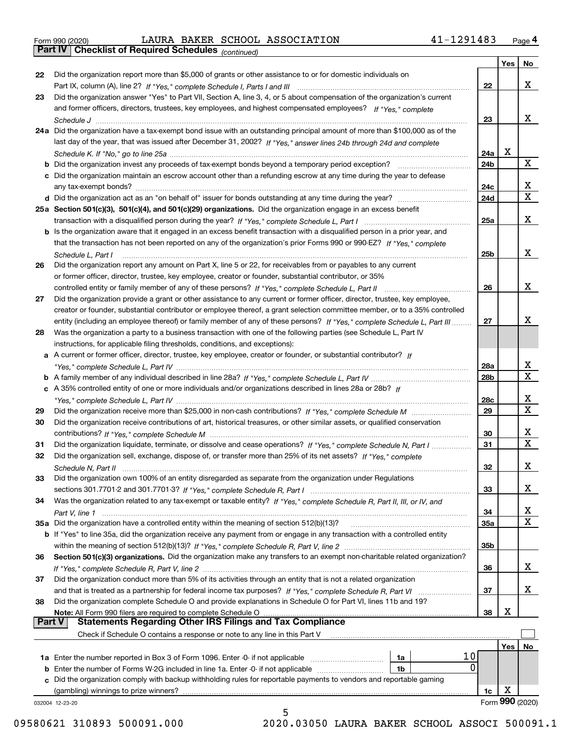|  | Form 990 (2020) |
|--|-----------------|
|  |                 |

Form 990 (2020) LAURA BAKER SCHOOL ASSOCIATION 41-1291483 <sub>Page</sub> 4<br>**Part IV | Checklist of Required Schedules** <sub>(continued)</sub>

*(continued)*

|          |                                                                                                                              |                 | Yes | No              |
|----------|------------------------------------------------------------------------------------------------------------------------------|-----------------|-----|-----------------|
| 22       | Did the organization report more than \$5,000 of grants or other assistance to or for domestic individuals on                |                 |     |                 |
|          |                                                                                                                              | 22              |     | x               |
| 23       | Did the organization answer "Yes" to Part VII, Section A, line 3, 4, or 5 about compensation of the organization's current   |                 |     |                 |
|          | and former officers, directors, trustees, key employees, and highest compensated employees? If "Yes," complete               |                 |     |                 |
|          |                                                                                                                              | 23              |     | x               |
|          | 24a Did the organization have a tax-exempt bond issue with an outstanding principal amount of more than \$100,000 as of the  |                 |     |                 |
|          | last day of the year, that was issued after December 31, 2002? If "Yes," answer lines 24b through 24d and complete           |                 |     |                 |
|          |                                                                                                                              | 24a             | x   |                 |
|          | b Did the organization invest any proceeds of tax-exempt bonds beyond a temporary period exception?                          | 24b             |     | X               |
|          | c Did the organization maintain an escrow account other than a refunding escrow at any time during the year to defease       |                 |     |                 |
|          | any tax-exempt bonds?                                                                                                        | 24c             |     | x               |
|          |                                                                                                                              | 24d             |     | $\mathbf X$     |
|          | 25a Section 501(c)(3), 501(c)(4), and 501(c)(29) organizations. Did the organization engage in an excess benefit             |                 |     |                 |
|          |                                                                                                                              | 25a             |     | х               |
|          | b Is the organization aware that it engaged in an excess benefit transaction with a disqualified person in a prior year, and |                 |     |                 |
|          | that the transaction has not been reported on any of the organization's prior Forms 990 or 990-EZ? If "Yes," complete        |                 |     |                 |
|          | Schedule L. Part I                                                                                                           | 25b             |     | x               |
| 26       | Did the organization report any amount on Part X, line 5 or 22, for receivables from or payables to any current              |                 |     |                 |
|          | or former officer, director, trustee, key employee, creator or founder, substantial contributor, or 35%                      |                 |     |                 |
|          |                                                                                                                              | 26              |     | x               |
| 27       | Did the organization provide a grant or other assistance to any current or former officer, director, trustee, key employee,  |                 |     |                 |
|          | creator or founder, substantial contributor or employee thereof, a grant selection committee member, or to a 35% controlled  |                 |     |                 |
|          | entity (including an employee thereof) or family member of any of these persons? If "Yes," complete Schedule L, Part III     | 27              |     | x               |
| 28       | Was the organization a party to a business transaction with one of the following parties (see Schedule L, Part IV            |                 |     |                 |
|          | instructions, for applicable filing thresholds, conditions, and exceptions):                                                 |                 |     |                 |
|          | a A current or former officer, director, trustee, key employee, creator or founder, or substantial contributor? If           |                 |     |                 |
|          |                                                                                                                              | 28a             |     | x               |
|          |                                                                                                                              | 28 <sub>b</sub> |     | $\mathbf X$     |
|          | c A 35% controlled entity of one or more individuals and/or organizations described in lines 28a or 28b? If                  |                 |     |                 |
|          |                                                                                                                              | 28c             |     | x               |
| 29       |                                                                                                                              | 29              |     | $\mathbf X$     |
| 30       | Did the organization receive contributions of art, historical treasures, or other similar assets, or qualified conservation  |                 |     |                 |
|          |                                                                                                                              | 30              |     | x               |
| 31       | Did the organization liquidate, terminate, or dissolve and cease operations? If "Yes," complete Schedule N, Part I           | 31              |     | $\mathbf x$     |
| 32       | Did the organization sell, exchange, dispose of, or transfer more than 25% of its net assets? If "Yes," complete             |                 |     |                 |
|          |                                                                                                                              | 32              |     | х               |
| 33       | Did the organization own 100% of an entity disregarded as separate from the organization under Regulations                   |                 |     |                 |
|          |                                                                                                                              | 33              |     | х               |
| 34       | Was the organization related to any tax-exempt or taxable entity? If "Yes," complete Schedule R, Part II, III, or IV, and    |                 |     |                 |
|          |                                                                                                                              | 34              |     | X               |
|          | 35a Did the organization have a controlled entity within the meaning of section 512(b)(13)?                                  | 35a             |     | х               |
|          | b If "Yes" to line 35a, did the organization receive any payment from or engage in any transaction with a controlled entity  |                 |     |                 |
|          |                                                                                                                              | 35 <sub>b</sub> |     |                 |
| 36       | Section 501(c)(3) organizations. Did the organization make any transfers to an exempt non-charitable related organization?   |                 |     |                 |
|          |                                                                                                                              | 36              |     | x               |
| 37       | Did the organization conduct more than 5% of its activities through an entity that is not a related organization             |                 |     |                 |
|          | and that is treated as a partnership for federal income tax purposes? If "Yes," complete Schedule R, Part VI                 | 37              |     | x               |
| 38       | Did the organization complete Schedule O and provide explanations in Schedule O for Part VI, lines 11b and 19?               |                 |     |                 |
|          | Note: All Form 990 filers are required to complete Schedule O                                                                | 38              | X   |                 |
| ∣ Part V | <b>Statements Regarding Other IRS Filings and Tax Compliance</b>                                                             |                 |     |                 |
|          | Check if Schedule O contains a response or note to any line in this Part V                                                   |                 |     |                 |
|          |                                                                                                                              |                 | Yes | No              |
|          | 10<br>1a                                                                                                                     |                 |     |                 |
|          | $\bf{0}$<br><b>b</b> Enter the number of Forms W-2G included in line 1a. Enter -0- if not applicable<br>1b                   |                 |     |                 |
| c        | Did the organization comply with backup withholding rules for reportable payments to vendors and reportable gaming           |                 |     |                 |
|          | (gambling) winnings to prize winners?                                                                                        | 1c              | х   |                 |
|          | 032004 12-23-20                                                                                                              |                 |     | Form 990 (2020) |
|          | 5                                                                                                                            |                 |     |                 |

09580621 310893 500091.000 2020.03050 LAURA BAKER SCHOOL ASSOCI 500091.1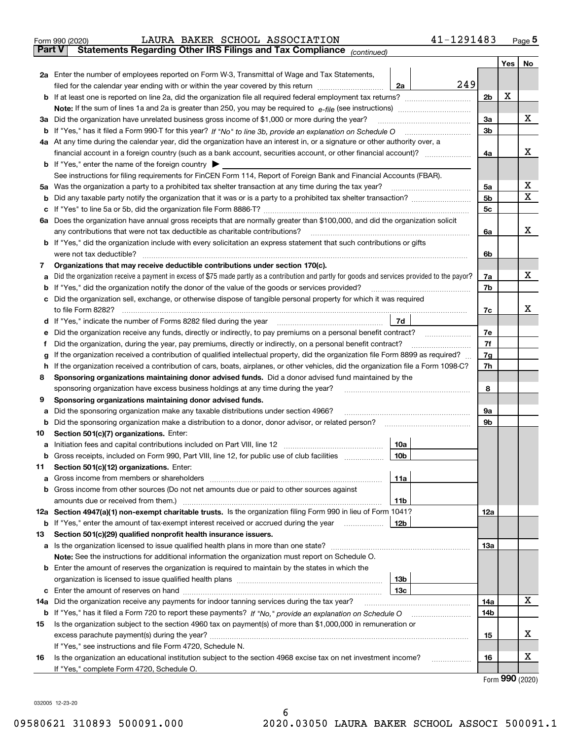|               | LAURA BAKER SCHOOL ASSOCIATION<br>Form 990 (2020)                                                                                               |                 | 41-1291483 |                |         | $Page$ <sup>5</sup> |
|---------------|-------------------------------------------------------------------------------------------------------------------------------------------------|-----------------|------------|----------------|---------|---------------------|
| <b>Part V</b> | Statements Regarding Other IRS Filings and Tax Compliance (continued)                                                                           |                 |            |                |         |                     |
|               |                                                                                                                                                 |                 |            |                | Yes $ $ | No                  |
|               | 2a Enter the number of employees reported on Form W-3, Transmittal of Wage and Tax Statements,                                                  |                 |            |                |         |                     |
|               | filed for the calendar year ending with or within the year covered by this return                                                               | 2a              | 249        |                |         |                     |
|               |                                                                                                                                                 |                 |            | 2b             | X       |                     |
|               |                                                                                                                                                 |                 |            |                |         |                     |
|               | 3a Did the organization have unrelated business gross income of \$1,000 or more during the year?                                                |                 |            | За             |         | х                   |
|               |                                                                                                                                                 |                 |            | 3b             |         |                     |
|               | 4a At any time during the calendar year, did the organization have an interest in, or a signature or other authority over, a                    |                 |            |                |         |                     |
|               |                                                                                                                                                 |                 |            | 4a             |         | х                   |
|               | <b>b</b> If "Yes," enter the name of the foreign country $\blacktriangleright$                                                                  |                 |            |                |         |                     |
|               | See instructions for filing requirements for FinCEN Form 114, Report of Foreign Bank and Financial Accounts (FBAR).                             |                 |            |                |         |                     |
|               | 5a Was the organization a party to a prohibited tax shelter transaction at any time during the tax year?                                        |                 |            | 5а             |         | X                   |
|               |                                                                                                                                                 |                 |            | 5b             |         | х                   |
|               |                                                                                                                                                 |                 |            | 5 <sub>c</sub> |         |                     |
|               | 6a Does the organization have annual gross receipts that are normally greater than \$100,000, and did the organization solicit                  |                 |            |                |         |                     |
|               | any contributions that were not tax deductible as charitable contributions?                                                                     |                 |            | 6a             |         | х                   |
|               | b If "Yes," did the organization include with every solicitation an express statement that such contributions or gifts                          |                 |            |                |         |                     |
|               | were not tax deductible?                                                                                                                        |                 |            | 6b             |         |                     |
| 7             | Organizations that may receive deductible contributions under section 170(c).                                                                   |                 |            |                |         |                     |
| а             | Did the organization receive a payment in excess of \$75 made partly as a contribution and partly for goods and services provided to the payor? |                 |            | 7a             |         | х                   |
|               | <b>b</b> If "Yes," did the organization notify the donor of the value of the goods or services provided?                                        |                 |            | 7b             |         |                     |
| с             | Did the organization sell, exchange, or otherwise dispose of tangible personal property for which it was required                               |                 |            |                |         |                     |
|               | to file Form 8282?                                                                                                                              |                 |            | 7c             |         | х                   |
|               |                                                                                                                                                 | 7d              |            |                |         |                     |
| е             | Did the organization receive any funds, directly or indirectly, to pay premiums on a personal benefit contract?                                 |                 |            | 7e             |         |                     |
| f             | Did the organization, during the year, pay premiums, directly or indirectly, on a personal benefit contract?                                    |                 |            | 7f             |         |                     |
| g             | If the organization received a contribution of qualified intellectual property, did the organization file Form 8899 as required?                |                 |            | 7g             |         |                     |
| h             | If the organization received a contribution of cars, boats, airplanes, or other vehicles, did the organization file a Form 1098-C?              |                 |            | 7h             |         |                     |
| 8             | Sponsoring organizations maintaining donor advised funds. Did a donor advised fund maintained by the                                            |                 |            |                |         |                     |
|               | sponsoring organization have excess business holdings at any time during the year?                                                              |                 |            | 8              |         |                     |
| 9             | Sponsoring organizations maintaining donor advised funds.                                                                                       |                 |            |                |         |                     |
| а             | Did the sponsoring organization make any taxable distributions under section 4966?                                                              |                 |            | 9а             |         |                     |
| b             |                                                                                                                                                 |                 |            | 9b             |         |                     |
| 10            | Section 501(c)(7) organizations. Enter:                                                                                                         |                 |            |                |         |                     |
|               |                                                                                                                                                 | 10a             |            |                |         |                     |
|               | <b>b</b> Gross receipts, included on Form 990, Part VIII, line 12, for public use of club facilities <i>manument</i>                            | 10b             |            |                |         |                     |
| 11            | Section 501(c)(12) organizations. Enter:                                                                                                        |                 |            |                |         |                     |
| a             |                                                                                                                                                 | 11a             |            |                |         |                     |
|               | b Gross income from other sources (Do not net amounts due or paid to other sources against                                                      |                 |            |                |         |                     |
|               | amounts due or received from them.)                                                                                                             | 11b             |            |                |         |                     |
|               | 12a Section 4947(a)(1) non-exempt charitable trusts. Is the organization filing Form 990 in lieu of Form 1041?                                  |                 |            | 12a            |         |                     |
|               | <b>b</b> If "Yes," enter the amount of tax-exempt interest received or accrued during the year                                                  | 12b             |            |                |         |                     |
| 13            | Section 501(c)(29) qualified nonprofit health insurance issuers.                                                                                |                 |            |                |         |                     |
|               | <b>a</b> Is the organization licensed to issue qualified health plans in more than one state?                                                   |                 |            | 13а            |         |                     |
|               | Note: See the instructions for additional information the organization must report on Schedule O.                                               |                 |            |                |         |                     |
|               | <b>b</b> Enter the amount of reserves the organization is required to maintain by the states in which the                                       |                 |            |                |         |                     |
|               |                                                                                                                                                 | 13 <sub>b</sub> |            |                |         |                     |
| с             |                                                                                                                                                 | 13с             |            |                |         |                     |
| 14a           | Did the organization receive any payments for indoor tanning services during the tax year?                                                      |                 |            | 14a            |         | х                   |
|               |                                                                                                                                                 |                 |            | 14b            |         |                     |
| 15            | Is the organization subject to the section 4960 tax on payment(s) of more than \$1,000,000 in remuneration or                                   |                 |            |                |         |                     |
|               |                                                                                                                                                 |                 |            | 15             |         | х                   |
|               | If "Yes," see instructions and file Form 4720, Schedule N.                                                                                      |                 |            |                |         |                     |
| 16            | Is the organization an educational institution subject to the section 4968 excise tax on net investment income?                                 |                 | .          | 16             |         | X                   |
|               | If "Yes," complete Form 4720, Schedule O.                                                                                                       |                 |            |                |         |                     |

Form (2020) **990**

032005 12-23-20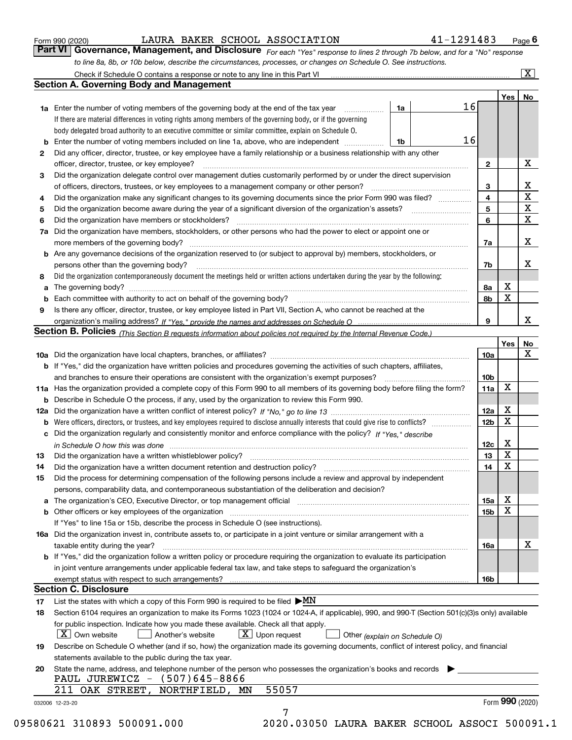|  | Form 990 (2020) |
|--|-----------------|
|  |                 |

LAURA BAKER SCHOOL ASSOCIATION 41-1291483

*For each "Yes" response to lines 2 through 7b below, and for a "No" response to line 8a, 8b, or 10b below, describe the circumstances, processes, or changes on Schedule O. See instructions.* Form 990 (2020) **1998** LAURA BAKER SCHOOL ASSOCIATION **11-1291483** Page 6<br>**Part VI Governance, Management, and Disclosure** For each "Yes" response to lines 2 through 7b below, and for a "No" response

|    |                                                                                                                                                                               |    |    |                 | Yes   No |                 |
|----|-------------------------------------------------------------------------------------------------------------------------------------------------------------------------------|----|----|-----------------|----------|-----------------|
|    | <b>1a</b> Enter the number of voting members of the governing body at the end of the tax year <i>manumum</i>                                                                  | 1a | 16 |                 |          |                 |
|    | If there are material differences in voting rights among members of the governing body, or if the governing                                                                   |    |    |                 |          |                 |
|    | body delegated broad authority to an executive committee or similar committee, explain on Schedule O.                                                                         |    |    |                 |          |                 |
|    | <b>b</b> Enter the number of voting members included on line 1a, above, who are independent <i>manumum</i>                                                                    | 1b | 16 |                 |          |                 |
| 2  | Did any officer, director, trustee, or key employee have a family relationship or a business relationship with any other                                                      |    |    |                 |          |                 |
|    | officer, director, trustee, or key employee?                                                                                                                                  |    |    | $\mathbf{2}$    |          | X               |
| 3  | Did the organization delegate control over management duties customarily performed by or under the direct supervision                                                         |    |    |                 |          |                 |
|    |                                                                                                                                                                               |    |    | 3               |          | X               |
| 4  | Did the organization make any significant changes to its governing documents since the prior Form 990 was filed?                                                              |    |    | $\overline{4}$  |          | $\mathbf X$     |
| 5  |                                                                                                                                                                               |    |    | 5               |          | $\mathbf X$     |
| 6  |                                                                                                                                                                               |    |    | 6               |          | $\mathbf X$     |
| 7a | Did the organization have members, stockholders, or other persons who had the power to elect or appoint one or                                                                |    |    |                 |          |                 |
|    |                                                                                                                                                                               |    |    | 7a              |          | х               |
|    | <b>b</b> Are any governance decisions of the organization reserved to (or subject to approval by) members, stockholders, or                                                   |    |    |                 |          |                 |
|    | persons other than the governing body?                                                                                                                                        |    |    | 7b              |          | х               |
| 8  | Did the organization contemporaneously document the meetings held or written actions undertaken during the year by the following:                                             |    |    |                 |          |                 |
| a  |                                                                                                                                                                               |    |    | 8a              | X        |                 |
|    |                                                                                                                                                                               |    |    | 8b              | X        |                 |
| 9  | Is there any officer, director, trustee, or key employee listed in Part VII, Section A, who cannot be reached at the                                                          |    |    |                 |          |                 |
|    |                                                                                                                                                                               |    |    | 9               |          | x               |
|    | Section B. Policies (This Section B requests information about policies not required by the Internal Revenue Code.)                                                           |    |    |                 |          |                 |
|    |                                                                                                                                                                               |    |    |                 | Yes      | No              |
|    |                                                                                                                                                                               |    |    | 10a             |          | X               |
|    | <b>b</b> If "Yes," did the organization have written policies and procedures governing the activities of such chapters, affiliates,                                           |    |    |                 |          |                 |
|    |                                                                                                                                                                               |    |    | 10 <sub>b</sub> |          |                 |
|    | 11a Has the organization provided a complete copy of this Form 990 to all members of its governing body before filing the form?                                               |    |    | 11a             | X        |                 |
|    | <b>b</b> Describe in Schedule O the process, if any, used by the organization to review this Form 990.                                                                        |    |    |                 |          |                 |
|    |                                                                                                                                                                               |    |    | 12a             | X        |                 |
|    |                                                                                                                                                                               |    |    |                 | X        |                 |
| b  |                                                                                                                                                                               |    |    | 12 <sub>b</sub> |          |                 |
|    | c Did the organization regularly and consistently monitor and enforce compliance with the policy? If "Yes." describe                                                          |    |    |                 | X        |                 |
|    | in Schedule O how this was done manufactured and continuum control of the Schedule O how this was done manufactured and continuum control of the Schedule O how this was done |    |    | 12c             | X        |                 |
| 13 |                                                                                                                                                                               |    |    | 13              | X        |                 |
| 14 | Did the organization have a written document retention and destruction policy? manufactured and the organization have a written document retention and destruction policy?    |    |    | 14              |          |                 |
| 15 | Did the process for determining compensation of the following persons include a review and approval by independent                                                            |    |    |                 |          |                 |
|    | persons, comparability data, and contemporaneous substantiation of the deliberation and decision?                                                                             |    |    |                 |          |                 |
|    |                                                                                                                                                                               |    |    | 15a             | X        |                 |
|    |                                                                                                                                                                               |    |    | 15 <sub>b</sub> | X        |                 |
|    | If "Yes" to line 15a or 15b, describe the process in Schedule O (see instructions).                                                                                           |    |    |                 |          |                 |
|    | 16a Did the organization invest in, contribute assets to, or participate in a joint venture or similar arrangement with a                                                     |    |    |                 |          |                 |
|    | taxable entity during the year?                                                                                                                                               |    |    | 16a             |          | X               |
|    | b If "Yes," did the organization follow a written policy or procedure requiring the organization to evaluate its participation                                                |    |    |                 |          |                 |
|    | in joint venture arrangements under applicable federal tax law, and take steps to safeguard the organization's                                                                |    |    |                 |          |                 |
|    | exempt status with respect to such arrangements?                                                                                                                              |    |    | 16 <sub>b</sub> |          |                 |
|    | <b>Section C. Disclosure</b>                                                                                                                                                  |    |    |                 |          |                 |
| 17 | List the states with which a copy of this Form 990 is required to be filed $\blacktriangleright MN$                                                                           |    |    |                 |          |                 |
| 18 | Section 6104 requires an organization to make its Forms 1023 (1024 or 1024-A, if applicable), 990, and 990-T (Section 501(c)(3)s only) available                              |    |    |                 |          |                 |
|    | for public inspection. Indicate how you made these available. Check all that apply.                                                                                           |    |    |                 |          |                 |
|    | $ X $ Own website<br>$\lfloor x \rfloor$ Upon request<br>Another's website<br>Other (explain on Schedule O)                                                                   |    |    |                 |          |                 |
| 19 | Describe on Schedule O whether (and if so, how) the organization made its governing documents, conflict of interest policy, and financial                                     |    |    |                 |          |                 |
|    | statements available to the public during the tax year.                                                                                                                       |    |    |                 |          |                 |
| 20 | State the name, address, and telephone number of the person who possesses the organization's books and records                                                                |    |    |                 |          |                 |
|    | PAUL JUREWICZ - (507)645-8866                                                                                                                                                 |    |    |                 |          |                 |
|    | 55057<br>211 OAK STREET, NORTHFIELD, MN                                                                                                                                       |    |    |                 |          |                 |
|    |                                                                                                                                                                               |    |    |                 |          | Form 990 (2020) |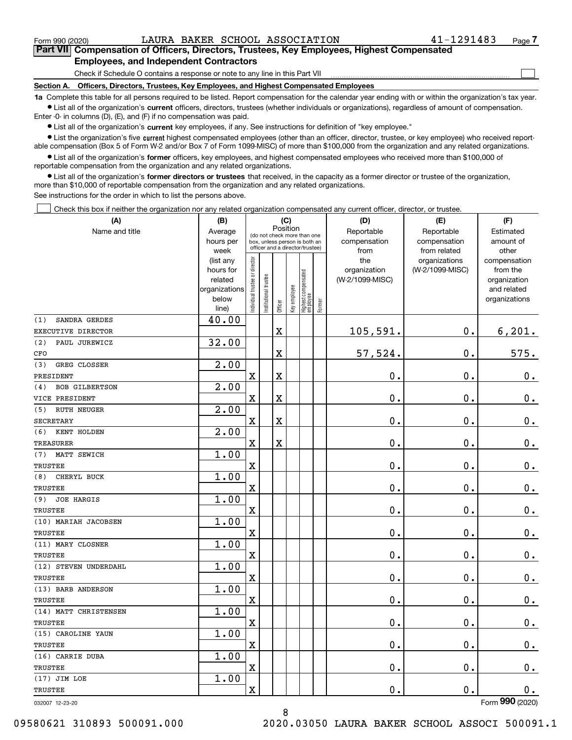$\mathcal{L}^{\text{max}}$ 

### **7Part VII Compensation of Officers, Directors, Trustees, Key Employees, Highest Compensated Employees, and Independent Contractors**

Check if Schedule O contains a response or note to any line in this Part VII

**Section A. Officers, Directors, Trustees, Key Employees, and Highest Compensated Employees**

**1a**  Complete this table for all persons required to be listed. Report compensation for the calendar year ending with or within the organization's tax year. **•** List all of the organization's current officers, directors, trustees (whether individuals or organizations), regardless of amount of compensation.

Enter -0- in columns (D), (E), and (F) if no compensation was paid.

 $\bullet$  List all of the organization's  $\,$ current key employees, if any. See instructions for definition of "key employee."

**•** List the organization's five current highest compensated employees (other than an officer, director, trustee, or key employee) who received reportable compensation (Box 5 of Form W-2 and/or Box 7 of Form 1099-MISC) of more than \$100,000 from the organization and any related organizations.

**•** List all of the organization's former officers, key employees, and highest compensated employees who received more than \$100,000 of reportable compensation from the organization and any related organizations.

**former directors or trustees**  ¥ List all of the organization's that received, in the capacity as a former director or trustee of the organization, more than \$10,000 of reportable compensation from the organization and any related organizations.

See instructions for the order in which to list the persons above.

Check this box if neither the organization nor any related organization compensated any current officer, director, or trustee.  $\mathcal{L}^{\text{max}}$ 

| (A)                          | (B)               |                                |                                         |             | (C)          |                                  |           | (D)             | (E)             | (F)             |
|------------------------------|-------------------|--------------------------------|-----------------------------------------|-------------|--------------|----------------------------------|-----------|-----------------|-----------------|-----------------|
| Name and title               | Average           |                                | Position<br>(do not check more than one |             | Reportable   | Reportable                       | Estimated |                 |                 |                 |
|                              | hours per         |                                | box, unless person is both an           |             |              |                                  |           | compensation    | compensation    | amount of       |
|                              | week              |                                | officer and a director/trustee)         |             |              |                                  |           | from            | from related    | other           |
|                              | (list any         |                                |                                         |             |              |                                  |           | the             | organizations   | compensation    |
|                              | hours for         |                                |                                         |             |              |                                  |           | organization    | (W-2/1099-MISC) | from the        |
|                              | related           |                                |                                         |             |              |                                  |           | (W-2/1099-MISC) |                 | organization    |
|                              | organizations     |                                |                                         |             |              |                                  |           |                 |                 | and related     |
|                              | below<br>line)    | Individual trustee or director | Institutional trustee                   | Officer     | Key employee | Highest compensated<br> employee | Former    |                 |                 | organizations   |
| SANDRA GERDES<br>(1)         | 40.00             |                                |                                         |             |              |                                  |           |                 |                 |                 |
| EXECUTIVE DIRECTOR           |                   |                                |                                         | $\mathbf X$ |              |                                  |           | 105,591.        | $\mathbf 0$ .   | 6, 201.         |
| (2)<br>PAUL JUREWICZ         | 32.00             |                                |                                         |             |              |                                  |           |                 |                 |                 |
| CFO                          |                   |                                |                                         | $\mathbf X$ |              |                                  |           | 57,524.         | $0$ .           | 575.            |
| GREG CLOSSER<br>(3)          | 2.00              |                                |                                         |             |              |                                  |           |                 |                 |                 |
| PRESIDENT                    |                   | $\overline{\mathbf{X}}$        |                                         | $\mathbf X$ |              |                                  |           | 0.              | 0.              | $0_{.}$         |
| <b>BOB GILBERTSON</b><br>(4) | 2.00              |                                |                                         |             |              |                                  |           |                 |                 |                 |
| VICE PRESIDENT               |                   | X                              |                                         | $\mathbf X$ |              |                                  |           | 0.              | 0.              | $0_{.}$         |
| <b>RUTH NEUGER</b><br>(5)    | 2.00              |                                |                                         |             |              |                                  |           |                 |                 |                 |
| <b>SECRETARY</b>             |                   | X                              |                                         | $\mathbf X$ |              |                                  |           | 0.              | 0.              | $0_{.}$         |
| KENT HOLDEN<br>(6)           | $\overline{2.00}$ |                                |                                         |             |              |                                  |           |                 |                 |                 |
| <b>TREASURER</b>             |                   | $\overline{\mathbf{X}}$        |                                         | $\mathbf X$ |              |                                  |           | 0.              | 0.              | $0_{.}$         |
| MATT SEWICH<br>(7)           | 1.00              |                                |                                         |             |              |                                  |           |                 |                 |                 |
| <b>TRUSTEE</b>               |                   | X                              |                                         |             |              |                                  |           | 0.              | 0.              | $0_{.}$         |
| CHERYL BUCK<br>(8)           | 1.00              |                                |                                         |             |              |                                  |           |                 |                 |                 |
| <b>TRUSTEE</b>               |                   | X                              |                                         |             |              |                                  |           | 0.              | 0.              | $0_{.}$         |
| <b>JOE HARGIS</b><br>(9)     | 1.00              |                                |                                         |             |              |                                  |           |                 |                 |                 |
| <b>TRUSTEE</b>               |                   | X                              |                                         |             |              |                                  |           | 0.              | 0.              | $0_{.}$         |
| (10) MARIAH JACOBSEN         | 1.00              |                                |                                         |             |              |                                  |           |                 |                 |                 |
| <b>TRUSTEE</b>               |                   | X                              |                                         |             |              |                                  |           | 0.              | 0.              | $0_{.}$         |
| (11) MARY CLOSNER            | 1.00              |                                |                                         |             |              |                                  |           |                 |                 |                 |
| <b>TRUSTEE</b>               |                   | X                              |                                         |             |              |                                  |           | 0.              | 0.              | $0$ .           |
| (12) STEVEN UNDERDAHL        | 1.00              |                                |                                         |             |              |                                  |           |                 |                 |                 |
| <b>TRUSTEE</b>               |                   | X                              |                                         |             |              |                                  |           | 0.              | 0.              | $0$ .           |
| (13) BARB ANDERSON           | 1.00              |                                |                                         |             |              |                                  |           |                 |                 |                 |
| <b>TRUSTEE</b>               |                   | X                              |                                         |             |              |                                  |           | 0.              | 0.              | 0.              |
| (14) MATT CHRISTENSEN        | 1.00              |                                |                                         |             |              |                                  |           |                 |                 |                 |
| <b>TRUSTEE</b>               |                   | $\mathbf X$                    |                                         |             |              |                                  |           | 0.              | $\mathbf 0$ .   | 0.              |
| (15) CAROLINE YAUN           | 1.00              |                                |                                         |             |              |                                  |           |                 |                 |                 |
| TRUSTEE                      |                   | $\mathbf X$                    |                                         |             |              |                                  |           | $\mathbf 0$ .   | $\mathbf 0$ .   | 0.              |
| (16) CARRIE DUBA             | 1.00              |                                |                                         |             |              |                                  |           |                 |                 |                 |
| TRUSTEE                      |                   | $\mathbf X$                    |                                         |             |              |                                  |           | $\mathbf 0$ .   | $\mathbf 0$ .   | $0_{.}$         |
| (17) JIM LOE                 | 1.00              |                                |                                         |             |              |                                  |           |                 |                 |                 |
| <b>TRUSTEE</b>               |                   | $\mathbf X$                    |                                         |             |              |                                  |           | $\mathbf 0$ .   | $\mathbf 0$ .   | 0.              |
| 032007 12-23-20              |                   |                                |                                         |             |              |                                  |           |                 |                 | Form 990 (2020) |

8

032007 12-23-20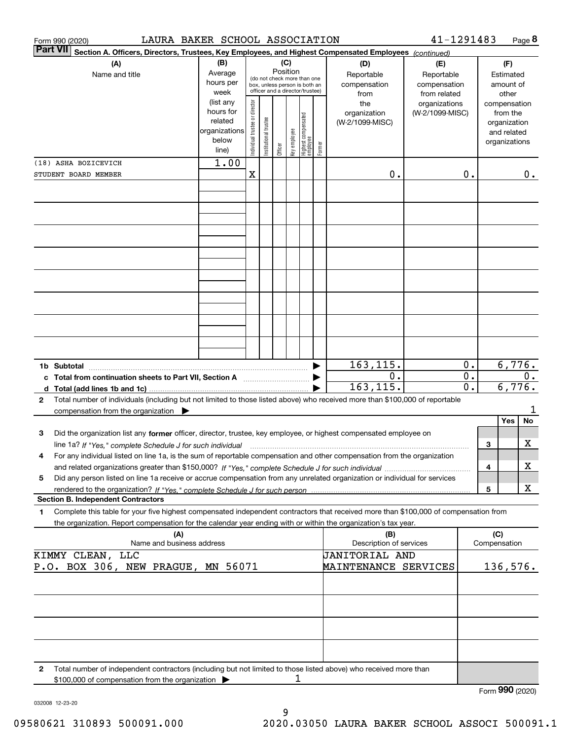|              | Form 990 (2020)                                                                                                                                                     | LAURA BAKER SCHOOL ASSOCIATION |                                |                       |         |              |                                                                  |        |                                | 41-1291483                   |                  |                     | Page 8                 |
|--------------|---------------------------------------------------------------------------------------------------------------------------------------------------------------------|--------------------------------|--------------------------------|-----------------------|---------|--------------|------------------------------------------------------------------|--------|--------------------------------|------------------------------|------------------|---------------------|------------------------|
|              | <b>Part VII</b><br>Section A. Officers, Directors, Trustees, Key Employees, and Highest Compensated Employees (continued)                                           |                                |                                |                       |         |              |                                                                  |        |                                |                              |                  |                     |                        |
|              | (A)<br>(B)                                                                                                                                                          |                                |                                | (C)<br>Position       |         |              |                                                                  | (D)    | (E)                            |                              |                  | (F)                 |                        |
|              | Name and title                                                                                                                                                      | Average<br>hours per           |                                |                       |         |              | (do not check more than one                                      |        | Reportable<br>compensation     | Reportable                   |                  |                     | Estimated<br>amount of |
|              |                                                                                                                                                                     | week                           |                                |                       |         |              | box, unless person is both an<br>officer and a director/trustee) |        | from                           | compensation<br>from related |                  |                     | other                  |
|              |                                                                                                                                                                     | (list any                      |                                |                       |         |              |                                                                  |        | the                            | organizations                |                  |                     | compensation           |
|              |                                                                                                                                                                     | hours for                      |                                |                       |         |              |                                                                  |        | organization                   | (W-2/1099-MISC)              |                  |                     | from the               |
|              |                                                                                                                                                                     | related                        |                                |                       |         |              |                                                                  |        | (W-2/1099-MISC)                |                              |                  |                     | organization           |
|              |                                                                                                                                                                     | organizations<br>below         |                                |                       |         |              |                                                                  |        |                                |                              |                  |                     | and related            |
|              |                                                                                                                                                                     | line)                          | Individual trustee or director | Institutional trustee | Officer | key employee | Highest compensated<br>  employee                                | Former |                                |                              |                  |                     | organizations          |
|              | (18) ASHA BOZICEVICH                                                                                                                                                | 1.00                           |                                |                       |         |              |                                                                  |        |                                |                              |                  |                     |                        |
|              | STUDENT BOARD MEMBER                                                                                                                                                |                                | X                              |                       |         |              |                                                                  |        | 0.                             |                              | 0.               |                     | 0.                     |
|              |                                                                                                                                                                     |                                |                                |                       |         |              |                                                                  |        |                                |                              |                  |                     |                        |
|              |                                                                                                                                                                     |                                |                                |                       |         |              |                                                                  |        |                                |                              |                  |                     |                        |
|              |                                                                                                                                                                     |                                |                                |                       |         |              |                                                                  |        |                                |                              |                  |                     |                        |
|              |                                                                                                                                                                     |                                |                                |                       |         |              |                                                                  |        |                                |                              |                  |                     |                        |
|              |                                                                                                                                                                     |                                |                                |                       |         |              |                                                                  |        |                                |                              |                  |                     |                        |
|              |                                                                                                                                                                     |                                |                                |                       |         |              |                                                                  |        |                                |                              |                  |                     |                        |
|              |                                                                                                                                                                     |                                |                                |                       |         |              |                                                                  |        |                                |                              |                  |                     |                        |
|              |                                                                                                                                                                     |                                |                                |                       |         |              |                                                                  |        |                                |                              |                  |                     |                        |
|              |                                                                                                                                                                     |                                |                                |                       |         |              |                                                                  |        |                                |                              |                  |                     |                        |
|              |                                                                                                                                                                     |                                |                                |                       |         |              |                                                                  |        |                                |                              |                  |                     |                        |
|              |                                                                                                                                                                     |                                |                                |                       |         |              |                                                                  |        |                                |                              |                  |                     |                        |
|              |                                                                                                                                                                     |                                |                                |                       |         |              |                                                                  |        |                                |                              |                  |                     |                        |
|              |                                                                                                                                                                     |                                |                                |                       |         |              |                                                                  |        |                                |                              |                  |                     |                        |
|              |                                                                                                                                                                     |                                |                                |                       |         |              |                                                                  |        | 163,115.                       |                              | 0.               |                     | 6,776.                 |
|              | c Total from continuation sheets to Part VII, Section A                                                                                                             |                                |                                |                       |         |              |                                                                  |        | 0.                             |                              | $\overline{0}$ . |                     | 0.                     |
|              |                                                                                                                                                                     |                                |                                |                       |         |              |                                                                  |        | 163, 115.                      |                              | $\overline{0}$ . |                     | 6,776.                 |
| 2            | Total number of individuals (including but not limited to those listed above) who received more than \$100,000 of reportable                                        |                                |                                |                       |         |              |                                                                  |        |                                |                              |                  |                     |                        |
|              | compensation from the organization $\blacktriangleright$                                                                                                            |                                |                                |                       |         |              |                                                                  |        |                                |                              |                  |                     | 1                      |
| 3            | Did the organization list any former officer, director, trustee, key employee, or highest compensated employee on                                                   |                                |                                |                       |         |              |                                                                  |        |                                |                              |                  |                     | Yes<br>No              |
|              | line 1a? If "Yes," complete Schedule J for such individual manufactured contained and the Ves," complete Schedule J for such individual                             |                                |                                |                       |         |              |                                                                  |        |                                |                              |                  | 3                   | х                      |
| 4            | For any individual listed on line 1a, is the sum of reportable compensation and other compensation from the organization                                            |                                |                                |                       |         |              |                                                                  |        |                                |                              |                  |                     |                        |
|              |                                                                                                                                                                     |                                |                                |                       |         |              |                                                                  |        |                                |                              |                  | 4                   | х                      |
| 5            | Did any person listed on line 1a receive or accrue compensation from any unrelated organization or individual for services                                          |                                |                                |                       |         |              |                                                                  |        |                                |                              |                  |                     |                        |
|              |                                                                                                                                                                     |                                |                                |                       |         |              |                                                                  |        |                                |                              |                  | 5                   | х                      |
|              | <b>Section B. Independent Contractors</b>                                                                                                                           |                                |                                |                       |         |              |                                                                  |        |                                |                              |                  |                     |                        |
| 1            | Complete this table for your five highest compensated independent contractors that received more than \$100,000 of compensation from                                |                                |                                |                       |         |              |                                                                  |        |                                |                              |                  |                     |                        |
|              | the organization. Report compensation for the calendar year ending with or within the organization's tax year.                                                      |                                |                                |                       |         |              |                                                                  |        |                                |                              |                  |                     |                        |
|              | (A)<br>Name and business address                                                                                                                                    |                                |                                |                       |         |              |                                                                  |        | (B)<br>Description of services |                              |                  | (C)<br>Compensation |                        |
|              | KIMMY CLEAN, LLC                                                                                                                                                    |                                |                                |                       |         |              |                                                                  |        | JANITORIAL AND                 |                              |                  |                     |                        |
|              | P.O. BOX 306, NEW PRAGUE, MN 56071                                                                                                                                  |                                |                                |                       |         |              |                                                                  |        | <b>MAINTENANCE SERVICES</b>    |                              |                  |                     | 136,576.               |
|              |                                                                                                                                                                     |                                |                                |                       |         |              |                                                                  |        |                                |                              |                  |                     |                        |
|              |                                                                                                                                                                     |                                |                                |                       |         |              |                                                                  |        |                                |                              |                  |                     |                        |
|              |                                                                                                                                                                     |                                |                                |                       |         |              |                                                                  |        |                                |                              |                  |                     |                        |
|              |                                                                                                                                                                     |                                |                                |                       |         |              |                                                                  |        |                                |                              |                  |                     |                        |
|              |                                                                                                                                                                     |                                |                                |                       |         |              |                                                                  |        |                                |                              |                  |                     |                        |
|              |                                                                                                                                                                     |                                |                                |                       |         |              |                                                                  |        |                                |                              |                  |                     |                        |
|              |                                                                                                                                                                     |                                |                                |                       |         |              |                                                                  |        |                                |                              |                  |                     |                        |
| $\mathbf{2}$ | Total number of independent contractors (including but not limited to those listed above) who received more than<br>\$100,000 of compensation from the organization |                                |                                |                       |         | 1            |                                                                  |        |                                |                              |                  |                     |                        |
|              |                                                                                                                                                                     |                                |                                |                       |         |              |                                                                  |        |                                |                              |                  |                     | Form 990 (2020)        |

032008 12-23-20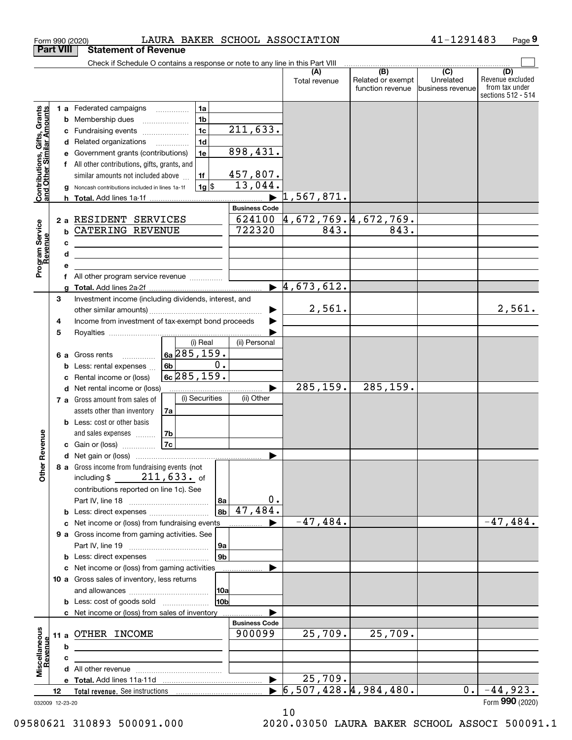|                                                           | <b>Part VIII</b> | <b>Statement of Revenue</b>                                                   |                      |                           |                                  |                          |                               |                         |
|-----------------------------------------------------------|------------------|-------------------------------------------------------------------------------|----------------------|---------------------------|----------------------------------|--------------------------|-------------------------------|-------------------------|
|                                                           |                  | Check if Schedule O contains a response or note to any line in this Part VIII |                      |                           |                                  |                          |                               |                         |
|                                                           |                  |                                                                               |                      |                           | (A)<br>Total revenue             | (B)<br>Related or exempt | $\overline{(C)}$<br>Unrelated | (D)<br>Revenue excluded |
|                                                           |                  |                                                                               |                      |                           |                                  | function revenue         | business revenue              | from tax under          |
|                                                           |                  |                                                                               |                      |                           |                                  |                          |                               | sections 512 - 514      |
|                                                           |                  | <b>1 a</b> Federated campaigns                                                | 1a                   |                           |                                  |                          |                               |                         |
|                                                           |                  | <b>b</b> Membership dues                                                      | 1 <sub>b</sub>       |                           |                                  |                          |                               |                         |
|                                                           | c                | Fundraising events                                                            | 1 <sub>c</sub>       | $\overline{211,633}$ .    |                                  |                          |                               |                         |
| Contributions, Gifts, Grants<br>and Other Similar Amounts | d                | Related organizations                                                         | 1 <sub>d</sub>       | 898,431.                  |                                  |                          |                               |                         |
|                                                           | е                | Government grants (contributions)                                             | 1e                   |                           |                                  |                          |                               |                         |
|                                                           | f                | All other contributions, gifts, grants, and                                   |                      | 457,807.                  |                                  |                          |                               |                         |
|                                                           |                  | similar amounts not included above                                            | 1f<br>$1g$ \$        | 13,044.                   |                                  |                          |                               |                         |
|                                                           | h.               | Noncash contributions included in lines 1a-1f                                 |                      | $\blacktriangleright$     | 1,567,871.                       |                          |                               |                         |
|                                                           |                  |                                                                               |                      | <b>Business Code</b>      |                                  |                          |                               |                         |
|                                                           |                  | 2 a RESIDENT SERVICES                                                         |                      | 624100                    |                                  | 4,672,769.4,672,769.     |                               |                         |
|                                                           | b                | <b>CATERING REVENUE</b>                                                       |                      | 722320                    | 843.                             | 843.                     |                               |                         |
|                                                           | c                |                                                                               |                      |                           |                                  |                          |                               |                         |
|                                                           | d                |                                                                               |                      |                           |                                  |                          |                               |                         |
| Program Service<br>Revenue                                | e                |                                                                               |                      |                           |                                  |                          |                               |                         |
|                                                           | f                | All other program service revenue                                             |                      |                           |                                  |                          |                               |                         |
|                                                           |                  |                                                                               |                      |                           | $\blacktriangleright$ 4,673,612. |                          |                               |                         |
|                                                           | 3                | Investment income (including dividends, interest, and                         |                      |                           |                                  |                          |                               |                         |
|                                                           |                  |                                                                               |                      |                           | 2,561.                           |                          |                               | 2,561.                  |
|                                                           | 4                | Income from investment of tax-exempt bond proceeds                            |                      |                           |                                  |                          |                               |                         |
|                                                           | 5                |                                                                               |                      |                           |                                  |                          |                               |                         |
|                                                           |                  |                                                                               | (i) Real             | (ii) Personal             |                                  |                          |                               |                         |
|                                                           | 6а               | Gross rents                                                                   | $6a$ 285, 159.       |                           |                                  |                          |                               |                         |
|                                                           | b                | Less: rental expenses                                                         | 6b                   | 0.                        |                                  |                          |                               |                         |
|                                                           | c                | Rental income or (loss)                                                       | $6c$ 285, 159.       |                           |                                  |                          |                               |                         |
|                                                           |                  | d Net rental income or (loss)                                                 |                      |                           | 285, 159.                        | 285, 159.                |                               |                         |
|                                                           |                  | 7 a Gross amount from sales of                                                | (i) Securities       | (ii) Other                |                                  |                          |                               |                         |
|                                                           |                  | assets other than inventory                                                   | 7a                   |                           |                                  |                          |                               |                         |
|                                                           |                  | <b>b</b> Less: cost or other basis                                            |                      |                           |                                  |                          |                               |                         |
| Revenue                                                   |                  | and sales expenses                                                            | 7 <sub>b</sub><br>7c |                           |                                  |                          |                               |                         |
|                                                           |                  | c Gain or (loss)                                                              |                      | ▶                         |                                  |                          |                               |                         |
|                                                           |                  | 8 a Gross income from fundraising events (not                                 |                      |                           |                                  |                          |                               |                         |
| Othe                                                      |                  | including \$                                                                  | $211, 633$ . of      |                           |                                  |                          |                               |                         |
|                                                           |                  | contributions reported on line 1c). See                                       |                      |                           |                                  |                          |                               |                         |
|                                                           |                  |                                                                               |                      | 0.<br>8a                  |                                  |                          |                               |                         |
|                                                           |                  | <b>b</b> Less: direct expenses <i>manually contained</i>                      |                      | 47,484.<br>8 <sub>b</sub> |                                  |                          |                               |                         |
|                                                           |                  | c Net income or (loss) from fundraising events                                |                      |                           | $-47,484.$                       |                          |                               | $-47,484.$              |
|                                                           |                  | 9 a Gross income from gaming activities. See                                  |                      |                           |                                  |                          |                               |                         |
|                                                           |                  |                                                                               |                      | 9a                        |                                  |                          |                               |                         |
|                                                           |                  | <b>b</b> Less: direct expenses <b>manually</b>                                |                      | 9 <sub>b</sub>            |                                  |                          |                               |                         |
|                                                           |                  | c Net income or (loss) from gaming activities                                 |                      |                           |                                  |                          |                               |                         |
|                                                           |                  | 10 a Gross sales of inventory, less returns                                   |                      |                           |                                  |                          |                               |                         |
|                                                           |                  |                                                                               |                      | 10a                       |                                  |                          |                               |                         |
|                                                           |                  | <b>b</b> Less: cost of goods sold                                             |                      | 10b                       |                                  |                          |                               |                         |
|                                                           |                  | c Net income or (loss) from sales of inventory                                |                      |                           |                                  |                          |                               |                         |
|                                                           |                  |                                                                               |                      | <b>Business Code</b>      |                                  |                          |                               |                         |
|                                                           |                  | 11 a OTHER INCOME                                                             |                      | 900099                    | 25,709.                          | 25,709.                  |                               |                         |
|                                                           | b                |                                                                               |                      |                           |                                  |                          |                               |                         |
|                                                           | c                |                                                                               |                      |                           |                                  |                          |                               |                         |
| Miscellaneous<br>Revenue                                  |                  |                                                                               |                      |                           |                                  |                          |                               |                         |
|                                                           |                  |                                                                               |                      | ▶                         | 25,709.                          |                          |                               |                         |
|                                                           | 12               |                                                                               |                      |                           |                                  | 6, 507, 428.4, 984, 480. | 0.                            | $-44,923.$              |
|                                                           | 032009 12-23-20  |                                                                               |                      |                           |                                  |                          |                               | Form 990 (2020)         |

Form 990 (2020) LAURA BAKER SCHOOL ASSOCIATION 4 I-I 2 9 I 4 8 3 Page

LAURA BAKER SCHOOL ASSOCIATION 41-1291483

**9**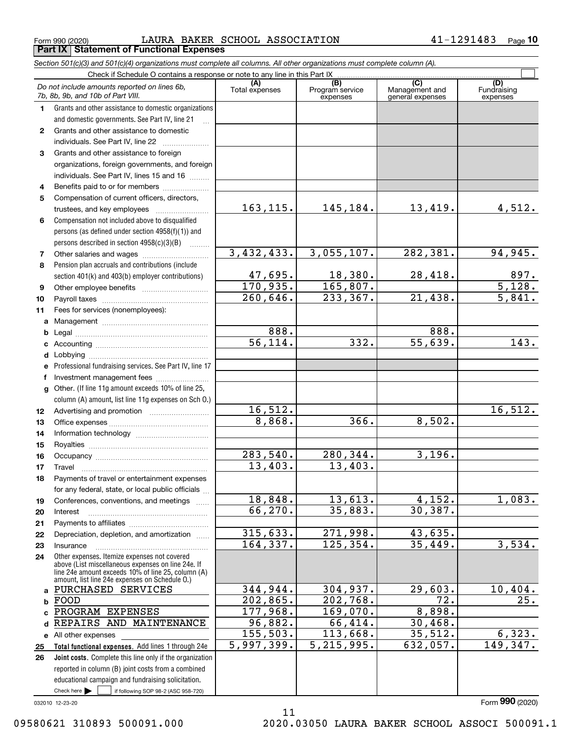$_{\rm Form\ 990\ (2020)}$  LAURA BAKER SCHOOL ASSOCIATION 41-1291483  $_{\rm Page}$ **Part IX Statement of Functional Expenses**

|                  | Section 501(c)(3) and 501(c)(4) organizations must complete all columns. All other organizations must complete column (A).                                                                                 |                       |                                    |                                           |                                |
|------------------|------------------------------------------------------------------------------------------------------------------------------------------------------------------------------------------------------------|-----------------------|------------------------------------|-------------------------------------------|--------------------------------|
|                  | Check if Schedule O contains a response or note to any line in this Part IX                                                                                                                                |                       |                                    |                                           |                                |
|                  | Do not include amounts reported on lines 6b,<br>7b, 8b, 9b, and 10b of Part VIII.                                                                                                                          | (A)<br>Total expenses | (B)<br>Program service<br>expenses | (C)<br>Management and<br>general expenses | (D)<br>Fundraising<br>expenses |
| 1.               | Grants and other assistance to domestic organizations                                                                                                                                                      |                       |                                    |                                           |                                |
|                  | and domestic governments. See Part IV, line 21                                                                                                                                                             |                       |                                    |                                           |                                |
| $\mathbf{2}$     | Grants and other assistance to domestic                                                                                                                                                                    |                       |                                    |                                           |                                |
|                  | individuals. See Part IV, line 22                                                                                                                                                                          |                       |                                    |                                           |                                |
| 3                | Grants and other assistance to foreign                                                                                                                                                                     |                       |                                    |                                           |                                |
|                  | organizations, foreign governments, and foreign                                                                                                                                                            |                       |                                    |                                           |                                |
|                  | individuals. See Part IV, lines 15 and 16                                                                                                                                                                  |                       |                                    |                                           |                                |
| 4                | Benefits paid to or for members                                                                                                                                                                            |                       |                                    |                                           |                                |
| 5                | Compensation of current officers, directors,                                                                                                                                                               |                       |                                    |                                           |                                |
|                  |                                                                                                                                                                                                            | 163, 115.             | 145,184.                           | 13,419.                                   | 4,512.                         |
| 6                | Compensation not included above to disqualified                                                                                                                                                            |                       |                                    |                                           |                                |
|                  | persons (as defined under section 4958(f)(1)) and                                                                                                                                                          |                       |                                    |                                           |                                |
|                  | persons described in section $4958(c)(3)(B)$                                                                                                                                                               |                       |                                    |                                           |                                |
| 7                | Other salaries and wages                                                                                                                                                                                   | 3,432,433.            | 3,055,107.                         | 282,381.                                  | 94,945.                        |
| 8                | Pension plan accruals and contributions (include                                                                                                                                                           |                       |                                    |                                           |                                |
|                  | section 401(k) and 403(b) employer contributions)                                                                                                                                                          | 47,695.               | 18,380.                            | 28,418.                                   | $\frac{897}{5,128}$            |
| 9                |                                                                                                                                                                                                            | 170,935.              | 165,807.                           |                                           |                                |
| 10               |                                                                                                                                                                                                            | 260, 646.             | 233, 367.                          | 21,438.                                   | 5,841.                         |
| 11               | Fees for services (nonemployees):                                                                                                                                                                          |                       |                                    |                                           |                                |
| a                |                                                                                                                                                                                                            |                       |                                    |                                           |                                |
| b                |                                                                                                                                                                                                            | 888.                  |                                    | 888.                                      |                                |
| c                |                                                                                                                                                                                                            | $\overline{56,114}$ . | 332.                               | 55,639.                                   | 143.                           |
| d                |                                                                                                                                                                                                            |                       |                                    |                                           |                                |
| е                | Professional fundraising services. See Part IV, line 17                                                                                                                                                    |                       |                                    |                                           |                                |
| f                | Investment management fees                                                                                                                                                                                 |                       |                                    |                                           |                                |
| g                | Other. (If line 11g amount exceeds 10% of line 25,                                                                                                                                                         |                       |                                    |                                           |                                |
|                  | column (A) amount, list line 11g expenses on Sch 0.)                                                                                                                                                       |                       |                                    |                                           |                                |
| 12 <sup>12</sup> |                                                                                                                                                                                                            | 16,512.               |                                    |                                           | 16,512.                        |
| 13               |                                                                                                                                                                                                            | 8,868.                | 366.                               | 8,502.                                    |                                |
| 14               |                                                                                                                                                                                                            |                       |                                    |                                           |                                |
| 15               |                                                                                                                                                                                                            |                       |                                    |                                           |                                |
| 16               |                                                                                                                                                                                                            | 283,540.              | 280,344.                           | 3,196.                                    |                                |
| 17               |                                                                                                                                                                                                            | 13,403.               | 13,403.                            |                                           |                                |
| 18               | Payments of travel or entertainment expenses                                                                                                                                                               |                       |                                    |                                           |                                |
|                  | for any federal, state, or local public officials                                                                                                                                                          |                       |                                    |                                           |                                |
| 19               | Conferences, conventions, and meetings                                                                                                                                                                     | 18,848.               | 13,613.                            | $\overline{4,152}$ .                      | 1,083.                         |
| 20               | Interest                                                                                                                                                                                                   | 66,270.               | 35,883.                            | 30,387.                                   |                                |
| 21               |                                                                                                                                                                                                            |                       |                                    |                                           |                                |
| 22               | Depreciation, depletion, and amortization                                                                                                                                                                  | 315,633.              | 271,998.                           | 43,635.                                   |                                |
| 23               | Insurance                                                                                                                                                                                                  | 164,337.              | 125, 354.                          | 35,449.                                   | 3,534.                         |
| 24               | Other expenses. Itemize expenses not covered<br>above (List miscellaneous expenses on line 24e. If<br>line 24e amount exceeds 10% of line 25, column (A)<br>amount, list line 24e expenses on Schedule O.) |                       |                                    |                                           |                                |
|                  | a PURCHASED SERVICES                                                                                                                                                                                       | 344,944.              | 304,937.                           | 29,603.                                   | 10,404.                        |
| b                | FOOD                                                                                                                                                                                                       | 202,865.              | 202,768.                           | 72.                                       | 25.                            |
| c.               | PROGRAM EXPENSES                                                                                                                                                                                           | 177,968.              | 169,070.                           | 8,898.                                    |                                |
| d                | REPAIRS AND MAINTENANCE                                                                                                                                                                                    | 96,882.               | 66,414.                            | 30,468.                                   |                                |
|                  | e All other expenses                                                                                                                                                                                       | 155,503.              | 113,668.                           | 35,512.                                   | 6,323.                         |
| 25               | Total functional expenses. Add lines 1 through 24e                                                                                                                                                         | 5,997,399.            | 5, 215, 995.                       | 632,057.                                  | 149,347.                       |
| 26               | <b>Joint costs.</b> Complete this line only if the organization                                                                                                                                            |                       |                                    |                                           |                                |
|                  | reported in column (B) joint costs from a combined                                                                                                                                                         |                       |                                    |                                           |                                |
|                  | educational campaign and fundraising solicitation.                                                                                                                                                         |                       |                                    |                                           |                                |
|                  | Check here $\blacktriangleright$<br>if following SOP 98-2 (ASC 958-720)                                                                                                                                    |                       |                                    |                                           |                                |

11

032010 12-23-20

Form (2020) **990**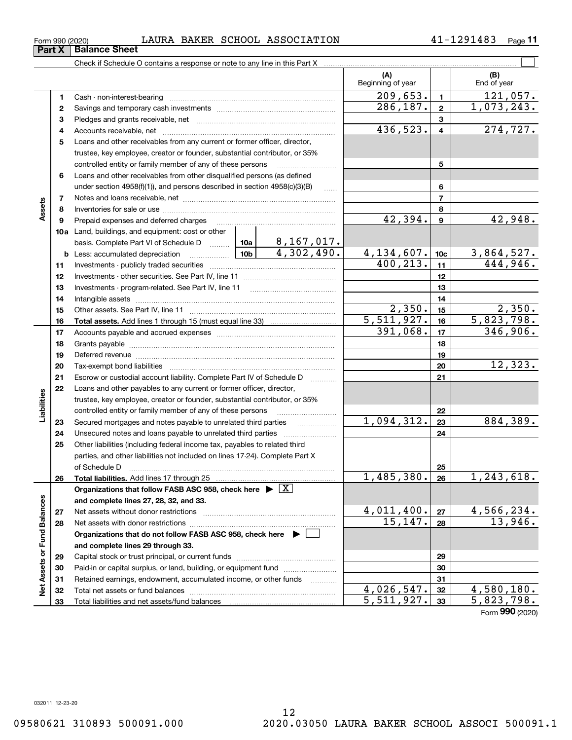**33**

Total liabilities and net assets/fund balances

**33**

 $5,511,927.$  33 5,823,798.

Form (2020) **990**

| Part X          | <b>Balance Sheet</b> |       |              |        |                    |                |      |
|-----------------|----------------------|-------|--------------|--------|--------------------|----------------|------|
| Form 990 (2020) |                      | LAURA | <b>BAKER</b> | SCHOOL | <b>ASSOCIATION</b> | u<br>1483<br>- | Page |

|                             |          |                                                                                                                  |            |    | (A)<br>Beginning of year      |                         | (B)<br>End of year            |
|-----------------------------|----------|------------------------------------------------------------------------------------------------------------------|------------|----|-------------------------------|-------------------------|-------------------------------|
|                             | 1        | Cash - non-interest-bearing                                                                                      |            |    | 209,653.                      | $\blacksquare$          | 121,057.                      |
|                             | 2        |                                                                                                                  |            |    | 286, 187.                     | $\mathbf{2}$            | 1,073,243.                    |
|                             | З        |                                                                                                                  |            |    |                               | 3                       |                               |
|                             | 4        |                                                                                                                  |            |    | 436,523.                      | $\overline{\mathbf{4}}$ | 274, 727.                     |
|                             | 5        | Loans and other receivables from any current or former officer, director,                                        |            |    |                               |                         |                               |
|                             |          | trustee, key employee, creator or founder, substantial contributor, or 35%                                       |            |    |                               |                         |                               |
|                             |          | controlled entity or family member of any of these persons                                                       |            |    |                               | 5                       |                               |
|                             | 6        | Loans and other receivables from other disqualified persons (as defined                                          |            |    |                               |                         |                               |
|                             |          | under section 4958(f)(1)), and persons described in section 4958(c)(3)(B)                                        |            | 6  |                               |                         |                               |
|                             | 7        |                                                                                                                  |            |    | $\overline{7}$                |                         |                               |
| Assets                      | 8        |                                                                                                                  |            |    |                               | 8                       |                               |
|                             | 9        | Prepaid expenses and deferred charges                                                                            |            |    | 42,394.                       | $\mathbf{9}$            | 42,948.                       |
|                             |          | 10a Land, buildings, and equipment: cost or other                                                                |            |    |                               |                         |                               |
|                             |          |                                                                                                                  |            |    |                               |                         |                               |
|                             |          | <b>b</b> Less: accumulated depreciation<br>.                                                                     |            |    | $\frac{4,134,607.}{400,213.}$ | 10 <sub>c</sub>         | $\frac{3,864,527.}{444,946.}$ |
|                             | 11       |                                                                                                                  |            | 11 |                               |                         |                               |
|                             | 12       |                                                                                                                  |            | 12 |                               |                         |                               |
|                             | 13       |                                                                                                                  |            | 13 |                               |                         |                               |
|                             | 14       |                                                                                                                  |            |    | 14                            |                         |                               |
|                             | 15       |                                                                                                                  |            |    | 2,350.<br>5,511,927.          | 15                      | 2,350.                        |
|                             | 16       |                                                                                                                  |            |    | 391,068.                      | 16<br>17                | 5,823,798.<br>346,906.        |
|                             | 17       |                                                                                                                  |            |    | 18                            |                         |                               |
|                             | 18       |                                                                                                                  |            | 19 |                               |                         |                               |
|                             | 19<br>20 | Deferred revenue manual contracts and contracts are all the contracts and contracts are contracted and contracts |            |    |                               | 20                      | 12,323.                       |
|                             | 21       | Escrow or custodial account liability. Complete Part IV of Schedule D                                            |            |    |                               | 21                      |                               |
|                             | 22       | Loans and other payables to any current or former officer, director,                                             |            |    |                               |                         |                               |
| Liabilities                 |          | trustee, key employee, creator or founder, substantial contributor, or 35%                                       |            |    |                               |                         |                               |
|                             |          | controlled entity or family member of any of these persons                                                       |            |    |                               | 22                      |                               |
|                             | 23       | Secured mortgages and notes payable to unrelated third parties                                                   |            |    | 1,094,312.                    | 23                      | 884,389.                      |
|                             | 24       | Unsecured notes and loans payable to unrelated third parties                                                     |            |    |                               | 24                      |                               |
|                             | 25       | Other liabilities (including federal income tax, payables to related third                                       |            |    |                               |                         |                               |
|                             |          | parties, and other liabilities not included on lines 17-24). Complete Part X                                     |            |    |                               |                         |                               |
|                             |          | of Schedule D                                                                                                    |            |    |                               | 25                      |                               |
|                             | 26       | Total liabilities. Add lines 17 through 25                                                                       |            |    | 1,485,380.                    | 26                      | 1, 243, 618.                  |
|                             |          | Organizations that follow FASB ASC 958, check here $\blacktriangleright \boxed{X}$                               |            |    |                               |                         |                               |
|                             |          | and complete lines 27, 28, 32, and 33.                                                                           |            |    |                               |                         |                               |
|                             | 27       | Net assets without donor restrictions                                                                            |            |    | 4,011,400.                    | 27                      | 4,566,234.                    |
|                             | 28       | Net assets with donor restrictions                                                                               |            |    | 15, 147.                      | 28                      | 13,946.                       |
|                             |          | Organizations that do not follow FASB ASC 958, check here $\blacktriangleright$                                  |            |    |                               |                         |                               |
|                             |          | and complete lines 29 through 33.                                                                                |            |    |                               |                         |                               |
|                             | 29       |                                                                                                                  |            |    |                               | 29                      |                               |
|                             | 30       | Paid-in or capital surplus, or land, building, or equipment fund                                                 |            |    |                               | 30                      |                               |
| Net Assets or Fund Balances | 31       | Retained earnings, endowment, accumulated income, or other funds                                                 |            | .  |                               | 31                      |                               |
|                             | 32       | Total net assets or fund balances                                                                                | 4,026,547. | 32 | $\overline{4,580,180.}$       |                         |                               |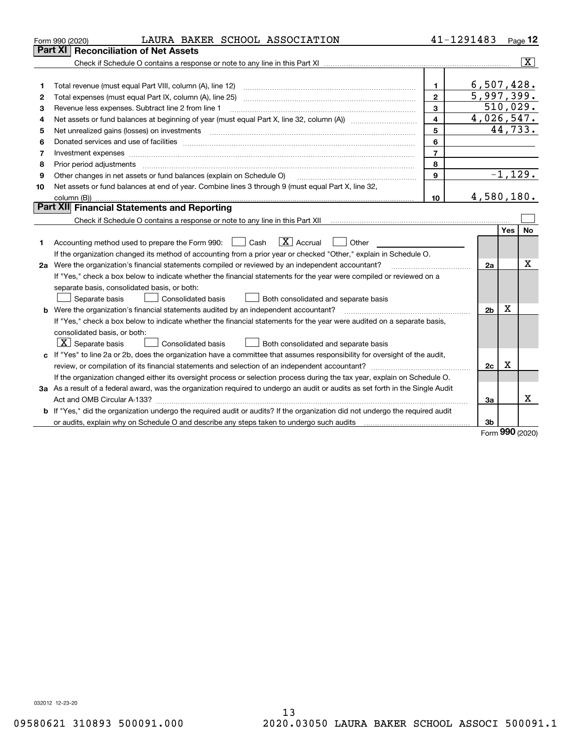|    | LAURA BAKER SCHOOL ASSOCIATION<br>Form 990 (2020)                                                                                                                                                                              |                | 41-1291483     |     | Page $12$               |  |
|----|--------------------------------------------------------------------------------------------------------------------------------------------------------------------------------------------------------------------------------|----------------|----------------|-----|-------------------------|--|
|    | Part XI<br><b>Reconciliation of Net Assets</b>                                                                                                                                                                                 |                |                |     |                         |  |
|    |                                                                                                                                                                                                                                |                |                |     | $\overline{\mathbf{x}}$ |  |
|    |                                                                                                                                                                                                                                |                |                |     |                         |  |
| 1  |                                                                                                                                                                                                                                | $\mathbf{1}$   | 6,507,428.     |     |                         |  |
| 2  |                                                                                                                                                                                                                                | $\overline{2}$ | 5,997,399.     |     |                         |  |
| з  | Revenue less expenses. Subtract line 2 from line 1                                                                                                                                                                             | 3              | 510,029.       |     |                         |  |
| 4  |                                                                                                                                                                                                                                | $\overline{4}$ | 4,026,547.     |     |                         |  |
| 5  |                                                                                                                                                                                                                                | 5              |                |     | 44,733.                 |  |
| 6  |                                                                                                                                                                                                                                | 6              |                |     |                         |  |
| 7  | Investment expenses www.communication.com/www.communication.com/www.communication.com/www.communication.com                                                                                                                    | $\overline{7}$ |                |     |                         |  |
| 8  | Prior period adjustments material contents and content of the content of the content of the content of the content of the content of the content of the content of the content of the content of the content of the content of | 8              |                |     |                         |  |
| 9  | Other changes in net assets or fund balances (explain on Schedule O)                                                                                                                                                           | 9              |                |     | $-1,129.$               |  |
| 10 | Net assets or fund balances at end of year. Combine lines 3 through 9 (must equal Part X, line 32,                                                                                                                             |                |                |     |                         |  |
|    |                                                                                                                                                                                                                                | 10             | 4,580,180.     |     |                         |  |
|    | Part XII Financial Statements and Reporting                                                                                                                                                                                    |                |                |     |                         |  |
|    |                                                                                                                                                                                                                                |                |                |     |                         |  |
|    |                                                                                                                                                                                                                                |                |                | Yes | No                      |  |
| 1. | $\mathbf{X}$ Accrual<br>Accounting method used to prepare the Form 990: <u>[</u> Cash<br>Other<br>$\perp$                                                                                                                      |                |                |     |                         |  |
|    | If the organization changed its method of accounting from a prior year or checked "Other," explain in Schedule O.                                                                                                              |                |                |     | Χ                       |  |
|    | 2a Were the organization's financial statements compiled or reviewed by an independent accountant?                                                                                                                             |                |                |     |                         |  |
|    | If "Yes," check a box below to indicate whether the financial statements for the year were compiled or reviewed on a                                                                                                           |                |                |     |                         |  |
|    | separate basis, consolidated basis, or both:                                                                                                                                                                                   |                |                |     |                         |  |
|    | Consolidated basis<br>Both consolidated and separate basis<br>Separate basis                                                                                                                                                   |                |                |     |                         |  |
|    | <b>b</b> Were the organization's financial statements audited by an independent accountant?                                                                                                                                    |                | 2 <sub>b</sub> | X   |                         |  |
|    | If "Yes," check a box below to indicate whether the financial statements for the year were audited on a separate basis,                                                                                                        |                |                |     |                         |  |
|    | consolidated basis, or both:                                                                                                                                                                                                   |                |                |     |                         |  |
|    | $\lfloor x \rfloor$ Separate basis<br><b>Consolidated basis</b><br>Both consolidated and separate basis                                                                                                                        |                |                |     |                         |  |
|    | c If "Yes" to line 2a or 2b, does the organization have a committee that assumes responsibility for oversight of the audit,                                                                                                    |                |                |     |                         |  |
|    |                                                                                                                                                                                                                                |                | 2c             | X   |                         |  |
|    | If the organization changed either its oversight process or selection process during the tax year, explain on Schedule O.                                                                                                      |                |                |     |                         |  |
|    | 3a As a result of a federal award, was the organization required to undergo an audit or audits as set forth in the Single Audit                                                                                                |                |                |     |                         |  |
|    |                                                                                                                                                                                                                                |                | За             |     | х                       |  |
|    | <b>b</b> If "Yes," did the organization undergo the required audit or audits? If the organization did not undergo the required audit                                                                                           |                |                |     |                         |  |
|    | or audits, explain why on Schedule O and describe any steps taken to undergo such audits [11] our manuscription why on Schedule O and describe any steps taken to undergo such audits                                          |                | 3b             |     |                         |  |

Form (2020) **990**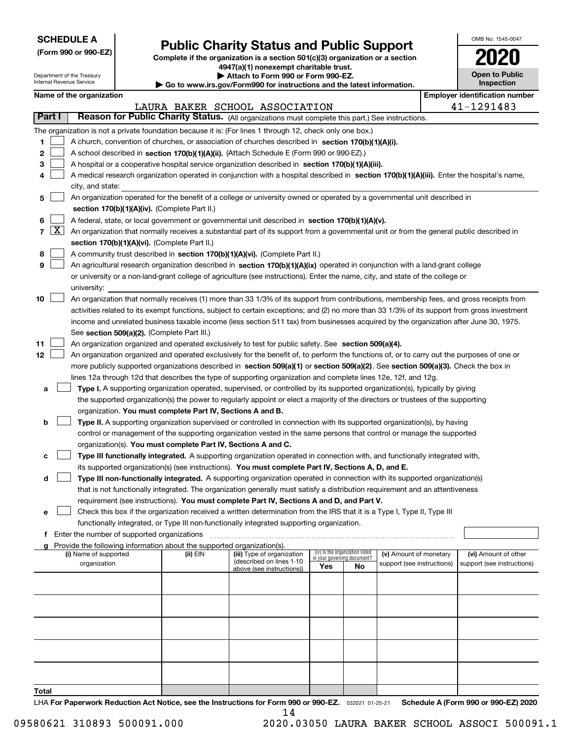| <b>SCHEDULE A</b> |
|-------------------|
|-------------------|

Department of the Treasury Internal Revenue Service

**(Form 990 or 990-EZ)**

### **Public Charity Status and Public Support**

**Complete if the organization is a section 501(c)(3) organization or a section 4947(a)(1) nonexempt charitable trust. | Attach to Form 990 or Form 990-EZ.** 

| Go to www.irs.gov/Form990 for instructions and the latest information. |  |  |
|------------------------------------------------------------------------|--|--|

| OMB No. 1545-0047                   |
|-------------------------------------|
| 120                                 |
| <b>Open to Public</b><br>Inspection |

| Name of the organization |  |
|--------------------------|--|
|--------------------------|--|

|                          | <b>Employer identification number</b><br>Name of the organization                                                                            |          |                                                        |     |                                                                |                            |  |                            |  |  |
|--------------------------|----------------------------------------------------------------------------------------------------------------------------------------------|----------|--------------------------------------------------------|-----|----------------------------------------------------------------|----------------------------|--|----------------------------|--|--|
|                          |                                                                                                                                              |          | LAURA BAKER SCHOOL ASSOCIATION                         |     |                                                                |                            |  | 41-1291483                 |  |  |
| Part I                   | Reason for Public Charity Status. (All organizations must complete this part.) See instructions.                                             |          |                                                        |     |                                                                |                            |  |                            |  |  |
|                          | The organization is not a private foundation because it is: (For lines 1 through 12, check only one box.)                                    |          |                                                        |     |                                                                |                            |  |                            |  |  |
| 1                        | A church, convention of churches, or association of churches described in section $170(b)(1)(A)(i)$ .                                        |          |                                                        |     |                                                                |                            |  |                            |  |  |
| 2                        | A school described in section 170(b)(1)(A)(ii). (Attach Schedule E (Form 990 or 990-EZ).)                                                    |          |                                                        |     |                                                                |                            |  |                            |  |  |
| З                        | A hospital or a cooperative hospital service organization described in section 170(b)(1)(A)(iii).                                            |          |                                                        |     |                                                                |                            |  |                            |  |  |
| 4                        | A medical research organization operated in conjunction with a hospital described in section 170(b)(1)(A)(iii). Enter the hospital's name,   |          |                                                        |     |                                                                |                            |  |                            |  |  |
|                          | city, and state:                                                                                                                             |          |                                                        |     |                                                                |                            |  |                            |  |  |
| 5                        | An organization operated for the benefit of a college or university owned or operated by a governmental unit described in                    |          |                                                        |     |                                                                |                            |  |                            |  |  |
|                          | section 170(b)(1)(A)(iv). (Complete Part II.)                                                                                                |          |                                                        |     |                                                                |                            |  |                            |  |  |
| 6                        | A federal, state, or local government or governmental unit described in section 170(b)(1)(A)(v).                                             |          |                                                        |     |                                                                |                            |  |                            |  |  |
| $\lfloor x \rfloor$<br>7 | An organization that normally receives a substantial part of its support from a governmental unit or from the general public described in    |          |                                                        |     |                                                                |                            |  |                            |  |  |
|                          | section 170(b)(1)(A)(vi). (Complete Part II.)                                                                                                |          |                                                        |     |                                                                |                            |  |                            |  |  |
|                          |                                                                                                                                              |          |                                                        |     |                                                                |                            |  |                            |  |  |
| 8                        | A community trust described in section 170(b)(1)(A)(vi). (Complete Part II.)                                                                 |          |                                                        |     |                                                                |                            |  |                            |  |  |
| 9                        | An agricultural research organization described in section 170(b)(1)(A)(ix) operated in conjunction with a land-grant college                |          |                                                        |     |                                                                |                            |  |                            |  |  |
|                          | or university or a non-land-grant college of agriculture (see instructions). Enter the name, city, and state of the college or               |          |                                                        |     |                                                                |                            |  |                            |  |  |
|                          | university:                                                                                                                                  |          |                                                        |     |                                                                |                            |  |                            |  |  |
| 10                       | An organization that normally receives (1) more than 33 1/3% of its support from contributions, membership fees, and gross receipts from     |          |                                                        |     |                                                                |                            |  |                            |  |  |
|                          | activities related to its exempt functions, subject to certain exceptions; and (2) no more than 33 1/3% of its support from gross investment |          |                                                        |     |                                                                |                            |  |                            |  |  |
|                          | income and unrelated business taxable income (less section 511 tax) from businesses acquired by the organization after June 30, 1975.        |          |                                                        |     |                                                                |                            |  |                            |  |  |
|                          | See section 509(a)(2). (Complete Part III.)                                                                                                  |          |                                                        |     |                                                                |                            |  |                            |  |  |
| 11                       | An organization organized and operated exclusively to test for public safety. See section 509(a)(4).                                         |          |                                                        |     |                                                                |                            |  |                            |  |  |
| 12                       | An organization organized and operated exclusively for the benefit of, to perform the functions of, or to carry out the purposes of one or   |          |                                                        |     |                                                                |                            |  |                            |  |  |
|                          | more publicly supported organizations described in section 509(a)(1) or section 509(a)(2). See section 509(a)(3). Check the box in           |          |                                                        |     |                                                                |                            |  |                            |  |  |
|                          | lines 12a through 12d that describes the type of supporting organization and complete lines 12e, 12f, and 12g.                               |          |                                                        |     |                                                                |                            |  |                            |  |  |
| а                        | Type I. A supporting organization operated, supervised, or controlled by its supported organization(s), typically by giving                  |          |                                                        |     |                                                                |                            |  |                            |  |  |
|                          | the supported organization(s) the power to regularly appoint or elect a majority of the directors or trustees of the supporting              |          |                                                        |     |                                                                |                            |  |                            |  |  |
|                          | organization. You must complete Part IV, Sections A and B.                                                                                   |          |                                                        |     |                                                                |                            |  |                            |  |  |
| b                        | Type II. A supporting organization supervised or controlled in connection with its supported organization(s), by having                      |          |                                                        |     |                                                                |                            |  |                            |  |  |
|                          | control or management of the supporting organization vested in the same persons that control or manage the supported                         |          |                                                        |     |                                                                |                            |  |                            |  |  |
|                          | organization(s). You must complete Part IV, Sections A and C.                                                                                |          |                                                        |     |                                                                |                            |  |                            |  |  |
| с                        | Type III functionally integrated. A supporting organization operated in connection with, and functionally integrated with,                   |          |                                                        |     |                                                                |                            |  |                            |  |  |
|                          | its supported organization(s) (see instructions). You must complete Part IV, Sections A, D, and E.                                           |          |                                                        |     |                                                                |                            |  |                            |  |  |
| d                        | Type III non-functionally integrated. A supporting organization operated in connection with its supported organization(s)                    |          |                                                        |     |                                                                |                            |  |                            |  |  |
|                          | that is not functionally integrated. The organization generally must satisfy a distribution requirement and an attentiveness                 |          |                                                        |     |                                                                |                            |  |                            |  |  |
|                          | requirement (see instructions). You must complete Part IV, Sections A and D, and Part V.                                                     |          |                                                        |     |                                                                |                            |  |                            |  |  |
| е                        | Check this box if the organization received a written determination from the IRS that it is a Type I, Type II, Type III                      |          |                                                        |     |                                                                |                            |  |                            |  |  |
|                          | functionally integrated, or Type III non-functionally integrated supporting organization.                                                    |          |                                                        |     |                                                                |                            |  |                            |  |  |
| f                        | Enter the number of supported organizations                                                                                                  |          |                                                        |     |                                                                |                            |  |                            |  |  |
|                          | Provide the following information about the supported organization(s).                                                                       |          |                                                        |     |                                                                |                            |  |                            |  |  |
|                          | (i) Name of supported                                                                                                                        | (ii) EIN | (iii) Type of organization<br>(described on lines 1-10 |     | (iv) Is the organization listed<br>in your governing document? | (v) Amount of monetary     |  | (vi) Amount of other       |  |  |
|                          | organization                                                                                                                                 |          | above (see instructions))                              | Yes | No                                                             | support (see instructions) |  | support (see instructions) |  |  |
|                          |                                                                                                                                              |          |                                                        |     |                                                                |                            |  |                            |  |  |
|                          |                                                                                                                                              |          |                                                        |     |                                                                |                            |  |                            |  |  |
|                          |                                                                                                                                              |          |                                                        |     |                                                                |                            |  |                            |  |  |
|                          |                                                                                                                                              |          |                                                        |     |                                                                |                            |  |                            |  |  |
|                          |                                                                                                                                              |          |                                                        |     |                                                                |                            |  |                            |  |  |
|                          |                                                                                                                                              |          |                                                        |     |                                                                |                            |  |                            |  |  |
|                          |                                                                                                                                              |          |                                                        |     |                                                                |                            |  |                            |  |  |
|                          |                                                                                                                                              |          |                                                        |     |                                                                |                            |  |                            |  |  |
|                          |                                                                                                                                              |          |                                                        |     |                                                                |                            |  |                            |  |  |
|                          |                                                                                                                                              |          |                                                        |     |                                                                |                            |  |                            |  |  |
| Total                    |                                                                                                                                              |          |                                                        |     |                                                                |                            |  |                            |  |  |
|                          |                                                                                                                                              |          |                                                        |     |                                                                |                            |  |                            |  |  |

LHA For Paperwork Reduction Act Notice, see the Instructions for Form 990 or 990-EZ. <sub>032021</sub> o1-25-21 Schedule A (Form 990 or 990-EZ) 2020 14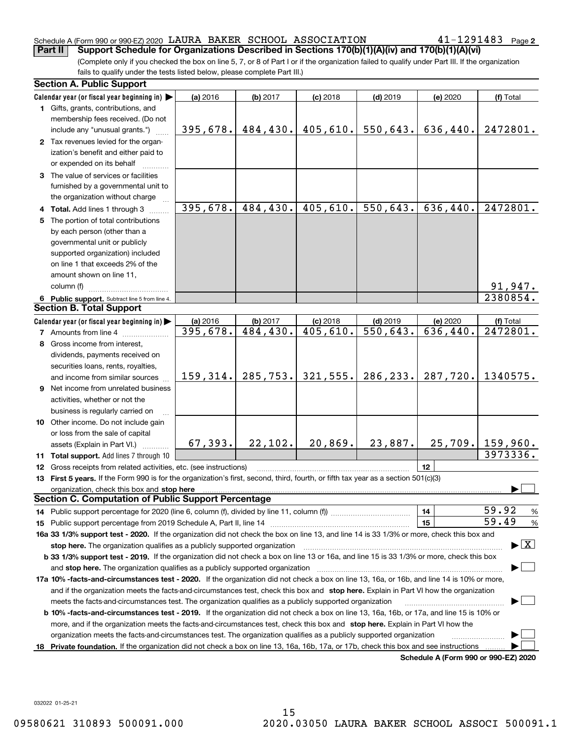#### Schedule A (Form 990 or 990-EZ) 2020  $\,$  LAURA BAKER <code>SCHOOL</code> <code>ASSOCIATION</code>  $\,$  <code>41–1291483</code> <code> Page</code> **Part II Support Schedule for Organizations Described in Sections 170(b)(1)(A)(iv) and 170(b)(1)(A)(vi)**

**2**

(Complete only if you checked the box on line 5, 7, or 8 of Part I or if the organization failed to qualify under Part III. If the organization fails to qualify under the tests listed below, please complete Part III.)

| <b>Section A. Public Support</b>                                                                                                               |           |           |            |            |          |                                         |
|------------------------------------------------------------------------------------------------------------------------------------------------|-----------|-----------|------------|------------|----------|-----------------------------------------|
| Calendar year (or fiscal year beginning in) $\blacktriangleright$                                                                              | (a) 2016  | (b) 2017  | $(c)$ 2018 | $(d)$ 2019 | (e) 2020 | (f) Total                               |
| <b>1</b> Gifts, grants, contributions, and                                                                                                     |           |           |            |            |          |                                         |
| membership fees received. (Do not                                                                                                              |           |           |            |            |          |                                         |
| include any "unusual grants.")                                                                                                                 | 395,678.  | 484,430.  | 405,610.   | 550, 643.  | 636,440. | 2472801.                                |
| 2 Tax revenues levied for the organ-                                                                                                           |           |           |            |            |          |                                         |
| ization's benefit and either paid to                                                                                                           |           |           |            |            |          |                                         |
| or expended on its behalf                                                                                                                      |           |           |            |            |          |                                         |
| 3 The value of services or facilities                                                                                                          |           |           |            |            |          |                                         |
| furnished by a governmental unit to                                                                                                            |           |           |            |            |          |                                         |
| the organization without charge                                                                                                                |           |           |            |            |          |                                         |
| 4 Total. Add lines 1 through 3                                                                                                                 | 395,678.  | 484,430.  | 405,610.   | 550,643.   | 636,440. | 2472801.                                |
| 5 The portion of total contributions                                                                                                           |           |           |            |            |          |                                         |
| by each person (other than a                                                                                                                   |           |           |            |            |          |                                         |
| governmental unit or publicly                                                                                                                  |           |           |            |            |          |                                         |
| supported organization) included                                                                                                               |           |           |            |            |          |                                         |
| on line 1 that exceeds 2% of the                                                                                                               |           |           |            |            |          |                                         |
| amount shown on line 11,                                                                                                                       |           |           |            |            |          |                                         |
| column (f)                                                                                                                                     |           |           |            |            |          | $\frac{91,947.}{2380854.}$              |
| 6 Public support. Subtract line 5 from line 4.                                                                                                 |           |           |            |            |          |                                         |
| <b>Section B. Total Support</b>                                                                                                                |           |           |            |            |          |                                         |
| Calendar year (or fiscal year beginning in)                                                                                                    | (a) 2016  | (b) 2017  | $(c)$ 2018 | $(d)$ 2019 | (e) 2020 | (f) Total                               |
| <b>7</b> Amounts from line 4                                                                                                                   | 395,678.  | 484, 430. | 405,610.   | 550, 643.  | 636,440. | 2472801.                                |
| 8 Gross income from interest,                                                                                                                  |           |           |            |            |          |                                         |
| dividends, payments received on                                                                                                                |           |           |            |            |          |                                         |
| securities loans, rents, royalties,                                                                                                            |           |           |            |            |          |                                         |
| and income from similar sources                                                                                                                | 159, 314. | 285, 753. | 321,555.   | 286, 233.  | 287,720. | 1340575.                                |
| 9 Net income from unrelated business                                                                                                           |           |           |            |            |          |                                         |
| activities, whether or not the                                                                                                                 |           |           |            |            |          |                                         |
| business is regularly carried on                                                                                                               |           |           |            |            |          |                                         |
| <b>10</b> Other income. Do not include gain                                                                                                    |           |           |            |            |          |                                         |
| or loss from the sale of capital                                                                                                               |           |           |            |            |          |                                         |
| assets (Explain in Part VI.) <b>Constant</b>                                                                                                   | 67, 393.  | 22,102.   | 20,869.    | 23,887.    |          | $25,709.$ 159,960.                      |
| <b>11 Total support.</b> Add lines 7 through 10                                                                                                |           |           |            |            |          | 3973336.                                |
| 12 Gross receipts from related activities, etc. (see instructions)                                                                             |           |           |            |            | 12       |                                         |
| 13 First 5 years. If the Form 990 is for the organization's first, second, third, fourth, or fifth tax year as a section 501(c)(3)             |           |           |            |            |          |                                         |
| organization, check this box and stop here                                                                                                     |           |           |            |            |          |                                         |
| <b>Section C. Computation of Public Support Percentage</b>                                                                                     |           |           |            |            |          |                                         |
|                                                                                                                                                |           |           |            |            | 14       | 59.92<br>$\frac{9}{6}$                  |
|                                                                                                                                                |           |           |            |            | 15       | 59.49<br>%                              |
| 16a 33 1/3% support test - 2020. If the organization did not check the box on line 13, and line 14 is 33 1/3% or more, check this box and      |           |           |            |            |          |                                         |
| stop here. The organization qualifies as a publicly supported organization                                                                     |           |           |            |            |          | $\blacktriangleright$ $\vert$ X $\vert$ |
| b 33 1/3% support test - 2019. If the organization did not check a box on line 13 or 16a, and line 15 is 33 1/3% or more, check this box       |           |           |            |            |          |                                         |
| and stop here. The organization qualifies as a publicly supported organization                                                                 |           |           |            |            |          |                                         |
| 17a 10% -facts-and-circumstances test - 2020. If the organization did not check a box on line 13, 16a, or 16b, and line 14 is 10% or more,     |           |           |            |            |          |                                         |
| and if the organization meets the facts and circumstances test, check this box and stop here. Explain in Part VI how the organization          |           |           |            |            |          |                                         |
| meets the facts-and-circumstances test. The organization qualifies as a publicly supported organization                                        |           |           |            |            |          |                                         |
| <b>b 10% -facts-and-circumstances test - 2019.</b> If the organization did not check a box on line 13, 16a, 16b, or 17a, and line 15 is 10% or |           |           |            |            |          |                                         |
| more, and if the organization meets the facts-and-circumstances test, check this box and stop here. Explain in Part VI how the                 |           |           |            |            |          |                                         |
| organization meets the facts-and-circumstances test. The organization qualifies as a publicly supported organization                           |           |           |            |            |          |                                         |
| 18 Private foundation. If the organization did not check a box on line 13, 16a, 16b, 17a, or 17b, check this box and see instructions          |           |           |            |            |          |                                         |
|                                                                                                                                                |           |           |            |            |          | Schedule A (Form 990 or 990-EZ) 2020    |

**Schedule A (Form 990 or 990-EZ) 2020**

032022 01-25-21

15 09580621 310893 500091.000 2020.03050 LAURA BAKER SCHOOL ASSOCI 500091.1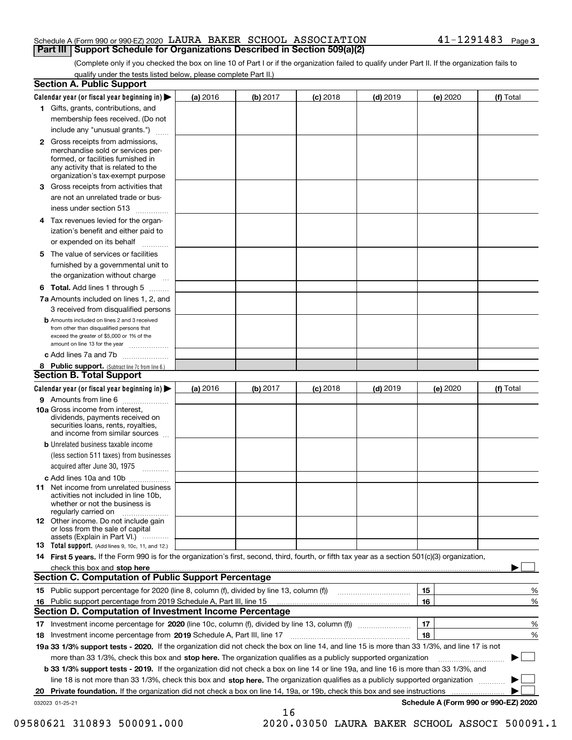#### Schedule A (Form 990 or 990-EZ) 2020  $\,$  LAURA BAKER <code>SCHOOL</code> <code>ASSOCIATION</code>  $\,$  <code>41–1291483</code> <code> Page</code> **Part III Support Schedule for Organizations Described in Section 509(a)(2)**

(Complete only if you checked the box on line 10 of Part I or if the organization failed to qualify under Part II. If the organization fails to qualify under the tests listed below, please complete Part II.)

|    | <b>Section A. Public Support</b>                                                                                                                                                                                              |          |          |            |            |          |                                      |
|----|-------------------------------------------------------------------------------------------------------------------------------------------------------------------------------------------------------------------------------|----------|----------|------------|------------|----------|--------------------------------------|
|    | Calendar year (or fiscal year beginning in) $\blacktriangleright$                                                                                                                                                             | (a) 2016 | (b) 2017 | $(c)$ 2018 | $(d)$ 2019 | (e) 2020 | (f) Total                            |
|    | 1 Gifts, grants, contributions, and                                                                                                                                                                                           |          |          |            |            |          |                                      |
|    | membership fees received. (Do not                                                                                                                                                                                             |          |          |            |            |          |                                      |
|    | include any "unusual grants.")                                                                                                                                                                                                |          |          |            |            |          |                                      |
|    | 2 Gross receipts from admissions,<br>merchandise sold or services per-<br>formed, or facilities furnished in<br>any activity that is related to the<br>organization's tax-exempt purpose                                      |          |          |            |            |          |                                      |
|    | 3 Gross receipts from activities that<br>are not an unrelated trade or bus-                                                                                                                                                   |          |          |            |            |          |                                      |
|    | iness under section 513                                                                                                                                                                                                       |          |          |            |            |          |                                      |
|    | 4 Tax revenues levied for the organ-                                                                                                                                                                                          |          |          |            |            |          |                                      |
|    | ization's benefit and either paid to<br>or expended on its behalf<br>.                                                                                                                                                        |          |          |            |            |          |                                      |
|    | 5 The value of services or facilities                                                                                                                                                                                         |          |          |            |            |          |                                      |
|    | furnished by a governmental unit to                                                                                                                                                                                           |          |          |            |            |          |                                      |
|    | the organization without charge                                                                                                                                                                                               |          |          |            |            |          |                                      |
|    | <b>6 Total.</b> Add lines 1 through 5                                                                                                                                                                                         |          |          |            |            |          |                                      |
|    | 7a Amounts included on lines 1, 2, and                                                                                                                                                                                        |          |          |            |            |          |                                      |
|    | 3 received from disqualified persons                                                                                                                                                                                          |          |          |            |            |          |                                      |
|    | <b>b</b> Amounts included on lines 2 and 3 received<br>from other than disqualified persons that<br>exceed the greater of \$5,000 or 1% of the<br>amount on line 13 for the year                                              |          |          |            |            |          |                                      |
|    | c Add lines 7a and 7b                                                                                                                                                                                                         |          |          |            |            |          |                                      |
|    | 8 Public support. (Subtract line 7c from line 6.)                                                                                                                                                                             |          |          |            |            |          |                                      |
|    | <b>Section B. Total Support</b>                                                                                                                                                                                               |          |          |            |            |          |                                      |
|    | Calendar year (or fiscal year beginning in) $\blacktriangleright$                                                                                                                                                             | (a) 2016 | (b) 2017 | $(c)$ 2018 | $(d)$ 2019 | (e) 2020 | (f) Total                            |
|    | 9 Amounts from line 6                                                                                                                                                                                                         |          |          |            |            |          |                                      |
|    | 10a Gross income from interest,<br>dividends, payments received on<br>securities loans, rents, royalties,<br>and income from similar sources                                                                                  |          |          |            |            |          |                                      |
|    | <b>b</b> Unrelated business taxable income<br>(less section 511 taxes) from businesses                                                                                                                                        |          |          |            |            |          |                                      |
|    | acquired after June 30, 1975                                                                                                                                                                                                  |          |          |            |            |          |                                      |
|    | c Add lines 10a and 10b<br>11 Net income from unrelated business<br>activities not included in line 10b,<br>whether or not the business is<br>regularly carried on                                                            |          |          |            |            |          |                                      |
|    | 12 Other income. Do not include gain<br>or loss from the sale of capital<br>assets (Explain in Part VI.)                                                                                                                      |          |          |            |            |          |                                      |
|    | <b>13</b> Total support. (Add lines 9, 10c, 11, and 12.)                                                                                                                                                                      |          |          |            |            |          |                                      |
|    | 14 First 5 years. If the Form 990 is for the organization's first, second, third, fourth, or fifth tax year as a section 501(c)(3) organization,                                                                              |          |          |            |            |          |                                      |
|    | check this box and stop here with the continuum control to the control of the state of the state of the control of the state of the control of the control of the control of the control of the control of the control of the |          |          |            |            |          |                                      |
|    | <b>Section C. Computation of Public Support Percentage</b>                                                                                                                                                                    |          |          |            |            |          |                                      |
|    | 15 Public support percentage for 2020 (line 8, column (f), divided by line 13, column (f))                                                                                                                                    |          |          |            |            | 15       | %                                    |
|    | 16 Public support percentage from 2019 Schedule A, Part III, line 15                                                                                                                                                          |          |          |            |            | 16       | %                                    |
|    | <b>Section D. Computation of Investment Income Percentage</b>                                                                                                                                                                 |          |          |            |            |          |                                      |
|    | 17 Investment income percentage for 2020 (line 10c, column (f), divided by line 13, column (f))                                                                                                                               |          |          |            |            | 17       | %                                    |
|    | <b>18</b> Investment income percentage from <b>2019</b> Schedule A, Part III, line 17                                                                                                                                         |          |          |            |            | 18       | %                                    |
|    | 19a 33 1/3% support tests - 2020. If the organization did not check the box on line 14, and line 15 is more than 33 1/3%, and line 17 is not                                                                                  |          |          |            |            |          |                                      |
|    | more than 33 1/3%, check this box and stop here. The organization qualifies as a publicly supported organization                                                                                                              |          |          |            |            |          | ▶                                    |
|    | b 33 1/3% support tests - 2019. If the organization did not check a box on line 14 or line 19a, and line 16 is more than 33 1/3%, and                                                                                         |          |          |            |            |          |                                      |
|    | line 18 is not more than 33 1/3%, check this box and stop here. The organization qualifies as a publicly supported organization                                                                                               |          |          |            |            |          |                                      |
| 20 | <b>Private foundation.</b> If the organization did not check a box on line 14, 19a, or 19b, check this box and see instructions                                                                                               |          |          |            |            |          |                                      |
|    | 032023 01-25-21                                                                                                                                                                                                               |          | 16       |            |            |          | Schedule A (Form 990 or 990-EZ) 2020 |

09580621 310893 500091.000 2020.03050 LAURA BAKER SCHOOL ASSOCI 500091.1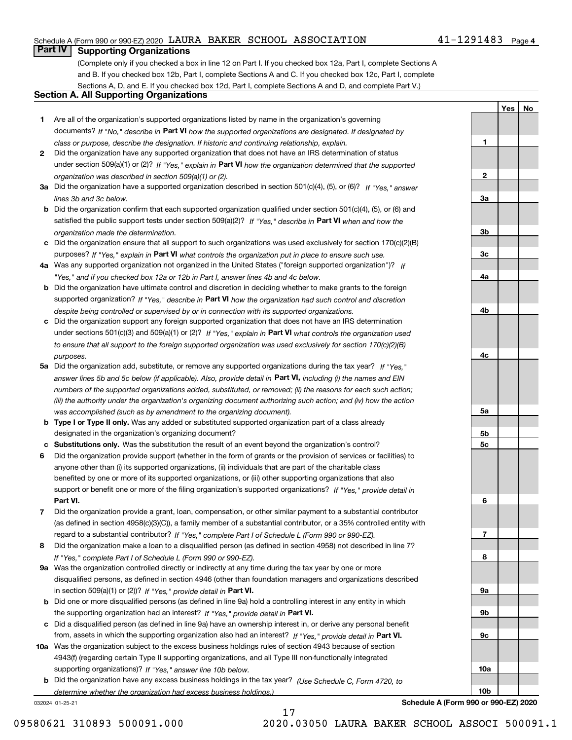### Schedule A (Form 990 or 990-EZ) 2020 LAURA BAKER SCHOOL ASSOCIATION 41-1291483 Page

### **Part IV Supporting Organizations**

(Complete only if you checked a box in line 12 on Part I. If you checked box 12a, Part I, complete Sections A and B. If you checked box 12b, Part I, complete Sections A and C. If you checked box 12c, Part I, complete Sections A, D, and E. If you checked box 12d, Part I, complete Sections A and D, and complete Part V.)

### **Section A. All Supporting Organizations**

- **1** Are all of the organization's supported organizations listed by name in the organization's governing documents? If "No," describe in **Part VI** how the supported organizations are designated. If designated by *class or purpose, describe the designation. If historic and continuing relationship, explain.*
- **2** Did the organization have any supported organization that does not have an IRS determination of status under section 509(a)(1) or (2)? If "Yes," explain in Part VI how the organization determined that the supported *organization was described in section 509(a)(1) or (2).*
- **3a** Did the organization have a supported organization described in section 501(c)(4), (5), or (6)? If "Yes," answer *lines 3b and 3c below.*
- **b** Did the organization confirm that each supported organization qualified under section 501(c)(4), (5), or (6) and satisfied the public support tests under section 509(a)(2)? If "Yes," describe in **Part VI** when and how the *organization made the determination.*
- **c**Did the organization ensure that all support to such organizations was used exclusively for section 170(c)(2)(B) purposes? If "Yes," explain in **Part VI** what controls the organization put in place to ensure such use.
- **4a***If* Was any supported organization not organized in the United States ("foreign supported organization")? *"Yes," and if you checked box 12a or 12b in Part I, answer lines 4b and 4c below.*
- **b** Did the organization have ultimate control and discretion in deciding whether to make grants to the foreign supported organization? If "Yes," describe in **Part VI** how the organization had such control and discretion *despite being controlled or supervised by or in connection with its supported organizations.*
- **c** Did the organization support any foreign supported organization that does not have an IRS determination under sections 501(c)(3) and 509(a)(1) or (2)? If "Yes," explain in **Part VI** what controls the organization used *to ensure that all support to the foreign supported organization was used exclusively for section 170(c)(2)(B) purposes.*
- **5a** Did the organization add, substitute, or remove any supported organizations during the tax year? If "Yes," answer lines 5b and 5c below (if applicable). Also, provide detail in **Part VI,** including (i) the names and EIN *numbers of the supported organizations added, substituted, or removed; (ii) the reasons for each such action; (iii) the authority under the organization's organizing document authorizing such action; and (iv) how the action was accomplished (such as by amendment to the organizing document).*
- **b** Type I or Type II only. Was any added or substituted supported organization part of a class already designated in the organization's organizing document?
- **cSubstitutions only.**  Was the substitution the result of an event beyond the organization's control?
- **6** Did the organization provide support (whether in the form of grants or the provision of services or facilities) to **Part VI.** *If "Yes," provide detail in* support or benefit one or more of the filing organization's supported organizations? anyone other than (i) its supported organizations, (ii) individuals that are part of the charitable class benefited by one or more of its supported organizations, or (iii) other supporting organizations that also
- **7**Did the organization provide a grant, loan, compensation, or other similar payment to a substantial contributor *If "Yes," complete Part I of Schedule L (Form 990 or 990-EZ).* regard to a substantial contributor? (as defined in section 4958(c)(3)(C)), a family member of a substantial contributor, or a 35% controlled entity with
- **8** Did the organization make a loan to a disqualified person (as defined in section 4958) not described in line 7? *If "Yes," complete Part I of Schedule L (Form 990 or 990-EZ).*
- **9a** Was the organization controlled directly or indirectly at any time during the tax year by one or more in section 509(a)(1) or (2))? If "Yes," *provide detail in* <code>Part VI.</code> disqualified persons, as defined in section 4946 (other than foundation managers and organizations described
- **b** Did one or more disqualified persons (as defined in line 9a) hold a controlling interest in any entity in which the supporting organization had an interest? If "Yes," provide detail in P**art VI**.
- **c**Did a disqualified person (as defined in line 9a) have an ownership interest in, or derive any personal benefit from, assets in which the supporting organization also had an interest? If "Yes," provide detail in P**art VI.**
- **10a** Was the organization subject to the excess business holdings rules of section 4943 because of section supporting organizations)? If "Yes," answer line 10b below. 4943(f) (regarding certain Type II supporting organizations, and all Type III non-functionally integrated
- **b** Did the organization have any excess business holdings in the tax year? (Use Schedule C, Form 4720, to *determine whether the organization had excess business holdings.)*

17

032024 01-25-21

**Schedule A (Form 990 or 990-EZ) 2020**

**1**

**2**

**3a**

**3b**

**3c**

**4a**

**4b**

**4c**

**5a**

**5b5c**

**6**

**7**

**8**

**9a**

**9b**

**9c**

**10a**

**10b**

**Yes No**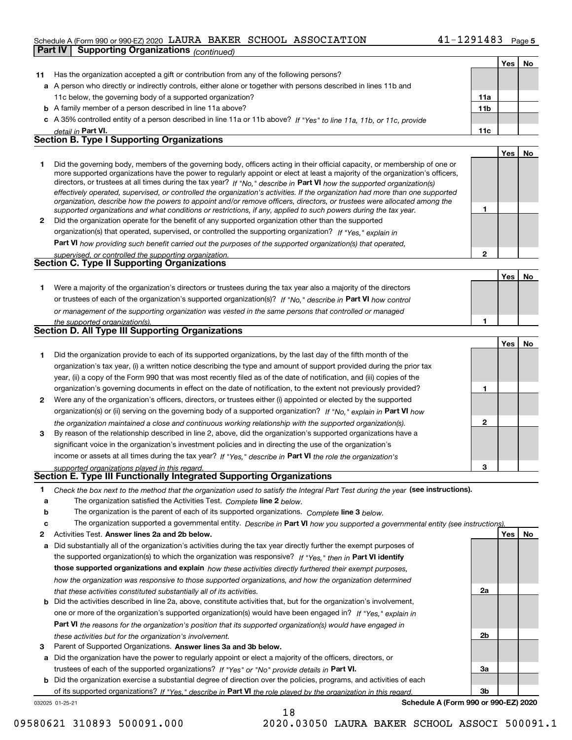### Schedule A (Form 990 or 990-EZ) 2020 LAURA BAKER SCHOOL ASSOCIATION 41-1291483 Page **Part IV Supporting Organizations** *(continued)*

|                  |                                                                                                                                                                                                                                                                                                                                                                                                                                                                                                                          |              | Yes   No |    |
|------------------|--------------------------------------------------------------------------------------------------------------------------------------------------------------------------------------------------------------------------------------------------------------------------------------------------------------------------------------------------------------------------------------------------------------------------------------------------------------------------------------------------------------------------|--------------|----------|----|
| 11               | Has the organization accepted a gift or contribution from any of the following persons?                                                                                                                                                                                                                                                                                                                                                                                                                                  |              |          |    |
|                  | a A person who directly or indirectly controls, either alone or together with persons described in lines 11b and                                                                                                                                                                                                                                                                                                                                                                                                         |              |          |    |
|                  | 11c below, the governing body of a supported organization?                                                                                                                                                                                                                                                                                                                                                                                                                                                               | 11a          |          |    |
|                  | <b>b</b> A family member of a person described in line 11a above?                                                                                                                                                                                                                                                                                                                                                                                                                                                        | 11b          |          |    |
|                  | c A 35% controlled entity of a person described in line 11a or 11b above? If "Yes" to line 11a, 11b, or 11c, provide                                                                                                                                                                                                                                                                                                                                                                                                     |              |          |    |
|                  | detail in Part VI.                                                                                                                                                                                                                                                                                                                                                                                                                                                                                                       | 11c          |          |    |
|                  | <b>Section B. Type I Supporting Organizations</b>                                                                                                                                                                                                                                                                                                                                                                                                                                                                        |              |          |    |
|                  |                                                                                                                                                                                                                                                                                                                                                                                                                                                                                                                          |              | Yes      | No |
| 1.               | Did the governing body, members of the governing body, officers acting in their official capacity, or membership of one or<br>more supported organizations have the power to regularly appoint or elect at least a majority of the organization's officers,<br>directors, or trustees at all times during the tax year? If "No," describe in Part VI how the supported organization(s)<br>effectively operated, supervised, or controlled the organization's activities. If the organization had more than one supported |              |          |    |
|                  | organization, describe how the powers to appoint and/or remove officers, directors, or trustees were allocated among the<br>supported organizations and what conditions or restrictions, if any, applied to such powers during the tax year.                                                                                                                                                                                                                                                                             | 1            |          |    |
| 2                | Did the organization operate for the benefit of any supported organization other than the supported                                                                                                                                                                                                                                                                                                                                                                                                                      |              |          |    |
|                  | organization(s) that operated, supervised, or controlled the supporting organization? If "Yes," explain in                                                                                                                                                                                                                                                                                                                                                                                                               |              |          |    |
|                  | Part VI how providing such benefit carried out the purposes of the supported organization(s) that operated,                                                                                                                                                                                                                                                                                                                                                                                                              |              |          |    |
|                  | supervised, or controlled the supporting organization.                                                                                                                                                                                                                                                                                                                                                                                                                                                                   | $\mathbf{2}$ |          |    |
|                  | <b>Section C. Type II Supporting Organizations</b>                                                                                                                                                                                                                                                                                                                                                                                                                                                                       |              |          |    |
|                  |                                                                                                                                                                                                                                                                                                                                                                                                                                                                                                                          |              | Yes      | No |
|                  |                                                                                                                                                                                                                                                                                                                                                                                                                                                                                                                          |              |          |    |
| 1.               | Were a majority of the organization's directors or trustees during the tax year also a majority of the directors                                                                                                                                                                                                                                                                                                                                                                                                         |              |          |    |
|                  | or trustees of each of the organization's supported organization(s)? If "No," describe in Part VI how control                                                                                                                                                                                                                                                                                                                                                                                                            |              |          |    |
|                  | or management of the supporting organization was vested in the same persons that controlled or managed                                                                                                                                                                                                                                                                                                                                                                                                                   |              |          |    |
|                  | the supported organization(s).<br><b>Section D. All Type III Supporting Organizations</b>                                                                                                                                                                                                                                                                                                                                                                                                                                | 1            |          |    |
|                  |                                                                                                                                                                                                                                                                                                                                                                                                                                                                                                                          |              |          |    |
|                  |                                                                                                                                                                                                                                                                                                                                                                                                                                                                                                                          |              | Yes      | No |
| 1                | Did the organization provide to each of its supported organizations, by the last day of the fifth month of the                                                                                                                                                                                                                                                                                                                                                                                                           |              |          |    |
|                  | organization's tax year, (i) a written notice describing the type and amount of support provided during the prior tax                                                                                                                                                                                                                                                                                                                                                                                                    |              |          |    |
|                  | year, (ii) a copy of the Form 990 that was most recently filed as of the date of notification, and (iii) copies of the                                                                                                                                                                                                                                                                                                                                                                                                   |              |          |    |
|                  | organization's governing documents in effect on the date of notification, to the extent not previously provided?                                                                                                                                                                                                                                                                                                                                                                                                         | 1            |          |    |
| 2                | Were any of the organization's officers, directors, or trustees either (i) appointed or elected by the supported                                                                                                                                                                                                                                                                                                                                                                                                         |              |          |    |
|                  | organization(s) or (ii) serving on the governing body of a supported organization? If "No," explain in Part VI how                                                                                                                                                                                                                                                                                                                                                                                                       |              |          |    |
|                  | the organization maintained a close and continuous working relationship with the supported organization(s).                                                                                                                                                                                                                                                                                                                                                                                                              | $\mathbf{2}$ |          |    |
| 3                | By reason of the relationship described in line 2, above, did the organization's supported organizations have a                                                                                                                                                                                                                                                                                                                                                                                                          |              |          |    |
|                  | significant voice in the organization's investment policies and in directing the use of the organization's                                                                                                                                                                                                                                                                                                                                                                                                               |              |          |    |
|                  | income or assets at all times during the tax year? If "Yes," describe in Part VI the role the organization's                                                                                                                                                                                                                                                                                                                                                                                                             |              |          |    |
|                  | supported organizations played in this regard.                                                                                                                                                                                                                                                                                                                                                                                                                                                                           | 3            |          |    |
|                  | <b>Section E. Type III Functionally Integrated Supporting Organizations</b>                                                                                                                                                                                                                                                                                                                                                                                                                                              |              |          |    |
| 1<br>a<br>b<br>c | Check the box next to the method that the organization used to satisfy the Integral Part Test during the year (see instructions).<br>The organization satisfied the Activities Test. Complete line 2 below.<br>The organization is the parent of each of its supported organizations. Complete line 3 below.<br>The organization supported a governmental entity. Describe in Part VI how you supported a governmental entity (see instructions).                                                                        |              |          |    |
| 2                | Activities Test. Answer lines 2a and 2b below.                                                                                                                                                                                                                                                                                                                                                                                                                                                                           |              | Yes      | No |
| a                | Did substantially all of the organization's activities during the tax year directly further the exempt purposes of                                                                                                                                                                                                                                                                                                                                                                                                       |              |          |    |
|                  | the supported organization(s) to which the organization was responsive? If "Yes," then in Part VI identify                                                                                                                                                                                                                                                                                                                                                                                                               |              |          |    |
|                  | those supported organizations and explain how these activities directly furthered their exempt purposes,                                                                                                                                                                                                                                                                                                                                                                                                                 |              |          |    |
|                  | how the organization was responsive to those supported organizations, and how the organization determined                                                                                                                                                                                                                                                                                                                                                                                                                |              |          |    |
|                  | that these activities constituted substantially all of its activities.                                                                                                                                                                                                                                                                                                                                                                                                                                                   | 2a           |          |    |
|                  | <b>b</b> Did the activities described in line 2a, above, constitute activities that, but for the organization's involvement,                                                                                                                                                                                                                                                                                                                                                                                             |              |          |    |
|                  | one or more of the organization's supported organization(s) would have been engaged in? If "Yes," explain in                                                                                                                                                                                                                                                                                                                                                                                                             |              |          |    |
|                  |                                                                                                                                                                                                                                                                                                                                                                                                                                                                                                                          |              |          |    |
|                  | <b>Part VI</b> the reasons for the organization's position that its supported organization(s) would have engaged in                                                                                                                                                                                                                                                                                                                                                                                                      | 2b           |          |    |
|                  | these activities but for the organization's involvement.                                                                                                                                                                                                                                                                                                                                                                                                                                                                 |              |          |    |
| 3                | Parent of Supported Organizations. Answer lines 3a and 3b below.                                                                                                                                                                                                                                                                                                                                                                                                                                                         |              |          |    |
|                  | a Did the organization have the power to regularly appoint or elect a majority of the officers, directors, or                                                                                                                                                                                                                                                                                                                                                                                                            |              |          |    |
|                  | trustees of each of the supported organizations? If "Yes" or "No" provide details in Part VI.                                                                                                                                                                                                                                                                                                                                                                                                                            | За           |          |    |
|                  | <b>b</b> Did the organization exercise a substantial degree of direction over the policies, programs, and activities of each                                                                                                                                                                                                                                                                                                                                                                                             |              |          |    |
|                  | of its supported organizations? If "Yes." describe in Part VI the role played by the organization in this regard.                                                                                                                                                                                                                                                                                                                                                                                                        | 3b           |          |    |

18

032025 01-25-21

**Schedule A (Form 990 or 990-EZ) 2020**

<sup>09580621</sup> <sup>310893</sup> 500091.000 2020.03050 LAURA BAKER SCHOOL ASSOCI 500091.1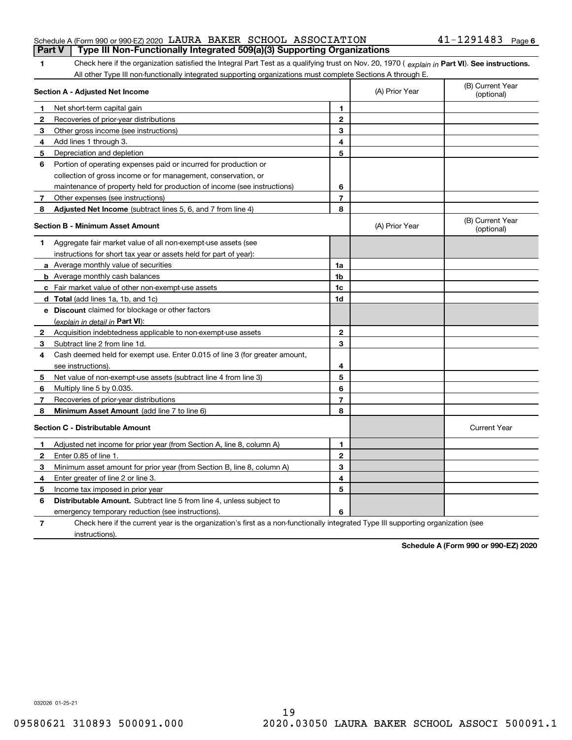#### Schedule A (Form 990 or 990-EZ) 2020 LAURA BAKER SCHOOL ASSOCIATION 41-1291483 Page **Part V Type III Non-Functionally Integrated 509(a)(3) Supporting Organizations**

**1Part VI** Check here if the organization satisfied the Integral Part Test as a qualifying trust on Nov. 20, 1970 ( *explain in* Part VI). See instructions.<br>All other Type III pen functionally integrated supporting examizat All other Type III non-functionally integrated supporting organizations must complete Sections A through E.

|              | Section A - Adjusted Net Income                                                                                                   |                | (A) Prior Year | (B) Current Year<br>(optional) |
|--------------|-----------------------------------------------------------------------------------------------------------------------------------|----------------|----------------|--------------------------------|
| 1            | Net short-term capital gain                                                                                                       | 1              |                |                                |
| $\mathbf{2}$ | Recoveries of prior-year distributions                                                                                            | $\mathbf{2}$   |                |                                |
| 3            | Other gross income (see instructions)                                                                                             | 3              |                |                                |
| 4            | Add lines 1 through 3.                                                                                                            | 4              |                |                                |
| 5            | Depreciation and depletion                                                                                                        | 5              |                |                                |
| 6            | Portion of operating expenses paid or incurred for production or                                                                  |                |                |                                |
|              | collection of gross income or for management, conservation, or                                                                    |                |                |                                |
|              | maintenance of property held for production of income (see instructions)                                                          | 6              |                |                                |
| 7            | Other expenses (see instructions)                                                                                                 | $\overline{7}$ |                |                                |
| 8            | Adjusted Net Income (subtract lines 5, 6, and 7 from line 4)                                                                      | 8              |                |                                |
|              | <b>Section B - Minimum Asset Amount</b>                                                                                           |                | (A) Prior Year | (B) Current Year<br>(optional) |
| 1            | Aggregate fair market value of all non-exempt-use assets (see                                                                     |                |                |                                |
|              | instructions for short tax year or assets held for part of year):                                                                 |                |                |                                |
|              | <b>a</b> Average monthly value of securities                                                                                      | 1a             |                |                                |
|              | <b>b</b> Average monthly cash balances                                                                                            | 1 <sub>b</sub> |                |                                |
|              | c Fair market value of other non-exempt-use assets                                                                                | 1c             |                |                                |
|              | d Total (add lines 1a, 1b, and 1c)                                                                                                | 1d             |                |                                |
|              | e Discount claimed for blockage or other factors                                                                                  |                |                |                                |
|              | (explain in detail in Part VI):                                                                                                   |                |                |                                |
| 2            | Acquisition indebtedness applicable to non-exempt-use assets                                                                      | $\mathbf{2}$   |                |                                |
| 3            | Subtract line 2 from line 1d.                                                                                                     | 3              |                |                                |
| 4            | Cash deemed held for exempt use. Enter 0.015 of line 3 (for greater amount,                                                       |                |                |                                |
|              | see instructions)                                                                                                                 | 4              |                |                                |
| 5            | Net value of non-exempt-use assets (subtract line 4 from line 3)                                                                  | 5              |                |                                |
| 6            | Multiply line 5 by 0.035.                                                                                                         | 6              |                |                                |
| 7            | Recoveries of prior-year distributions                                                                                            | 7              |                |                                |
| 8            | <b>Minimum Asset Amount</b> (add line 7 to line 6)                                                                                | 8              |                |                                |
|              | <b>Section C - Distributable Amount</b>                                                                                           |                |                | <b>Current Year</b>            |
| 1            | Adjusted net income for prior year (from Section A, line 8, column A)                                                             | 1              |                |                                |
| 2            | Enter 0.85 of line 1.                                                                                                             | $\mathbf{2}$   |                |                                |
| 3            | Minimum asset amount for prior year (from Section B, line 8, column A)                                                            | 3              |                |                                |
| 4            | Enter greater of line 2 or line 3.                                                                                                | 4              |                |                                |
| 5            | Income tax imposed in prior year                                                                                                  | 5              |                |                                |
| 6            | <b>Distributable Amount.</b> Subtract line 5 from line 4, unless subject to                                                       |                |                |                                |
|              | emergency temporary reduction (see instructions).                                                                                 | 6              |                |                                |
| 7            | Check here if the current year is the organization's first as a non-functionally integrated Type III supporting organization (see |                |                |                                |

instructions).

**Schedule A (Form 990 or 990-EZ) 2020**

032026 01-25-21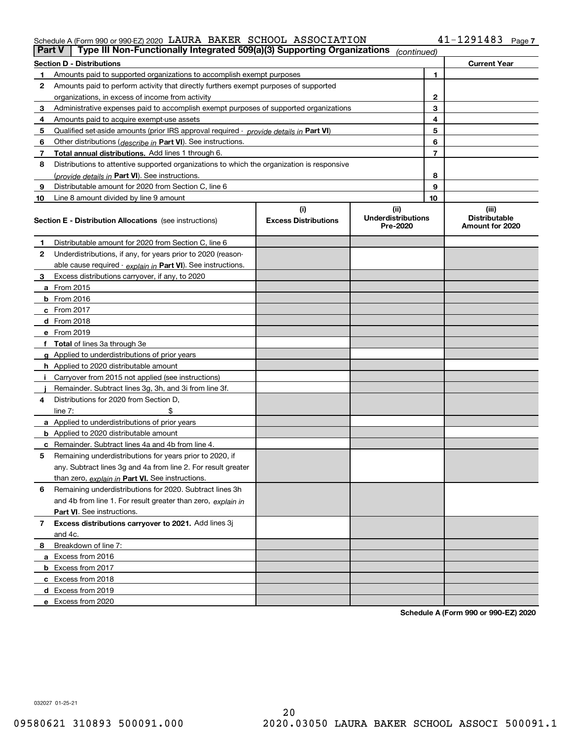#### Schedule A (Form 990 or 990-EZ) 2020 LAURA BAKER SCHOOL ASSOCIATION 4 L-I ZY I 4 8 3 Page LAURA BAKER SCHOOL ASSOCIATION 41-1291483

| Part V         | Type III Non-Functionally Integrated 509(a)(3) Supporting Organizations                    |                                    | (continued)                                   |    |                                                  |
|----------------|--------------------------------------------------------------------------------------------|------------------------------------|-----------------------------------------------|----|--------------------------------------------------|
|                | <b>Section D - Distributions</b>                                                           |                                    |                                               |    | <b>Current Year</b>                              |
| 1.             | Amounts paid to supported organizations to accomplish exempt purposes                      |                                    |                                               | 1  |                                                  |
| 2              | Amounts paid to perform activity that directly furthers exempt purposes of supported       |                                    |                                               |    |                                                  |
|                | organizations, in excess of income from activity                                           |                                    | 2                                             |    |                                                  |
| 3              | Administrative expenses paid to accomplish exempt purposes of supported organizations      |                                    |                                               | 3  |                                                  |
| 4              | Amounts paid to acquire exempt-use assets                                                  |                                    |                                               | 4  |                                                  |
| 5              | Qualified set-aside amounts (prior IRS approval required - provide details in Part VI)     |                                    |                                               | 5  |                                                  |
| 6              | Other distributions ( <i>describe in</i> Part VI). See instructions.                       |                                    |                                               | 6  |                                                  |
| 7              | Total annual distributions. Add lines 1 through 6.                                         |                                    |                                               | 7  |                                                  |
| 8              | Distributions to attentive supported organizations to which the organization is responsive |                                    |                                               |    |                                                  |
|                | (provide details in Part VI). See instructions.                                            |                                    |                                               | 8  |                                                  |
| 9              | Distributable amount for 2020 from Section C, line 6                                       |                                    |                                               | 9  |                                                  |
| 10             | Line 8 amount divided by line 9 amount                                                     |                                    |                                               | 10 |                                                  |
|                | <b>Section E - Distribution Allocations</b> (see instructions)                             | (i)<br><b>Excess Distributions</b> | (ii)<br><b>Underdistributions</b><br>Pre-2020 |    | (iii)<br><b>Distributable</b><br>Amount for 2020 |
| 1              | Distributable amount for 2020 from Section C, line 6                                       |                                    |                                               |    |                                                  |
| 2              | Underdistributions, if any, for years prior to 2020 (reason-                               |                                    |                                               |    |                                                  |
|                | able cause required - explain in Part VI). See instructions.                               |                                    |                                               |    |                                                  |
| 3              | Excess distributions carryover, if any, to 2020                                            |                                    |                                               |    |                                                  |
|                | a From 2015                                                                                |                                    |                                               |    |                                                  |
|                | <b>b</b> From 2016                                                                         |                                    |                                               |    |                                                  |
|                | $c$ From 2017                                                                              |                                    |                                               |    |                                                  |
|                | <b>d</b> From 2018                                                                         |                                    |                                               |    |                                                  |
|                | e From 2019                                                                                |                                    |                                               |    |                                                  |
|                | f Total of lines 3a through 3e                                                             |                                    |                                               |    |                                                  |
|                | g Applied to underdistributions of prior years                                             |                                    |                                               |    |                                                  |
|                | <b>h</b> Applied to 2020 distributable amount                                              |                                    |                                               |    |                                                  |
|                | Carryover from 2015 not applied (see instructions)                                         |                                    |                                               |    |                                                  |
|                | Remainder. Subtract lines 3g, 3h, and 3i from line 3f.                                     |                                    |                                               |    |                                                  |
| 4              | Distributions for 2020 from Section D,                                                     |                                    |                                               |    |                                                  |
|                | line $7:$                                                                                  |                                    |                                               |    |                                                  |
|                | a Applied to underdistributions of prior years                                             |                                    |                                               |    |                                                  |
|                | <b>b</b> Applied to 2020 distributable amount                                              |                                    |                                               |    |                                                  |
|                | c Remainder. Subtract lines 4a and 4b from line 4.                                         |                                    |                                               |    |                                                  |
| 5              | Remaining underdistributions for years prior to 2020, if                                   |                                    |                                               |    |                                                  |
|                | any. Subtract lines 3g and 4a from line 2. For result greater                              |                                    |                                               |    |                                                  |
|                | than zero, explain in Part VI. See instructions.                                           |                                    |                                               |    |                                                  |
| 6              | Remaining underdistributions for 2020. Subtract lines 3h                                   |                                    |                                               |    |                                                  |
|                | and 4b from line 1. For result greater than zero, explain in                               |                                    |                                               |    |                                                  |
|                | Part VI. See instructions.                                                                 |                                    |                                               |    |                                                  |
| $\overline{7}$ | Excess distributions carryover to 2021. Add lines 3j                                       |                                    |                                               |    |                                                  |
|                | and 4c.                                                                                    |                                    |                                               |    |                                                  |
| 8              | Breakdown of line 7:                                                                       |                                    |                                               |    |                                                  |
|                | a Excess from 2016                                                                         |                                    |                                               |    |                                                  |
|                | <b>b</b> Excess from 2017                                                                  |                                    |                                               |    |                                                  |
|                | c Excess from 2018                                                                         |                                    |                                               |    |                                                  |
|                | d Excess from 2019                                                                         |                                    |                                               |    |                                                  |
|                | e Excess from 2020                                                                         |                                    |                                               |    |                                                  |

**Schedule A (Form 990 or 990-EZ) 2020**

032027 01-25-21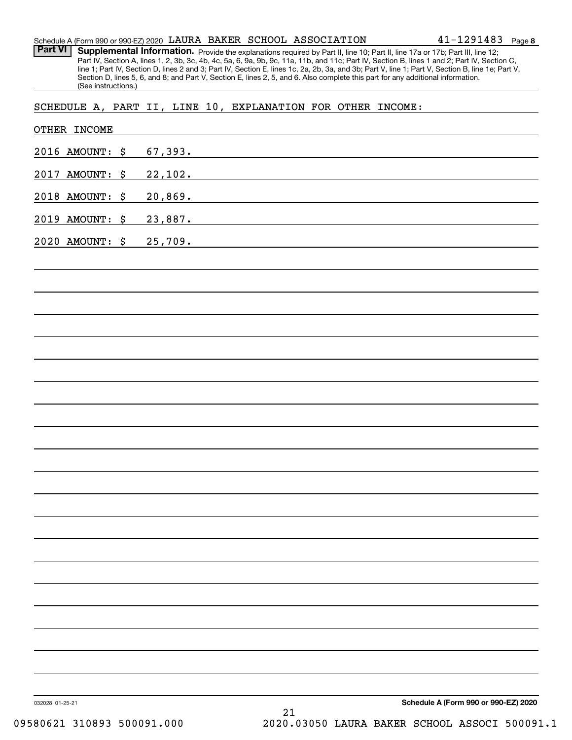| Schedule A (Form 990 or 990-EZ) 2020 LAURA BAKER SCHOOL ASSOCIATION |  |  | $41 - 1291483$ Page 8 |  |
|---------------------------------------------------------------------|--|--|-----------------------|--|
|                                                                     |  |  |                       |  |

Part VI | Supplemental Information. Provide the explanations required by Part II, line 10; Part II, line 17a or 17b; Part III, line 12; Part IV, Section A, lines 1, 2, 3b, 3c, 4b, 4c, 5a, 6, 9a, 9b, 9c, 11a, 11b, and 11c; Part IV, Section B, lines 1 and 2; Part IV, Section C, line 1; Part IV, Section D, lines 2 and 3; Part IV, Section E, lines 1c, 2a, 2b, 3a, and 3b; Part V, line 1; Part V, Section B, line 1e; Part V, Section D, lines 5, 6, and 8; and Part V, Section E, lines 2, 5, and 6. Also complete this part for any additional information. (See instructions.)

SCHEDULE A, PART II, LINE 10, EXPLANATION FOR OTHER INCOME:

| 2020 AMOUNT: \$ | 25,709. |                                                                                                                        |  |  |
|-----------------|---------|------------------------------------------------------------------------------------------------------------------------|--|--|
| 2019 AMOUNT: \$ | 23,887. | <u> 1989 - Johann John Stein, mars an deus Amerikaansk kommunister (</u>                                               |  |  |
| 2018 AMOUNT: \$ | 20,869. | <u> 1989 - Johann Stoff, deutscher Stoffen und der Stoffen und der Stoffen und der Stoffen und der Stoffen und der</u> |  |  |
| 2017 AMOUNT: \$ | 22,102. |                                                                                                                        |  |  |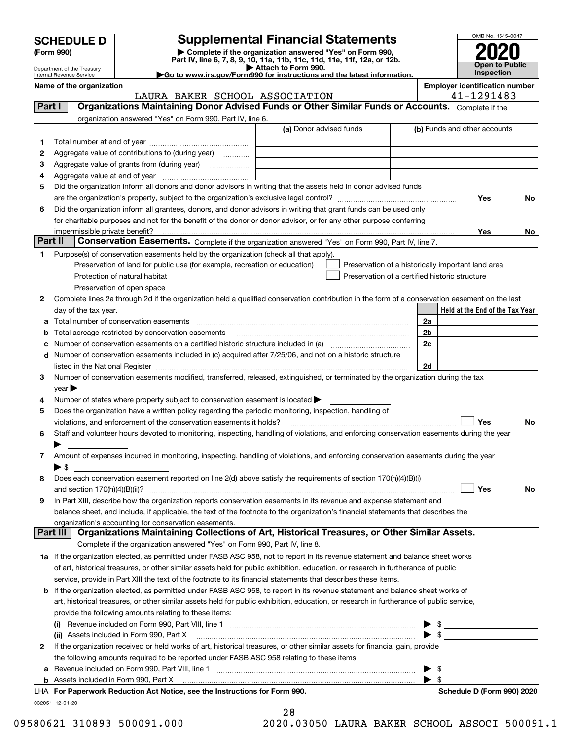| <b>SCHEDULE D</b> |  |
|-------------------|--|
|-------------------|--|

### **Supplemental Financial Statements**

(Form 990)<br>
Pepartment of the Treasury<br>
Department of the Treasury<br>
Department of the Treasury<br>
Department of the Treasury<br> **Co to www.irs.gov/Form990 for instructions and the latest information.**<br> **Co to www.irs.gov/Form9** 



Department of the Treasury Internal Revenue Service

**Name of the organization Employer identification number**

|         | LAURA BAKER SCHOOL ASSOCIATION                                                                                                                                                                                                |                                                | 41-1291483                                         |
|---------|-------------------------------------------------------------------------------------------------------------------------------------------------------------------------------------------------------------------------------|------------------------------------------------|----------------------------------------------------|
| Part I  | Organizations Maintaining Donor Advised Funds or Other Similar Funds or Accounts. Complete if the                                                                                                                             |                                                |                                                    |
|         | organization answered "Yes" on Form 990, Part IV, line 6.                                                                                                                                                                     |                                                |                                                    |
|         |                                                                                                                                                                                                                               | (a) Donor advised funds                        | (b) Funds and other accounts                       |
| 1       |                                                                                                                                                                                                                               |                                                |                                                    |
| 2       | Aggregate value of contributions to (during year)                                                                                                                                                                             |                                                |                                                    |
| 3       |                                                                                                                                                                                                                               |                                                |                                                    |
| 4       |                                                                                                                                                                                                                               |                                                |                                                    |
| 5       | Did the organization inform all donors and donor advisors in writing that the assets held in donor advised funds                                                                                                              |                                                |                                                    |
|         |                                                                                                                                                                                                                               |                                                | Yes<br>No                                          |
| 6       | Did the organization inform all grantees, donors, and donor advisors in writing that grant funds can be used only                                                                                                             |                                                |                                                    |
|         | for charitable purposes and not for the benefit of the donor or donor advisor, or for any other purpose conferring                                                                                                            |                                                |                                                    |
|         | impermissible private benefit?                                                                                                                                                                                                |                                                | Yes<br>No                                          |
| Part II | Conservation Easements. Complete if the organization answered "Yes" on Form 990, Part IV, line 7.                                                                                                                             |                                                |                                                    |
| 1       | Purpose(s) of conservation easements held by the organization (check all that apply).                                                                                                                                         |                                                |                                                    |
|         | Preservation of land for public use (for example, recreation or education)                                                                                                                                                    |                                                | Preservation of a historically important land area |
|         | Protection of natural habitat                                                                                                                                                                                                 | Preservation of a certified historic structure |                                                    |
|         | Preservation of open space                                                                                                                                                                                                    |                                                |                                                    |
| 2       | Complete lines 2a through 2d if the organization held a qualified conservation contribution in the form of a conservation easement on the last                                                                                |                                                |                                                    |
|         | day of the tax year.                                                                                                                                                                                                          |                                                | Held at the End of the Tax Year                    |
|         |                                                                                                                                                                                                                               |                                                | 2a                                                 |
|         |                                                                                                                                                                                                                               |                                                |                                                    |
| b       | Total acreage restricted by conservation easements                                                                                                                                                                            |                                                | 2 <sub>b</sub>                                     |
| с       |                                                                                                                                                                                                                               |                                                | 2c                                                 |
| d       | Number of conservation easements included in (c) acquired after 7/25/06, and not on a historic structure                                                                                                                      |                                                |                                                    |
|         | listed in the National Register [111] Marshall Register [11] Marshall Register [11] Marshall Register [11] Marshall Register [11] Marshall Register [11] Marshall Register [11] Marshall Register [11] Marshall Register [11] |                                                | 2d                                                 |
| 3       | Number of conservation easements modified, transferred, released, extinguished, or terminated by the organization during the tax                                                                                              |                                                |                                                    |
|         | $year \blacktriangleright$                                                                                                                                                                                                    |                                                |                                                    |
| 4       | Number of states where property subject to conservation easement is located >                                                                                                                                                 |                                                |                                                    |
| 5       | Does the organization have a written policy regarding the periodic monitoring, inspection, handling of                                                                                                                        |                                                |                                                    |
|         | violations, and enforcement of the conservation easements it holds?                                                                                                                                                           |                                                | Yes<br>No                                          |
| 6       | Staff and volunteer hours devoted to monitoring, inspecting, handling of violations, and enforcing conservation easements during the year                                                                                     |                                                |                                                    |
|         |                                                                                                                                                                                                                               |                                                |                                                    |
| 7       | Amount of expenses incurred in monitoring, inspecting, handling of violations, and enforcing conservation easements during the year                                                                                           |                                                |                                                    |
|         | $\blacktriangleright$ \$                                                                                                                                                                                                      |                                                |                                                    |
| 8       | Does each conservation easement reported on line 2(d) above satisfy the requirements of section 170(h)(4)(B)(i)                                                                                                               |                                                |                                                    |
|         |                                                                                                                                                                                                                               |                                                | Yes<br>No                                          |
| 9       | In Part XIII, describe how the organization reports conservation easements in its revenue and expense statement and                                                                                                           |                                                |                                                    |
|         | balance sheet, and include, if applicable, the text of the footnote to the organization's financial statements that describes the                                                                                             |                                                |                                                    |
|         | organization's accounting for conservation easements.                                                                                                                                                                         |                                                |                                                    |
|         | Organizations Maintaining Collections of Art, Historical Treasures, or Other Similar Assets.<br>Part III                                                                                                                      |                                                |                                                    |
|         | Complete if the organization answered "Yes" on Form 990, Part IV, line 8.                                                                                                                                                     |                                                |                                                    |
|         | 1a If the organization elected, as permitted under FASB ASC 958, not to report in its revenue statement and balance sheet works                                                                                               |                                                |                                                    |
|         | of art, historical treasures, or other similar assets held for public exhibition, education, or research in furtherance of public                                                                                             |                                                |                                                    |
|         | service, provide in Part XIII the text of the footnote to its financial statements that describes these items.                                                                                                                |                                                |                                                    |
| b       | If the organization elected, as permitted under FASB ASC 958, to report in its revenue statement and balance sheet works of                                                                                                   |                                                |                                                    |
|         | art, historical treasures, or other similar assets held for public exhibition, education, or research in furtherance of public service,                                                                                       |                                                |                                                    |
|         | provide the following amounts relating to these items:                                                                                                                                                                        |                                                |                                                    |
|         |                                                                                                                                                                                                                               |                                                | -\$                                                |
|         | (ii) Assets included in Form 990, Part X                                                                                                                                                                                      |                                                | $\blacktriangleright$ \$                           |
| 2       | If the organization received or held works of art, historical treasures, or other similar assets for financial gain, provide                                                                                                  |                                                |                                                    |
|         | the following amounts required to be reported under FASB ASC 958 relating to these items:                                                                                                                                     |                                                |                                                    |
| а       |                                                                                                                                                                                                                               |                                                | \$<br>▶                                            |
|         |                                                                                                                                                                                                                               |                                                | $\blacktriangleright$ \$                           |
|         | LHA For Paperwork Reduction Act Notice, see the Instructions for Form 990.                                                                                                                                                    |                                                | Schedule D (Form 990) 2020                         |

032051 12-01-20

28

<sup>09580621</sup> <sup>310893</sup> 500091.000 2020.03050 LAURA BAKER SCHOOL ASSOCI 500091.1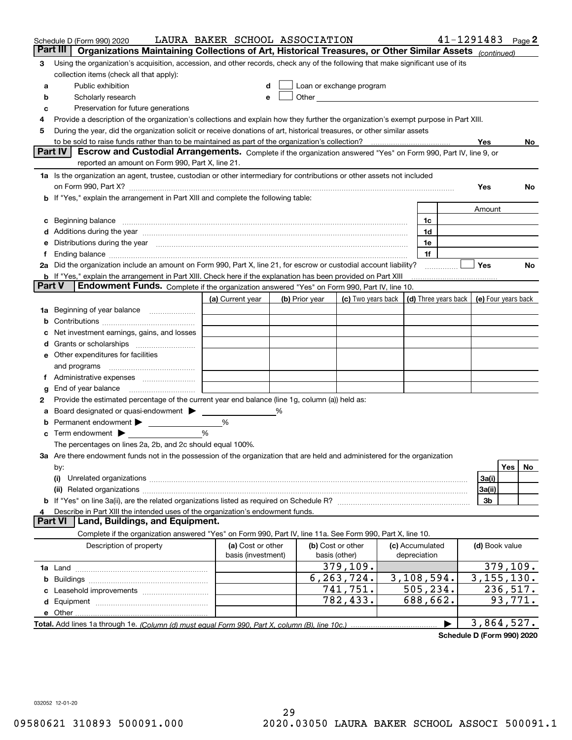|        | Schedule D (Form 990) 2020                                                                                                                                                                                                     | LAURA BAKER SCHOOL ASSOCIATION          |   |                |                                                                                                                                                                                                                               |                                 |                      | $41 - 1291483$ Page 2    |            |
|--------|--------------------------------------------------------------------------------------------------------------------------------------------------------------------------------------------------------------------------------|-----------------------------------------|---|----------------|-------------------------------------------------------------------------------------------------------------------------------------------------------------------------------------------------------------------------------|---------------------------------|----------------------|--------------------------|------------|
|        | Part III<br>Organizations Maintaining Collections of Art, Historical Treasures, or Other Similar Assets (continued)                                                                                                            |                                         |   |                |                                                                                                                                                                                                                               |                                 |                      |                          |            |
| 3      | Using the organization's acquisition, accession, and other records, check any of the following that make significant use of its<br>collection items (check all that apply):                                                    |                                         |   |                |                                                                                                                                                                                                                               |                                 |                      |                          |            |
| а      | Public exhibition                                                                                                                                                                                                              |                                         |   |                | Loan or exchange program                                                                                                                                                                                                      |                                 |                      |                          |            |
| b      | Scholarly research                                                                                                                                                                                                             |                                         | e |                | Other and the contract of the contract of the contract of the contract of the contract of the contract of the contract of the contract of the contract of the contract of the contract of the contract of the contract of the |                                 |                      |                          |            |
| c      | Preservation for future generations                                                                                                                                                                                            |                                         |   |                |                                                                                                                                                                                                                               |                                 |                      |                          |            |
| 4      | Provide a description of the organization's collections and explain how they further the organization's exempt purpose in Part XIII.                                                                                           |                                         |   |                |                                                                                                                                                                                                                               |                                 |                      |                          |            |
| 5      | During the year, did the organization solicit or receive donations of art, historical treasures, or other similar assets                                                                                                       |                                         |   |                |                                                                                                                                                                                                                               |                                 |                      |                          |            |
|        |                                                                                                                                                                                                                                |                                         |   |                |                                                                                                                                                                                                                               |                                 |                      | Yes                      | No.        |
|        | Escrow and Custodial Arrangements. Complete if the organization answered "Yes" on Form 990, Part IV, line 9, or<br><b>Part IV</b>                                                                                              |                                         |   |                |                                                                                                                                                                                                                               |                                 |                      |                          |            |
|        | reported an amount on Form 990, Part X, line 21.                                                                                                                                                                               |                                         |   |                |                                                                                                                                                                                                                               |                                 |                      |                          |            |
|        | 1a Is the organization an agent, trustee, custodian or other intermediary for contributions or other assets not included                                                                                                       |                                         |   |                |                                                                                                                                                                                                                               |                                 |                      | Yes                      | No.        |
|        | <b>b</b> If "Yes," explain the arrangement in Part XIII and complete the following table:                                                                                                                                      |                                         |   |                |                                                                                                                                                                                                                               |                                 |                      |                          |            |
|        |                                                                                                                                                                                                                                |                                         |   |                |                                                                                                                                                                                                                               |                                 |                      | Amount                   |            |
| c      | Beginning balance material contracts and contracts and contracts and contracts and contracts and contracts and                                                                                                                 |                                         |   |                |                                                                                                                                                                                                                               | 1c                              |                      |                          |            |
|        | d Additions during the year measurement contains and a state of the year measurement of the year measurement of                                                                                                                |                                         |   |                |                                                                                                                                                                                                                               | 1d                              |                      |                          |            |
| е      | Distributions during the year manufactured and continuum and the year manufactured and the year manufactured and the year manufactured and the year manufactured and the year manufactured and the year manufactured and the y |                                         |   |                |                                                                                                                                                                                                                               | 1e                              |                      |                          |            |
| f.     | Ending balance measurements are all the contract of the contract of the contract of the contract of the contract of the contract of the contract of the contract of the contract of the contract of the contract of the contra |                                         |   |                |                                                                                                                                                                                                                               | 1f                              |                      |                          |            |
|        | 2a Did the organization include an amount on Form 990, Part X, line 21, for escrow or custodial account liability?                                                                                                             |                                         |   |                |                                                                                                                                                                                                                               |                                 |                      | Yes                      | No         |
|        | <b>b</b> If "Yes," explain the arrangement in Part XIII. Check here if the explanation has been provided on Part XIII                                                                                                          |                                         |   |                |                                                                                                                                                                                                                               |                                 |                      |                          |            |
| Part V | Endowment Funds. Complete if the organization answered "Yes" on Form 990, Part IV, line 10.                                                                                                                                    |                                         |   |                |                                                                                                                                                                                                                               |                                 |                      |                          |            |
|        |                                                                                                                                                                                                                                | (a) Current year                        |   | (b) Prior year | (c) Two years back                                                                                                                                                                                                            |                                 | (d) Three years back | (e) Four years back      |            |
|        | 1a Beginning of year balance                                                                                                                                                                                                   |                                         |   |                |                                                                                                                                                                                                                               |                                 |                      |                          |            |
| b      |                                                                                                                                                                                                                                |                                         |   |                |                                                                                                                                                                                                                               |                                 |                      |                          |            |
| с      | Net investment earnings, gains, and losses                                                                                                                                                                                     |                                         |   |                |                                                                                                                                                                                                                               |                                 |                      |                          |            |
| d      |                                                                                                                                                                                                                                |                                         |   |                |                                                                                                                                                                                                                               |                                 |                      |                          |            |
|        | e Other expenditures for facilities                                                                                                                                                                                            |                                         |   |                |                                                                                                                                                                                                                               |                                 |                      |                          |            |
|        | and programs                                                                                                                                                                                                                   |                                         |   |                |                                                                                                                                                                                                                               |                                 |                      |                          |            |
|        |                                                                                                                                                                                                                                |                                         |   |                |                                                                                                                                                                                                                               |                                 |                      |                          |            |
| g<br>2 | Provide the estimated percentage of the current year end balance (line 1g, column (a)) held as:                                                                                                                                |                                         |   |                |                                                                                                                                                                                                                               |                                 |                      |                          |            |
| а      | Board designated or quasi-endowment >                                                                                                                                                                                          |                                         | % |                |                                                                                                                                                                                                                               |                                 |                      |                          |            |
| b      | Permanent endowment                                                                                                                                                                                                            | %                                       |   |                |                                                                                                                                                                                                                               |                                 |                      |                          |            |
| c      | Term endowment $\blacktriangleright$                                                                                                                                                                                           | %                                       |   |                |                                                                                                                                                                                                                               |                                 |                      |                          |            |
|        | The percentages on lines 2a, 2b, and 2c should equal 100%.                                                                                                                                                                     |                                         |   |                |                                                                                                                                                                                                                               |                                 |                      |                          |            |
|        | 3a Are there endowment funds not in the possession of the organization that are held and administered for the organization                                                                                                     |                                         |   |                |                                                                                                                                                                                                                               |                                 |                      |                          |            |
|        | by:                                                                                                                                                                                                                            |                                         |   |                |                                                                                                                                                                                                                               |                                 |                      |                          | Yes<br>No. |
|        | (i)                                                                                                                                                                                                                            |                                         |   |                |                                                                                                                                                                                                                               |                                 |                      | 3a(i)                    |            |
|        |                                                                                                                                                                                                                                |                                         |   |                |                                                                                                                                                                                                                               |                                 |                      | 3a(ii)                   |            |
|        |                                                                                                                                                                                                                                |                                         |   |                |                                                                                                                                                                                                                               |                                 |                      | 3b                       |            |
| 4      | Describe in Part XIII the intended uses of the organization's endowment funds.                                                                                                                                                 |                                         |   |                |                                                                                                                                                                                                                               |                                 |                      |                          |            |
|        | Land, Buildings, and Equipment.<br>Part VI                                                                                                                                                                                     |                                         |   |                |                                                                                                                                                                                                                               |                                 |                      |                          |            |
|        | Complete if the organization answered "Yes" on Form 990, Part IV, line 11a. See Form 990, Part X, line 10.                                                                                                                     |                                         |   |                |                                                                                                                                                                                                                               |                                 |                      |                          |            |
|        | Description of property                                                                                                                                                                                                        | (a) Cost or other<br>basis (investment) |   |                | (b) Cost or other<br>basis (other)                                                                                                                                                                                            | (c) Accumulated<br>depreciation |                      | (d) Book value           |            |
|        |                                                                                                                                                                                                                                |                                         |   |                | 379,109.                                                                                                                                                                                                                      |                                 |                      |                          | 379, 109.  |
| b      |                                                                                                                                                                                                                                |                                         |   |                | 6, 263, 724.                                                                                                                                                                                                                  | 3,108,594.                      |                      | $\overline{3,155,130}$ . |            |
| c      | Leasehold improvements                                                                                                                                                                                                         |                                         |   |                | 741,751.                                                                                                                                                                                                                      | 505, 234.                       |                      |                          | 236,517.   |
| d      |                                                                                                                                                                                                                                |                                         |   |                | 782,433.                                                                                                                                                                                                                      | 688,662.                        |                      |                          | 93,771.    |
|        |                                                                                                                                                                                                                                |                                         |   |                |                                                                                                                                                                                                                               |                                 |                      |                          |            |
|        |                                                                                                                                                                                                                                |                                         |   |                |                                                                                                                                                                                                                               |                                 |                      | 3,864,527.               |            |

**Schedule D (Form 990) 2020**

032052 12-01-20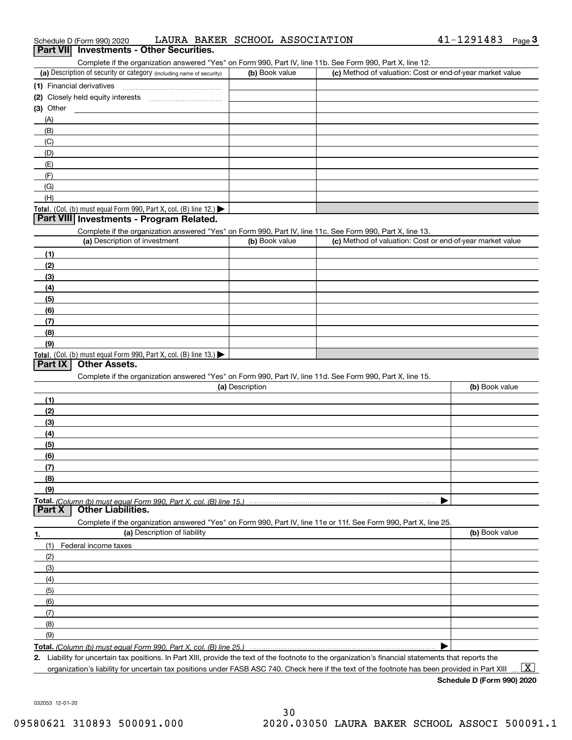| 41-1291483<br>LAURA BAKER SCHOOL ASSOCIATION<br>Schedule D (Form 990) 2020 | Page |  |
|----------------------------------------------------------------------------|------|--|
|----------------------------------------------------------------------------|------|--|

### (a) Description of security or category (including name of security)  $\vert$  (b) Book value  $\vert$  (c) **(1)**Financial derivatives **(2)** Closely held equity interests ~~~~~~~~~~~ **(3)** Other Complete if the organization answered "Yes" on Form 990, Part IV, line 11b. See Form 990, Part X, line 12.  $(b)$  Book value  $\vert$  (c) Method of valuation: Cost or end-of-year market value (A)(B)(C)(D)(E)(F)**Part VII Investments - Other Securities.**

|  | <b>Total.</b> (Col. (b) must equal Form 990, Part X, col. (B) line 12.) $\blacktriangleright$ |  |  |  |  |  |
|--|-----------------------------------------------------------------------------------------------|--|--|--|--|--|

### **Part VIII Investments - Program Related.**

Complete if the organization answered "Yes" on Form 990, Part IV, line 11c. See Form 990, Part X, line 13.

| (a) Description of investment                                    | (b) Book value | (c) Method of valuation: Cost or end-of-year market value |
|------------------------------------------------------------------|----------------|-----------------------------------------------------------|
| (1)                                                              |                |                                                           |
| (2)                                                              |                |                                                           |
| $\frac{1}{2}$                                                    |                |                                                           |
| (4)                                                              |                |                                                           |
| $\left(5\right)$                                                 |                |                                                           |
| (6)                                                              |                |                                                           |
| (7)                                                              |                |                                                           |
| (8)                                                              |                |                                                           |
| (9)                                                              |                |                                                           |
| Total. (Col. (b) must equal Form 990, Part X, col. (B) line 13.) |                |                                                           |

### **Part IX Other Assets.**

(G)(H)

Complete if the organization answered "Yes" on Form 990, Part IV, line 11d. See Form 990, Part X, line 15.

| (a) Description                                                                                                   | (b) Book value |
|-------------------------------------------------------------------------------------------------------------------|----------------|
| (1)                                                                                                               |                |
| (2)                                                                                                               |                |
| (3)                                                                                                               |                |
| (4)                                                                                                               |                |
| $\frac{1}{2}$ (5)                                                                                                 |                |
| (6)                                                                                                               |                |
|                                                                                                                   |                |
| (8)                                                                                                               |                |
| (9)                                                                                                               |                |
|                                                                                                                   |                |
| <b>Part X</b><br><b>Other Liabilities.</b>                                                                        |                |
| Complete if the organization answered "Yes" on Form 990, Part IV, line 11e or 11f. See Form 990, Part X, line 25. |                |

| 1.                | (a) Description of liability | (b) Book value |
|-------------------|------------------------------|----------------|
|                   | (1) Federal income taxes     |                |
| (2)               |                              |                |
| (3)               |                              |                |
| (4)               |                              |                |
| $\frac{1}{2}$ (5) |                              |                |
| (6)               |                              |                |
| (7)               |                              |                |
| (8)               |                              |                |
| (9)               |                              |                |
|                   |                              |                |

**2.**

Liability for uncertain tax positions. In Part XIII, provide the text of the footnote to the organization's financial statements that reports the organization's liability for uncertain tax positions under FASB ASC 740. Check here if the text of the footnote has been provided in Part XIII  $\boxed{\text{X}}$ 

**Schedule D (Form 990) 2020**

032053 12-01-20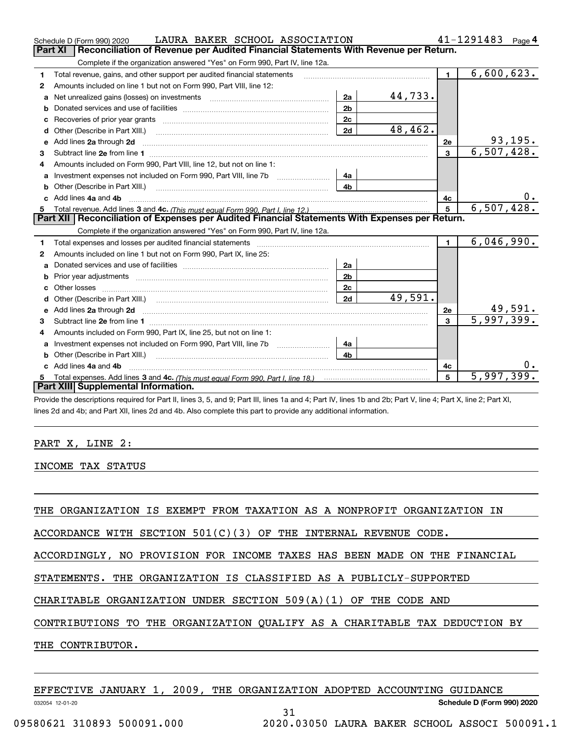|    | LAURA BAKER SCHOOL ASSOCIATION<br>Schedule D (Form 990) 2020                                                        |                |         |                | 41-1291483<br>Page 4    |
|----|---------------------------------------------------------------------------------------------------------------------|----------------|---------|----------------|-------------------------|
|    | Reconciliation of Revenue per Audited Financial Statements With Revenue per Return.<br>Part XI                      |                |         |                |                         |
|    | Complete if the organization answered "Yes" on Form 990, Part IV, line 12a.                                         |                |         |                |                         |
| 1  | Total revenue, gains, and other support per audited financial statements                                            |                |         | $\blacksquare$ | 6,600,623.              |
| 2  | Amounts included on line 1 but not on Form 990, Part VIII, line 12:                                                 |                |         |                |                         |
| a  | Net unrealized gains (losses) on investments [11] matter contracts and the unrealized gains (losses) on investments | 2a             | 44,733. |                |                         |
| b  |                                                                                                                     | 2 <sub>b</sub> |         |                |                         |
|    |                                                                                                                     | 2c             |         |                |                         |
| d  |                                                                                                                     | 2d             | 48,462. |                |                         |
| е  | Add lines 2a through 2d                                                                                             |                |         | 2е             | 93,195.                 |
| 3  |                                                                                                                     |                |         | $\mathbf{3}$   | 6,507,428.              |
| 4  | Amounts included on Form 990, Part VIII, line 12, but not on line 1:                                                |                |         |                |                         |
| a  |                                                                                                                     | 4a             |         |                |                         |
|    |                                                                                                                     | 4 <sub>h</sub> |         |                |                         |
|    | c Add lines 4a and 4b                                                                                               |                |         | 4с             | 0.                      |
| 5  |                                                                                                                     |                |         | 5              | 6,507,428.              |
|    | Part XII   Reconciliation of Expenses per Audited Financial Statements With Expenses per Return.                    |                |         |                |                         |
|    | Complete if the organization answered "Yes" on Form 990, Part IV, line 12a.                                         |                |         |                |                         |
| 1  | Total expenses and losses per audited financial statements                                                          |                |         | $\blacksquare$ | 6,046,990.              |
| 2  | Amounts included on line 1 but not on Form 990, Part IX, line 25:                                                   |                |         |                |                         |
| a  |                                                                                                                     | 2a             |         |                |                         |
| b  |                                                                                                                     | 2 <sub>b</sub> |         |                |                         |
| c. |                                                                                                                     | 2c             |         |                |                         |
| d  |                                                                                                                     | 2d             | 49,591. |                |                         |
|    |                                                                                                                     |                |         | 2e             | <u>49,591.</u>          |
| з  |                                                                                                                     |                |         | 3              | $\overline{5,997,399.}$ |
| 4  | Amounts included on Form 990, Part IX, line 25, but not on line 1:                                                  |                |         |                |                         |
| a  |                                                                                                                     | 4a             |         |                |                         |
| b  | Other (Describe in Part XIII.)                                                                                      | 4 <sub>b</sub> |         |                |                         |
|    | c Add lines 4a and 4b                                                                                               |                |         | 4c             |                         |
| 5  |                                                                                                                     |                |         | 5              | 5,997,399.              |
|    | Part XIII Supplemental Information.                                                                                 |                |         |                |                         |
|    |                                                                                                                     |                |         |                |                         |

Provide the descriptions required for Part II, lines 3, 5, and 9; Part III, lines 1a and 4; Part IV, lines 1b and 2b; Part V, line 4; Part X, line 2; Part XI, lines 2d and 4b; and Part XII, lines 2d and 4b. Also complete this part to provide any additional information.

### PART X, LINE 2:

INCOME TAX STATUS

THE ORGANIZATION IS EXEMPT FROM TAXATION AS A NONPROFIT ORGANIZATION IN

ACCORDANCE WITH SECTION  $501(C)(3)$  OF THE INTERNAL REVENUE CODE.

ACCORDINGLY, NO PROVISION FOR INCOME TAXES HAS BEEN MADE ON THE FINANCIAL

STATEMENTS. THE ORGANIZATION IS CLASSIFIED AS A PUBLICLY-SUPPORTED

CHARITABLE ORGANIZATION UNDER SECTION 509(A)(1) OF THE CODE AND

CONTRIBUTIONS TO THE ORGANIZATION QUALIFY AS A CHARITABLE TAX DEDUCTION BY

THE CONTRIBUTOR.

| EFFECTIVE JANUARY 1, 2009, THE ORGANIZATION ADOPTED ACCOUNTING GUIDANCE |  |  |  |  |  |  |  |
|-------------------------------------------------------------------------|--|--|--|--|--|--|--|
|-------------------------------------------------------------------------|--|--|--|--|--|--|--|

31

032054 12-01-20

**Schedule D (Form 990) 2020**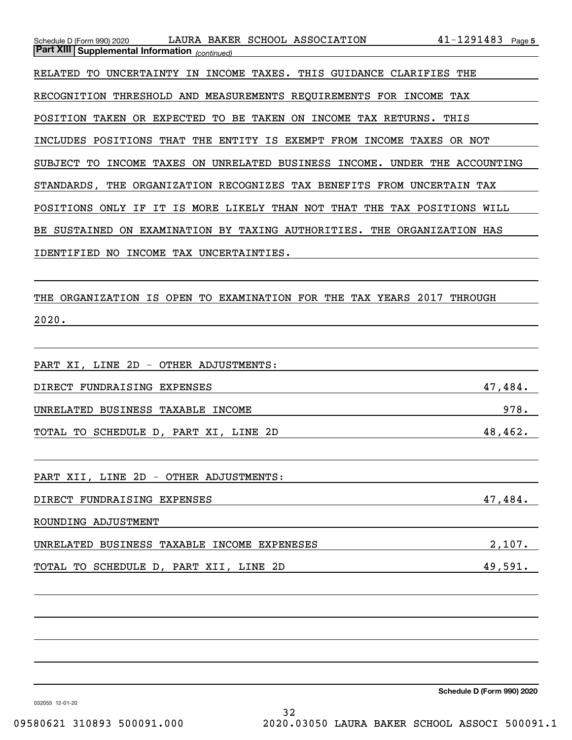| LAURA BAKER SCHOOL ASSOCIATION<br>Schedule D (Form 990) 2020<br>Part XIII Supplemental Information (continued) | $41 - 1291483$ Page 5 |      |
|----------------------------------------------------------------------------------------------------------------|-----------------------|------|
|                                                                                                                |                       |      |
| RELATED TO UNCERTAINTY IN INCOME TAXES. THIS GUIDANCE CLARIFIES THE                                            |                       |      |
| RECOGNITION THRESHOLD AND MEASUREMENTS REQUIREMENTS FOR INCOME TAX                                             |                       |      |
| POSITION TAKEN OR EXPECTED<br>TO BE TAKEN ON INCOME TAX RETURNS.                                               | THIS                  |      |
| INCLUDES POSITIONS THAT THE<br>ENTITY IS EXEMPT FROM INCOME TAXES OR NOT                                       |                       |      |
| INCOME TAXES ON UNRELATED BUSINESS INCOME. UNDER THE ACCOUNTING<br>SUBJECT<br>TO                               |                       |      |
| STANDARDS, THE ORGANIZATION RECOGNIZES TAX BENEFITS FROM UNCERTAIN TAX                                         |                       |      |
| IS MORE LIKELY THAN NOT THAT THE TAX POSITIONS WILL<br>POSITIONS ONLY IF<br>IT                                 |                       |      |
| SUSTAINED ON EXAMINATION BY TAXING AUTHORITIES. THE ORGANIZATION HAS<br>BE.                                    |                       |      |
| IDENTIFIED NO INCOME TAX UNCERTAINTIES.                                                                        |                       |      |
|                                                                                                                |                       |      |
| TO EXAMINATION FOR THE TAX YEARS 2017<br>THE ORGANIZATION IS OPEN                                              | THROUGH               |      |
| 2020.                                                                                                          |                       |      |
|                                                                                                                |                       |      |
| PART XI, LINE 2D - OTHER ADJUSTMENTS:                                                                          |                       |      |
| DIRECT FUNDRAISING EXPENSES                                                                                    | 47,484.               |      |
| UNRELATED BUSINESS TAXABLE INCOME                                                                              |                       | 978. |
| TOTAL TO SCHEDULE D, PART XI, LINE 2D                                                                          | 48,462.               |      |

PART XII, LINE 2D - OTHER ADJUSTMENTS:

DIRECT FUNDRAISING EXPENSES 47,484.

ROUNDING ADJUSTMENT

| UNRELATED    | BUSINESS TAXABLE INCOME EXPENESES |          |      |    |         |
|--------------|-----------------------------------|----------|------|----|---------|
|              |                                   |          |      |    |         |
| TOTAL<br>TO. | SCHEDULE .<br>D                   | PART XII | LINE | 2D | 49,591. |

**Schedule D (Form 990) 2020**

032055 12-01-20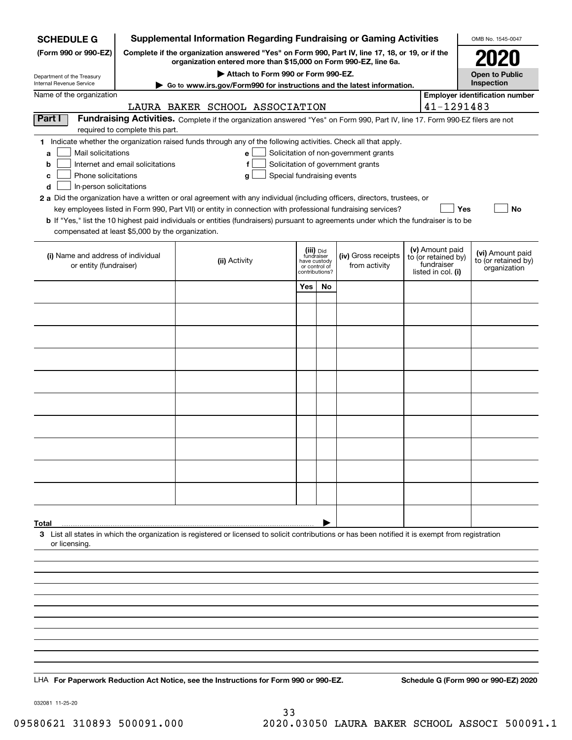| <b>SCHEDULE G</b>                                                                                                                             |                                                                                                 | <b>Supplemental Information Regarding Fundraising or Gaming Activities</b>                                                                                                                                                                                                                                                                                                                                                                                                                                                                                |                                                                            |    |                                                                            |  |                                                                            | OMB No. 1545-0047                                       |
|-----------------------------------------------------------------------------------------------------------------------------------------------|-------------------------------------------------------------------------------------------------|-----------------------------------------------------------------------------------------------------------------------------------------------------------------------------------------------------------------------------------------------------------------------------------------------------------------------------------------------------------------------------------------------------------------------------------------------------------------------------------------------------------------------------------------------------------|----------------------------------------------------------------------------|----|----------------------------------------------------------------------------|--|----------------------------------------------------------------------------|---------------------------------------------------------|
| (Form 990 or 990-EZ)                                                                                                                          | Complete if the organization answered "Yes" on Form 990, Part IV, line 17, 18, or 19, or if the | 2020                                                                                                                                                                                                                                                                                                                                                                                                                                                                                                                                                      |                                                                            |    |                                                                            |  |                                                                            |                                                         |
| Department of the Treasury                                                                                                                    |                                                                                                 | Attach to Form 990 or Form 990-EZ.                                                                                                                                                                                                                                                                                                                                                                                                                                                                                                                        |                                                                            |    |                                                                            |  |                                                                            | <b>Open to Public</b>                                   |
| Internal Revenue Service                                                                                                                      |                                                                                                 | Go to www.irs.gov/Form990 for instructions and the latest information.                                                                                                                                                                                                                                                                                                                                                                                                                                                                                    |                                                                            |    |                                                                            |  |                                                                            | Inspection                                              |
| Name of the organization                                                                                                                      |                                                                                                 | LAURA BAKER SCHOOL ASSOCIATION                                                                                                                                                                                                                                                                                                                                                                                                                                                                                                                            |                                                                            |    |                                                                            |  | 41-1291483                                                                 | <b>Employer identification number</b>                   |
| Part I                                                                                                                                        | required to complete this part.                                                                 | Fundraising Activities. Complete if the organization answered "Yes" on Form 990, Part IV, line 17. Form 990-EZ filers are not                                                                                                                                                                                                                                                                                                                                                                                                                             |                                                                            |    |                                                                            |  |                                                                            |                                                         |
| Mail solicitations<br>a<br>b<br>Phone solicitations<br>c<br>In-person solicitations<br>d<br>compensated at least \$5,000 by the organization. | Internet and email solicitations                                                                | 1 Indicate whether the organization raised funds through any of the following activities. Check all that apply.<br>е<br>f<br>Special fundraising events<br>g<br>2 a Did the organization have a written or oral agreement with any individual (including officers, directors, trustees, or<br>key employees listed in Form 990, Part VII) or entity in connection with professional fundraising services?<br><b>b</b> If "Yes," list the 10 highest paid individuals or entities (fundraisers) pursuant to agreements under which the fundraiser is to be |                                                                            |    | Solicitation of non-government grants<br>Solicitation of government grants |  | Yes                                                                        | No                                                      |
| (i) Name and address of individual<br>or entity (fundraiser)                                                                                  |                                                                                                 | (ii) Activity                                                                                                                                                                                                                                                                                                                                                                                                                                                                                                                                             | (iii) Did<br>fundraiser<br>have custody<br>or control of<br>contributions? |    | (iv) Gross receipts<br>from activity                                       |  | (v) Amount paid<br>to (or retained by)<br>fundraiser<br>listed in col. (i) | (vi) Amount paid<br>to (or retained by)<br>organization |
|                                                                                                                                               |                                                                                                 |                                                                                                                                                                                                                                                                                                                                                                                                                                                                                                                                                           | Yes                                                                        | No |                                                                            |  |                                                                            |                                                         |
|                                                                                                                                               |                                                                                                 |                                                                                                                                                                                                                                                                                                                                                                                                                                                                                                                                                           |                                                                            |    |                                                                            |  |                                                                            |                                                         |
|                                                                                                                                               |                                                                                                 |                                                                                                                                                                                                                                                                                                                                                                                                                                                                                                                                                           |                                                                            |    |                                                                            |  |                                                                            |                                                         |
|                                                                                                                                               |                                                                                                 |                                                                                                                                                                                                                                                                                                                                                                                                                                                                                                                                                           |                                                                            |    |                                                                            |  |                                                                            |                                                         |
|                                                                                                                                               |                                                                                                 |                                                                                                                                                                                                                                                                                                                                                                                                                                                                                                                                                           |                                                                            |    |                                                                            |  |                                                                            |                                                         |
|                                                                                                                                               |                                                                                                 |                                                                                                                                                                                                                                                                                                                                                                                                                                                                                                                                                           |                                                                            |    |                                                                            |  |                                                                            |                                                         |
|                                                                                                                                               |                                                                                                 |                                                                                                                                                                                                                                                                                                                                                                                                                                                                                                                                                           |                                                                            |    |                                                                            |  |                                                                            |                                                         |
|                                                                                                                                               |                                                                                                 |                                                                                                                                                                                                                                                                                                                                                                                                                                                                                                                                                           |                                                                            |    |                                                                            |  |                                                                            |                                                         |
|                                                                                                                                               |                                                                                                 |                                                                                                                                                                                                                                                                                                                                                                                                                                                                                                                                                           |                                                                            |    |                                                                            |  |                                                                            |                                                         |
|                                                                                                                                               |                                                                                                 |                                                                                                                                                                                                                                                                                                                                                                                                                                                                                                                                                           |                                                                            |    |                                                                            |  |                                                                            |                                                         |
|                                                                                                                                               |                                                                                                 |                                                                                                                                                                                                                                                                                                                                                                                                                                                                                                                                                           |                                                                            |    |                                                                            |  |                                                                            |                                                         |
|                                                                                                                                               |                                                                                                 |                                                                                                                                                                                                                                                                                                                                                                                                                                                                                                                                                           |                                                                            |    |                                                                            |  |                                                                            |                                                         |
|                                                                                                                                               |                                                                                                 |                                                                                                                                                                                                                                                                                                                                                                                                                                                                                                                                                           |                                                                            |    |                                                                            |  |                                                                            |                                                         |
| Total<br>or licensing.                                                                                                                        |                                                                                                 | 3 List all states in which the organization is registered or licensed to solicit contributions or has been notified it is exempt from registration                                                                                                                                                                                                                                                                                                                                                                                                        |                                                                            |    |                                                                            |  |                                                                            |                                                         |
|                                                                                                                                               |                                                                                                 |                                                                                                                                                                                                                                                                                                                                                                                                                                                                                                                                                           |                                                                            |    |                                                                            |  |                                                                            |                                                         |
|                                                                                                                                               |                                                                                                 |                                                                                                                                                                                                                                                                                                                                                                                                                                                                                                                                                           |                                                                            |    |                                                                            |  |                                                                            |                                                         |
|                                                                                                                                               |                                                                                                 |                                                                                                                                                                                                                                                                                                                                                                                                                                                                                                                                                           |                                                                            |    |                                                                            |  |                                                                            |                                                         |
|                                                                                                                                               |                                                                                                 |                                                                                                                                                                                                                                                                                                                                                                                                                                                                                                                                                           |                                                                            |    |                                                                            |  |                                                                            |                                                         |
|                                                                                                                                               |                                                                                                 |                                                                                                                                                                                                                                                                                                                                                                                                                                                                                                                                                           |                                                                            |    |                                                                            |  |                                                                            |                                                         |
|                                                                                                                                               |                                                                                                 |                                                                                                                                                                                                                                                                                                                                                                                                                                                                                                                                                           |                                                                            |    |                                                                            |  |                                                                            |                                                         |
|                                                                                                                                               |                                                                                                 | LHA For Paperwork Reduction Act Notice, see the Instructions for Form 990 or 990-EZ.                                                                                                                                                                                                                                                                                                                                                                                                                                                                      |                                                                            |    |                                                                            |  |                                                                            | Schedule G (Form 990 or 990-EZ) 2020                    |
|                                                                                                                                               |                                                                                                 |                                                                                                                                                                                                                                                                                                                                                                                                                                                                                                                                                           |                                                                            |    |                                                                            |  |                                                                            |                                                         |

032081 11-25-20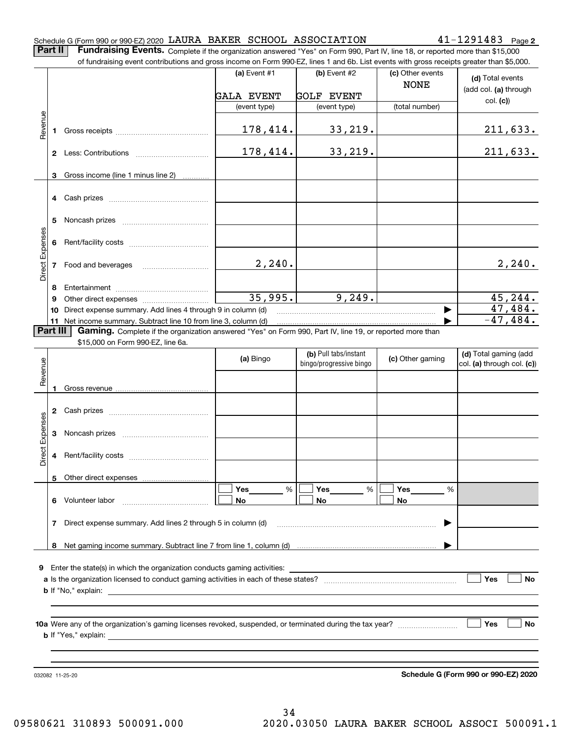|  |  | Schedule G (Form 990 or 990-EZ) 2020 LAURA BAKER SCHOOL ASSOCIATION | $41 - 1291483$ Page 2 |  |
|--|--|---------------------------------------------------------------------|-----------------------|--|
|  |  |                                                                     |                       |  |

**Part II** | Fundraising Events. Complete if the organization answered "Yes" on Form 990, Part IV, line 18, or reported more than \$15,000 of fundraising event contributions and gross income on Form 990-EZ, lines 1 and 6b. List events with gross receipts greater than \$5,000.

|                 |          | of fundraising event contributions and gross income on Form 990-EZ, lines T and 6D. List events with gross receipts greater than \$5,000. |                   |                         |                  |                            |
|-----------------|----------|-------------------------------------------------------------------------------------------------------------------------------------------|-------------------|-------------------------|------------------|----------------------------|
|                 |          |                                                                                                                                           | (a) Event $#1$    | $(b)$ Event #2          | (c) Other events | (d) Total events           |
|                 |          |                                                                                                                                           |                   |                         | <b>NONE</b>      | (add col. (a) through      |
|                 |          |                                                                                                                                           | <b>GALA EVENT</b> | <b>GOLF EVENT</b>       |                  | col. (c)                   |
|                 |          |                                                                                                                                           | (event type)      | (event type)            | (total number)   |                            |
| Revenue         |          |                                                                                                                                           | 178,414.          | 33,219.                 |                  | 211,633.                   |
|                 | 1.       |                                                                                                                                           |                   |                         |                  |                            |
|                 |          |                                                                                                                                           | 178,414.          | 33,219.                 |                  | 211,633.                   |
|                 |          |                                                                                                                                           |                   |                         |                  |                            |
|                 | 3        | Gross income (line 1 minus line 2)                                                                                                        |                   |                         |                  |                            |
|                 |          |                                                                                                                                           |                   |                         |                  |                            |
|                 | 4        |                                                                                                                                           |                   |                         |                  |                            |
|                 | 5        |                                                                                                                                           |                   |                         |                  |                            |
|                 |          |                                                                                                                                           |                   |                         |                  |                            |
| Direct Expenses | 6        |                                                                                                                                           |                   |                         |                  |                            |
|                 |          |                                                                                                                                           |                   |                         |                  |                            |
|                 | 7        |                                                                                                                                           | 2, 240.           |                         |                  | 2,240.                     |
|                 |          |                                                                                                                                           |                   |                         |                  |                            |
|                 | 8        |                                                                                                                                           |                   |                         |                  |                            |
|                 | 9        |                                                                                                                                           | 35,995.           | 9,249.                  |                  | 45,244.                    |
|                 | 10       | Direct expense summary. Add lines 4 through 9 in column (d)                                                                               |                   |                         |                  | 47,484.                    |
|                 |          | 11 Net income summary. Subtract line 10 from line 3, column (d)                                                                           |                   |                         |                  | $-47,484.$                 |
|                 | Part III | Gaming. Complete if the organization answered "Yes" on Form 990, Part IV, line 19, or reported more than                                  |                   |                         |                  |                            |
|                 |          | \$15,000 on Form 990-EZ, line 6a.                                                                                                         |                   |                         |                  |                            |
|                 |          |                                                                                                                                           | (a) Bingo         | (b) Pull tabs/instant   | (c) Other gaming | (d) Total gaming (add      |
| Revenue         |          |                                                                                                                                           |                   | bingo/progressive bingo |                  | col. (a) through col. (c)) |
|                 |          |                                                                                                                                           |                   |                         |                  |                            |
|                 | 1        |                                                                                                                                           |                   |                         |                  |                            |
|                 |          |                                                                                                                                           |                   |                         |                  |                            |
|                 | 2        |                                                                                                                                           |                   |                         |                  |                            |
|                 | 3        |                                                                                                                                           |                   |                         |                  |                            |
| Direct Expenses |          |                                                                                                                                           |                   |                         |                  |                            |
|                 | 4        |                                                                                                                                           |                   |                         |                  |                            |
|                 |          |                                                                                                                                           |                   |                         |                  |                            |
|                 |          | 5 Other direct expenses                                                                                                                   |                   |                         |                  |                            |
|                 |          |                                                                                                                                           | Yes<br>%          | Yes<br>%                | Yes<br>%         |                            |
|                 | 6.       | Volunteer labor                                                                                                                           | No                | No                      | No               |                            |
|                 |          |                                                                                                                                           |                   |                         |                  |                            |
|                 | 7        | Direct expense summary. Add lines 2 through 5 in column (d)                                                                               |                   |                         |                  |                            |
|                 |          |                                                                                                                                           |                   |                         |                  |                            |
|                 | 8        |                                                                                                                                           |                   |                         |                  |                            |
|                 |          |                                                                                                                                           |                   |                         |                  |                            |
| 9               |          | Enter the state(s) in which the organization conducts gaming activities:                                                                  |                   |                         |                  |                            |
|                 |          |                                                                                                                                           |                   |                         |                  | Yes<br><b>No</b>           |
|                 |          | <b>b</b> If "No," explain:                                                                                                                |                   |                         |                  |                            |
|                 |          |                                                                                                                                           |                   |                         |                  |                            |
|                 |          |                                                                                                                                           |                   |                         |                  |                            |
|                 |          |                                                                                                                                           |                   |                         |                  | │ ∣Yes<br>No               |
|                 |          | <b>b</b> If "Yes," explain:                                                                                                               |                   |                         |                  |                            |
|                 |          |                                                                                                                                           |                   |                         |                  |                            |
|                 |          |                                                                                                                                           |                   |                         |                  |                            |
|                 |          |                                                                                                                                           |                   |                         |                  |                            |

34 09580621 310893 500091.000 2020.03050 LAURA BAKER SCHOOL ASSOCI 500091.1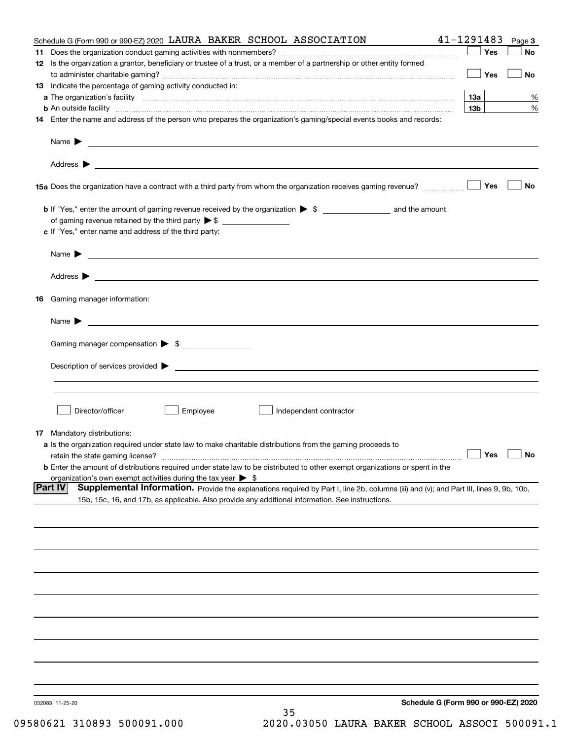|    | Schedule G (Form 990 or 990-EZ) 2020 LAURA BAKER SCHOOL ASSOCIATION                                                                                                                                                                                          | 41-1291483      |     | Page 3               |
|----|--------------------------------------------------------------------------------------------------------------------------------------------------------------------------------------------------------------------------------------------------------------|-----------------|-----|----------------------|
| 11 |                                                                                                                                                                                                                                                              |                 | Yes | No                   |
|    | 12 Is the organization a grantor, beneficiary or trustee of a trust, or a member of a partnership or other entity formed                                                                                                                                     |                 | Yes | No                   |
|    | 13 Indicate the percentage of gaming activity conducted in:                                                                                                                                                                                                  |                 |     |                      |
|    |                                                                                                                                                                                                                                                              | 1За             |     | %                    |
|    | <b>b</b> An outside facility <b>contained an according to the contract of the contract of the contract of the contract of the contract of the contract of the contract of the contract of the contract of the contract of the contrac</b>                    | 13 <sub>b</sub> |     | %                    |
|    | 14 Enter the name and address of the person who prepares the organization's gaming/special events books and records:                                                                                                                                         |                 |     |                      |
|    |                                                                                                                                                                                                                                                              |                 |     |                      |
|    |                                                                                                                                                                                                                                                              |                 |     |                      |
|    | 15a Does the organization have a contract with a third party from whom the organization receives gaming revenue?                                                                                                                                             |                 | Yes | No                   |
|    |                                                                                                                                                                                                                                                              |                 |     |                      |
|    | of gaming revenue retained by the third party $\triangleright$ \$                                                                                                                                                                                            |                 |     |                      |
|    | c If "Yes," enter name and address of the third party:                                                                                                                                                                                                       |                 |     |                      |
|    | Name $\blacktriangleright$ $\bot$                                                                                                                                                                                                                            |                 |     |                      |
|    |                                                                                                                                                                                                                                                              |                 |     |                      |
|    | 16 Gaming manager information:                                                                                                                                                                                                                               |                 |     |                      |
|    |                                                                                                                                                                                                                                                              |                 |     |                      |
|    |                                                                                                                                                                                                                                                              |                 |     |                      |
|    | Gaming manager compensation > \$                                                                                                                                                                                                                             |                 |     |                      |
|    |                                                                                                                                                                                                                                                              |                 |     |                      |
|    |                                                                                                                                                                                                                                                              |                 |     |                      |
|    |                                                                                                                                                                                                                                                              |                 |     |                      |
|    | Employee<br>Director/officer<br>Independent contractor                                                                                                                                                                                                       |                 |     |                      |
|    | 17 Mandatory distributions:                                                                                                                                                                                                                                  |                 |     |                      |
|    | a Is the organization required under state law to make charitable distributions from the gaming proceeds to                                                                                                                                                  |                 |     |                      |
|    | retain the state gaming license?                                                                                                                                                                                                                             |                 |     | $\Box$ Yes $\Box$ No |
|    | <b>b</b> Enter the amount of distributions required under state law to be distributed to other exempt organizations or spent in the                                                                                                                          |                 |     |                      |
|    | organization's own exempt activities during the tax year $\triangleright$ \$                                                                                                                                                                                 |                 |     |                      |
|    | <b>Part IV</b><br>Supplemental Information. Provide the explanations required by Part I, line 2b, columns (iii) and (v); and Part III, lines 9, 9b, 10b,<br>15b, 15c, 16, and 17b, as applicable. Also provide any additional information. See instructions. |                 |     |                      |
|    |                                                                                                                                                                                                                                                              |                 |     |                      |
|    |                                                                                                                                                                                                                                                              |                 |     |                      |
|    |                                                                                                                                                                                                                                                              |                 |     |                      |
|    |                                                                                                                                                                                                                                                              |                 |     |                      |
|    |                                                                                                                                                                                                                                                              |                 |     |                      |
|    |                                                                                                                                                                                                                                                              |                 |     |                      |
|    |                                                                                                                                                                                                                                                              |                 |     |                      |
|    |                                                                                                                                                                                                                                                              |                 |     |                      |
|    |                                                                                                                                                                                                                                                              |                 |     |                      |
|    |                                                                                                                                                                                                                                                              |                 |     |                      |
|    | Schedule G (Form 990 or 990-EZ) 2020<br>032083 11-25-20<br>35                                                                                                                                                                                                |                 |     |                      |
|    |                                                                                                                                                                                                                                                              |                 |     |                      |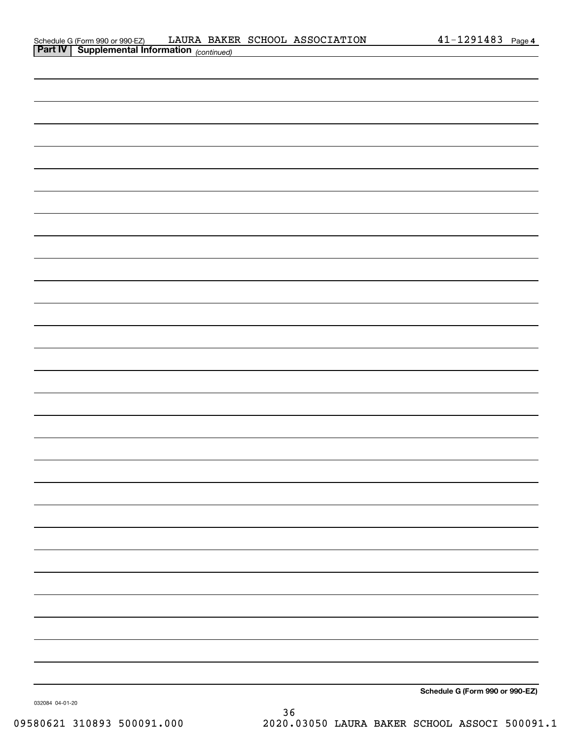|  |  | Schedule G (Form 990 or 990-EZ) |  |
|--|--|---------------------------------|--|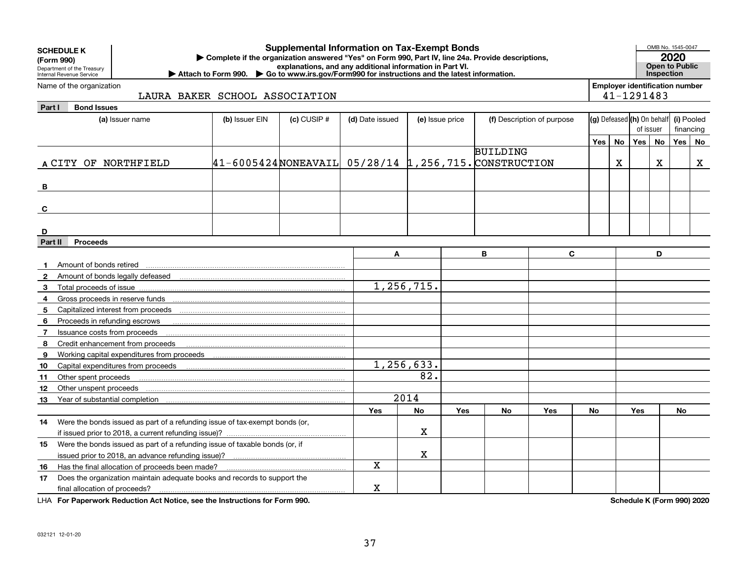| <b>Employer identification number</b><br>Name of the organization<br>41-1291483<br>LAURA BAKER SCHOOL ASSOCIATION<br><b>Bond Issues</b><br>Part I<br>(g) Defeased (h) On behalf<br>(b) Issuer EIN<br>$(c)$ CUSIP $#$<br>(f) Description of purpose<br>(a) Issuer name<br>(d) Date issued<br>(e) Issue price<br>of issuer<br>Yes   No<br>Yes<br><b>No</b><br><b>BUILDING</b> | (i) Pooled<br>financing<br>Yes   No<br>$\mathbf x$ |
|-----------------------------------------------------------------------------------------------------------------------------------------------------------------------------------------------------------------------------------------------------------------------------------------------------------------------------------------------------------------------------|----------------------------------------------------|
|                                                                                                                                                                                                                                                                                                                                                                             |                                                    |
|                                                                                                                                                                                                                                                                                                                                                                             |                                                    |
|                                                                                                                                                                                                                                                                                                                                                                             |                                                    |
|                                                                                                                                                                                                                                                                                                                                                                             |                                                    |
|                                                                                                                                                                                                                                                                                                                                                                             |                                                    |
|                                                                                                                                                                                                                                                                                                                                                                             |                                                    |
| $ 41-6005424 $ NONEAVAIL 05/28/14 1,256,715. CONSTRUCTION<br>X<br>X<br>A CITY OF NORTHFIELD                                                                                                                                                                                                                                                                                 |                                                    |
|                                                                                                                                                                                                                                                                                                                                                                             |                                                    |
| B                                                                                                                                                                                                                                                                                                                                                                           |                                                    |
|                                                                                                                                                                                                                                                                                                                                                                             |                                                    |
| C                                                                                                                                                                                                                                                                                                                                                                           |                                                    |
|                                                                                                                                                                                                                                                                                                                                                                             |                                                    |
| D                                                                                                                                                                                                                                                                                                                                                                           |                                                    |
| Part II<br><b>Proceeds</b>                                                                                                                                                                                                                                                                                                                                                  |                                                    |
| в<br>C.<br>D<br>A                                                                                                                                                                                                                                                                                                                                                           |                                                    |
| Amount of bonds retired<br>$\mathbf 1$                                                                                                                                                                                                                                                                                                                                      |                                                    |
| 2                                                                                                                                                                                                                                                                                                                                                                           |                                                    |
| 1, 256, 715.<br>3<br>Total proceeds of issue                                                                                                                                                                                                                                                                                                                                |                                                    |
| 4                                                                                                                                                                                                                                                                                                                                                                           |                                                    |
| 5                                                                                                                                                                                                                                                                                                                                                                           |                                                    |
| Proceeds in refunding escrows<br>6                                                                                                                                                                                                                                                                                                                                          |                                                    |
| Issuance costs from proceeds<br>$\mathbf{7}$                                                                                                                                                                                                                                                                                                                                |                                                    |
| 8<br>Credit enhancement from proceeds                                                                                                                                                                                                                                                                                                                                       |                                                    |
| 9                                                                                                                                                                                                                                                                                                                                                                           |                                                    |
| 1,256,633.<br>Capital expenditures from proceeds<br>10                                                                                                                                                                                                                                                                                                                      |                                                    |
| 82.<br>Other spent proceeds<br>11                                                                                                                                                                                                                                                                                                                                           |                                                    |
| Other unspent proceeds<br>12                                                                                                                                                                                                                                                                                                                                                |                                                    |
| 2014<br>13<br>Year of substantial completion (intermal control of the state of substantial completion (intermal)                                                                                                                                                                                                                                                            |                                                    |
| <b>No</b><br><b>Yes</b><br>Yes<br>Yes<br>No<br>No<br>Yes<br>No                                                                                                                                                                                                                                                                                                              |                                                    |
|                                                                                                                                                                                                                                                                                                                                                                             |                                                    |
| 14 Were the bonds issued as part of a refunding issue of tax-exempt bonds (or,<br>x                                                                                                                                                                                                                                                                                         |                                                    |
| if issued prior to 2018, a current refunding issue)?<br>Were the bonds issued as part of a refunding issue of taxable bonds (or, if                                                                                                                                                                                                                                         |                                                    |
| 15<br>X                                                                                                                                                                                                                                                                                                                                                                     |                                                    |
| $\mathbf X$                                                                                                                                                                                                                                                                                                                                                                 |                                                    |
| Has the final allocation of proceeds been made?<br>16                                                                                                                                                                                                                                                                                                                       |                                                    |
| Does the organization maintain adequate books and records to support the<br>17<br>х<br>final allocation of proceeds?                                                                                                                                                                                                                                                        |                                                    |

**For Paperwork Reduction Act Notice, see the Instructions for Form 990. Schedule K (Form 990) 2020** LHA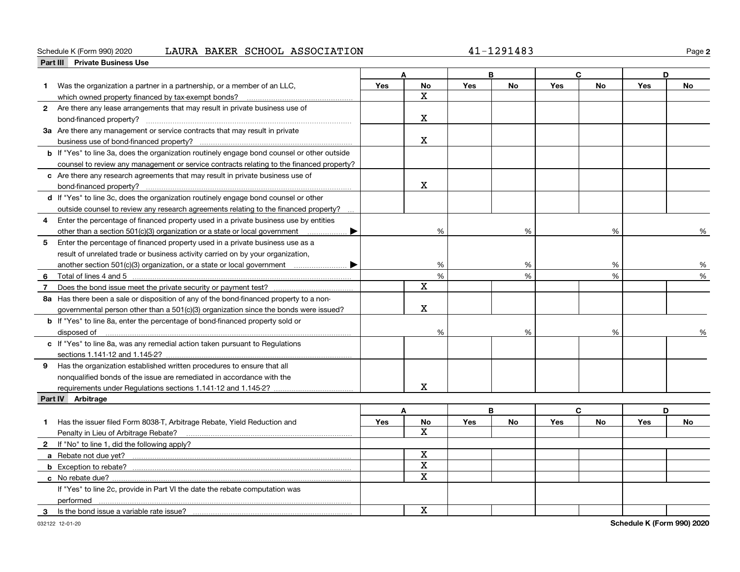### Schedule K (Form 990) 2020 Page LAURA BAKER SCHOOL ASSOCIATION 41-1291483

**2**

| <b>Private Business Use</b><br>Part III                                                            |            |                         |            |           |            |           |            |               |
|----------------------------------------------------------------------------------------------------|------------|-------------------------|------------|-----------|------------|-----------|------------|---------------|
|                                                                                                    |            |                         |            | в         |            | C         | D          |               |
| Was the organization a partner in a partnership, or a member of an LLC,                            | Yes        | <b>No</b>               | <b>Yes</b> | <b>No</b> | <b>Yes</b> | <b>No</b> | <b>Yes</b> | <b>No</b>     |
|                                                                                                    |            | $\mathbf X$             |            |           |            |           |            |               |
| 2 Are there any lease arrangements that may result in private business use of                      |            |                         |            |           |            |           |            |               |
|                                                                                                    |            | x                       |            |           |            |           |            |               |
| 3a Are there any management or service contracts that may result in private                        |            |                         |            |           |            |           |            |               |
|                                                                                                    |            | X                       |            |           |            |           |            |               |
| <b>b</b> If "Yes" to line 3a, does the organization routinely engage bond counsel or other outside |            |                         |            |           |            |           |            |               |
| counsel to review any management or service contracts relating to the financed property?           |            |                         |            |           |            |           |            |               |
| c Are there any research agreements that may result in private business use of                     |            |                         |            |           |            |           |            |               |
|                                                                                                    |            | X                       |            |           |            |           |            |               |
| d If "Yes" to line 3c, does the organization routinely engage bond counsel or other                |            |                         |            |           |            |           |            |               |
| outside counsel to review any research agreements relating to the financed property?               |            |                         |            |           |            |           |            |               |
| Enter the percentage of financed property used in a private business use by entities               |            |                         |            |           |            |           |            |               |
| other than a section 501(c)(3) organization or a state or local government<br>▶                    |            | %                       |            | %         |            | %         |            | ℅             |
| 5 Enter the percentage of financed property used in a private business use as a                    |            |                         |            |           |            |           |            |               |
| result of unrelated trade or business activity carried on by your organization,                    |            |                         |            |           |            |           |            |               |
|                                                                                                    |            | %                       |            | %         |            |           |            | %             |
| another section 501(c)(3) organization, or a state or local government<br>6                        |            | %                       |            | %         |            | %<br>%    |            | $\frac{1}{2}$ |
| Total of lines 4 and 5                                                                             |            | X                       |            |           |            |           |            |               |
| $\overline{7}$                                                                                     |            |                         |            |           |            |           |            |               |
| 8a Has there been a sale or disposition of any of the bond-financed property to a non-             |            | X                       |            |           |            |           |            |               |
| governmental person other than a 501(c)(3) organization since the bonds were issued?               |            |                         |            |           |            |           |            |               |
| <b>b</b> If "Yes" to line 8a, enter the percentage of bond-financed property sold or               |            |                         |            |           |            |           |            |               |
| disposed of <u>www.communications.communications.communications.com</u>                            |            | %                       |            | %         |            | %         |            |               |
| c If "Yes" to line 8a, was any remedial action taken pursuant to Regulations                       |            |                         |            |           |            |           |            |               |
|                                                                                                    |            |                         |            |           |            |           |            |               |
| 9 Has the organization established written procedures to ensure that all                           |            |                         |            |           |            |           |            |               |
| nonqualified bonds of the issue are remediated in accordance with the                              |            |                         |            |           |            |           |            |               |
|                                                                                                    |            | x                       |            |           |            |           |            |               |
| Part IV Arbitrage                                                                                  |            |                         |            |           |            |           |            |               |
|                                                                                                    |            | A                       |            | B         |            | C         |            | D             |
| Has the issuer filed Form 8038-T, Arbitrage Rebate, Yield Reduction and<br>1.                      | <b>Yes</b> | No                      | <b>Yes</b> | <b>No</b> | <b>Yes</b> | No        | <b>Yes</b> | No            |
| Penalty in Lieu of Arbitrage Rebate?                                                               |            | X                       |            |           |            |           |            |               |
| 2 If "No" to line 1, did the following apply?                                                      |            |                         |            |           |            |           |            |               |
|                                                                                                    |            | $\mathbf{x}$            |            |           |            |           |            |               |
|                                                                                                    |            | $\mathbf X$             |            |           |            |           |            |               |
| <b>c</b> No rebate due? $\ldots$                                                                   |            | $\overline{\mathbf{x}}$ |            |           |            |           |            |               |
| If "Yes" to line 2c, provide in Part VI the date the rebate computation was                        |            |                         |            |           |            |           |            |               |
| performed                                                                                          |            |                         |            |           |            |           |            |               |
| Is the bond issue a variable rate issue?<br>3                                                      |            | X                       |            |           |            |           |            |               |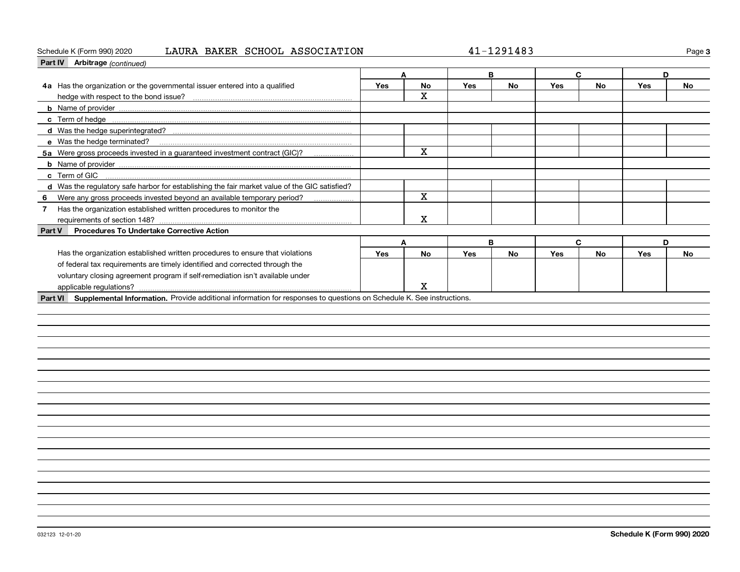### Schedule K (Form 990) 2020 Page LAURA BAKER SCHOOL ASSOCIATION 41-1291483

**3**

| Part IV Arbitrage (continued)                                                                                                |            |             |            |           |            |           |     |           |
|------------------------------------------------------------------------------------------------------------------------------|------------|-------------|------------|-----------|------------|-----------|-----|-----------|
|                                                                                                                              | A          |             | B          |           | C          |           | D   |           |
| 4a Has the organization or the governmental issuer entered into a qualified                                                  | <b>Yes</b> | <b>No</b>   | <b>Yes</b> | <b>No</b> | Yes        | No        | Yes | No        |
| hedge with respect to the bond issue?                                                                                        |            | $\mathbf X$ |            |           |            |           |     |           |
|                                                                                                                              |            |             |            |           |            |           |     |           |
|                                                                                                                              |            |             |            |           |            |           |     |           |
| d Was the hedge superintegrated?                                                                                             |            |             |            |           |            |           |     |           |
| e Was the hedge terminated?                                                                                                  |            |             |            |           |            |           |     |           |
| 5a Were gross proceeds invested in a guaranteed investment contract (GIC)?                                                   |            | $\mathbf X$ |            |           |            |           |     |           |
|                                                                                                                              |            |             |            |           |            |           |     |           |
| c Term of GIC                                                                                                                |            |             |            |           |            |           |     |           |
| d Was the requiatory safe harbor for establishing the fair market value of the GIC satisfied?                                |            |             |            |           |            |           |     |           |
| Were any gross proceeds invested beyond an available temporary period?<br>6                                                  |            | $\mathbf X$ |            |           |            |           |     |           |
| Has the organization established written procedures to monitor the<br>$\overline{7}$                                         |            |             |            |           |            |           |     |           |
|                                                                                                                              |            | $\mathbf X$ |            |           |            |           |     |           |
| <b>Procedures To Undertake Corrective Action</b><br>Part V                                                                   |            |             |            |           |            |           |     |           |
|                                                                                                                              | A          |             | B          |           |            | C         | D   |           |
| Has the organization established written procedures to ensure that violations                                                | <b>Yes</b> | <b>No</b>   | Yes        | <b>No</b> | <b>Yes</b> | <b>No</b> | Yes | <b>No</b> |
| of federal tax requirements are timely identified and corrected through the                                                  |            |             |            |           |            |           |     |           |
| voluntary closing agreement program if self-remediation isn't available under                                                |            |             |            |           |            |           |     |           |
| applicable regulations?                                                                                                      |            | x           |            |           |            |           |     |           |
| Part VI Supplemental Information. Provide additional information for responses to questions on Schedule K. See instructions. |            |             |            |           |            |           |     |           |
|                                                                                                                              |            |             |            |           |            |           |     |           |
|                                                                                                                              |            |             |            |           |            |           |     |           |
|                                                                                                                              |            |             |            |           |            |           |     |           |
|                                                                                                                              |            |             |            |           |            |           |     |           |
|                                                                                                                              |            |             |            |           |            |           |     |           |
|                                                                                                                              |            |             |            |           |            |           |     |           |
|                                                                                                                              |            |             |            |           |            |           |     |           |
|                                                                                                                              |            |             |            |           |            |           |     |           |
|                                                                                                                              |            |             |            |           |            |           |     |           |
|                                                                                                                              |            |             |            |           |            |           |     |           |
|                                                                                                                              |            |             |            |           |            |           |     |           |
|                                                                                                                              |            |             |            |           |            |           |     |           |
|                                                                                                                              |            |             |            |           |            |           |     |           |
|                                                                                                                              |            |             |            |           |            |           |     |           |
|                                                                                                                              |            |             |            |           |            |           |     |           |
|                                                                                                                              |            |             |            |           |            |           |     |           |
|                                                                                                                              |            |             |            |           |            |           |     |           |
|                                                                                                                              |            |             |            |           |            |           |     |           |
|                                                                                                                              |            |             |            |           |            |           |     |           |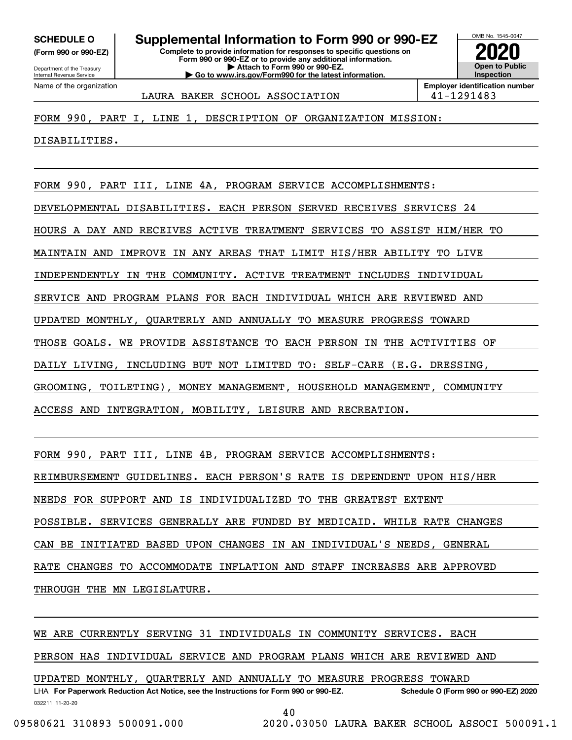**(Form 990 or 990-EZ)**

Department of the Treasury Internal Revenue Service Name of the organization

### **Complete to provide information for responses to specific questions on SCHEDULE O Supplemental Information to Form 990 or 990-EZ**

**Form 990 or 990-EZ or to provide any additional information. | Attach to Form 990 or 990-EZ. | Go to www.irs.gov/Form990 for the latest information.**



LAURA BAKER SCHOOL ASSOCIATION 141-1291483

FORM 990, PART I, LINE 1, DESCRIPTION OF ORGANIZATION MISSION:

DISABILITIES.

FORM 990, PART III, LINE 4A, PROGRAM SERVICE ACCOMPLISHMENTS:

DEVELOPMENTAL DISABILITIES. EACH PERSON SERVED RECEIVES SERVICES 24

HOURS A DAY AND RECEIVES ACTIVE TREATMENT SERVICES TO ASSIST HIM/HER TO

MAINTAIN AND IMPROVE IN ANY AREAS THAT LIMIT HIS/HER ABILITY TO LIVE

INDEPENDENTLY IN THE COMMUNITY. ACTIVE TREATMENT INCLUDES INDIVIDUAL

SERVICE AND PROGRAM PLANS FOR EACH INDIVIDUAL WHICH ARE REVIEWED AND

UPDATED MONTHLY, QUARTERLY AND ANNUALLY TO MEASURE PROGRESS TOWARD

THOSE GOALS. WE PROVIDE ASSISTANCE TO EACH PERSON IN THE ACTIVITIES OF

DAILY LIVING, INCLUDING BUT NOT LIMITED TO: SELF-CARE (E.G. DRESSING,

GROOMING, TOILETING), MONEY MANAGEMENT, HOUSEHOLD MANAGEMENT, COMMUNITY

ACCESS AND INTEGRATION, MOBILITY, LEISURE AND RECREATION.

FORM 990, PART III, LINE 4B, PROGRAM SERVICE ACCOMPLISHMENTS:

REIMBURSEMENT GUIDELINES. EACH PERSON'S RATE IS DEPENDENT UPON HIS/HER

NEEDS FOR SUPPORT AND IS INDIVIDUALIZED TO THE GREATEST EXTENT

POSSIBLE. SERVICES GENERALLY ARE FUNDED BY MEDICAID. WHILE RATE CHANGES

CAN BE INITIATED BASED UPON CHANGES IN AN INDIVIDUAL'S NEEDS, GENERAL

RATE CHANGES TO ACCOMMODATE INFLATION AND STAFF INCREASES ARE APPROVED

THROUGH THE MN LEGISLATURE.

WE ARE CURRENTLY SERVING 31 INDIVIDUALS IN COMMUNITY SERVICES. EACH

PERSON HAS INDIVIDUAL SERVICE AND PROGRAM PLANS WHICH ARE REVIEWED AND

UPDATED MONTHLY, QUARTERLY AND ANNUALLY TO MEASURE PROGRESS TOWARD

032211 11-20-20 LHA For Paperwork Reduction Act Notice, see the Instructions for Form 990 or 990-EZ. Schedule O (Form 990 or 990-EZ) 2020

40

09580621 310893 500091.000 2020.03050 LAURA BAKER SCHOOL ASSOCI 500091.1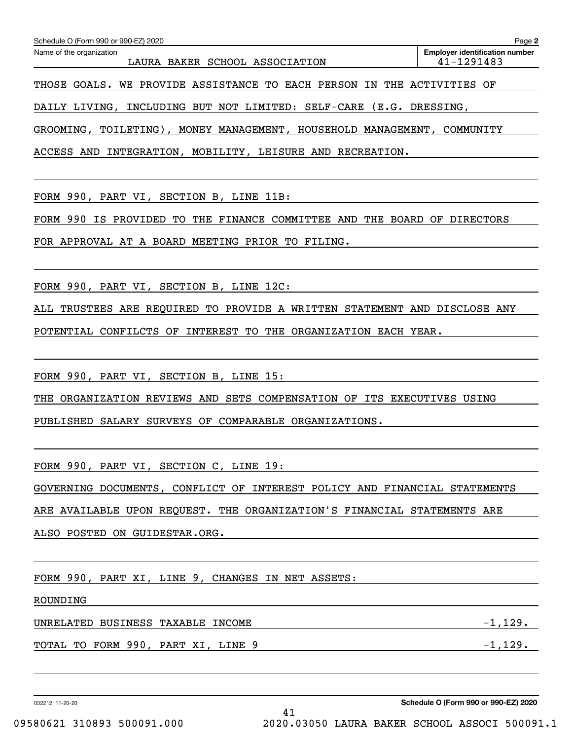| Schedule O (Form 990 or 990-EZ) 2020<br>Page 2                         |                                                     |  |  |  |  |  |  |  |
|------------------------------------------------------------------------|-----------------------------------------------------|--|--|--|--|--|--|--|
| Name of the organization<br>LAURA BAKER SCHOOL ASSOCIATION             | <b>Employer identification number</b><br>41-1291483 |  |  |  |  |  |  |  |
| THOSE GOALS. WE PROVIDE ASSISTANCE TO EACH PERSON IN THE ACTIVITIES OF |                                                     |  |  |  |  |  |  |  |

DAILY LIVING, INCLUDING BUT NOT LIMITED: SELF-CARE (E.G. DRESSING,

GROOMING, TOILETING), MONEY MANAGEMENT, HOUSEHOLD MANAGEMENT, COMMUNITY

ACCESS AND INTEGRATION, MOBILITY, LEISURE AND RECREATION.

FORM 990, PART VI, SECTION B, LINE 11B:

FORM 990 IS PROVIDED TO THE FINANCE COMMITTEE AND THE BOARD OF DIRECTORS

FOR APPROVAL AT A BOARD MEETING PRIOR TO FILING.

FORM 990, PART VI, SECTION B, LINE 12C:

ALL TRUSTEES ARE REQUIRED TO PROVIDE A WRITTEN STATEMENT AND DISCLOSE ANY

POTENTIAL CONFILCTS OF INTEREST TO THE ORGANIZATION EACH YEAR.

FORM 990, PART VI, SECTION B, LINE 15:

THE ORGANIZATION REVIEWS AND SETS COMPENSATION OF ITS EXECUTIVES USING

PUBLISHED SALARY SURVEYS OF COMPARABLE ORGANIZATIONS.

FORM 990, PART VI, SECTION C, LINE 19:

GOVERNING DOCUMENTS, CONFLICT OF INTEREST POLICY AND FINANCIAL STATEMENTS

41

ARE AVAILABLE UPON REQUEST. THE ORGANIZATION'S FINANCIAL STATEMENTS ARE

ALSO POSTED ON GUIDESTAR.ORG.

FORM 990, PART XI, LINE 9, CHANGES IN NET ASSETS:

ROUNDING

UNRELATED BUSINESS TAXABLE INCOME  $-1,129$ .

TOTAL TO FORM 990, PART XI, LINE 9  $-1,129$ .

032212 11-20-20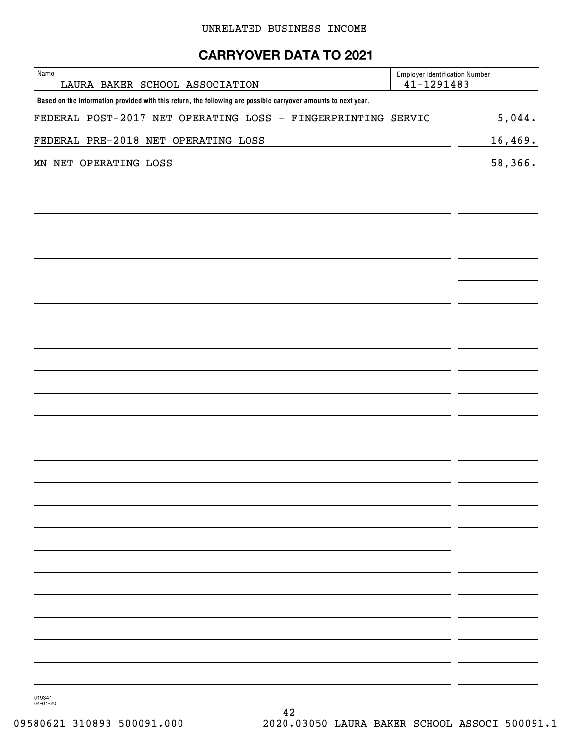### **CARRYOVER DATA TO 2021**

| Name<br>LAURA BAKER SCHOOL ASSOCIATION                                                                         | <b>Employer Identification Number</b><br>$41 - 1291483$ |         |  |  |
|----------------------------------------------------------------------------------------------------------------|---------------------------------------------------------|---------|--|--|
| Based on the information provided with this return, the following are possible carryover amounts to next year. |                                                         |         |  |  |
| FEDERAL POST-2017 NET OPERATING LOSS - FINGERPRINTING SERVIC                                                   |                                                         | 5,044.  |  |  |
| FEDERAL PRE-2018 NET OPERATING LOSS                                                                            |                                                         | 16,469. |  |  |
| MN NET OPERATING LOSS                                                                                          |                                                         | 58,366. |  |  |
|                                                                                                                |                                                         |         |  |  |
|                                                                                                                |                                                         |         |  |  |
|                                                                                                                |                                                         |         |  |  |
|                                                                                                                |                                                         |         |  |  |
|                                                                                                                |                                                         |         |  |  |
|                                                                                                                |                                                         |         |  |  |
|                                                                                                                |                                                         |         |  |  |
|                                                                                                                |                                                         |         |  |  |
|                                                                                                                |                                                         |         |  |  |
|                                                                                                                |                                                         |         |  |  |
|                                                                                                                |                                                         |         |  |  |
|                                                                                                                |                                                         |         |  |  |
|                                                                                                                |                                                         |         |  |  |
|                                                                                                                |                                                         |         |  |  |
|                                                                                                                |                                                         |         |  |  |
|                                                                                                                |                                                         |         |  |  |
|                                                                                                                |                                                         |         |  |  |
|                                                                                                                |                                                         |         |  |  |
|                                                                                                                |                                                         |         |  |  |
|                                                                                                                |                                                         |         |  |  |
|                                                                                                                |                                                         |         |  |  |
|                                                                                                                |                                                         |         |  |  |
|                                                                                                                |                                                         |         |  |  |
|                                                                                                                |                                                         |         |  |  |
|                                                                                                                |                                                         |         |  |  |
|                                                                                                                |                                                         |         |  |  |
|                                                                                                                |                                                         |         |  |  |
|                                                                                                                |                                                         |         |  |  |
|                                                                                                                |                                                         |         |  |  |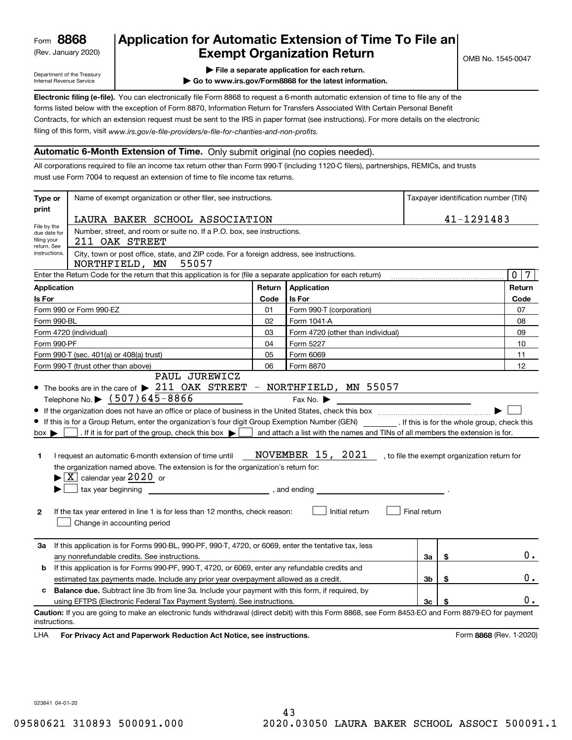(Rev. January 2020)

### **Application for Automatic Extension of Time To File an Exempt Organization Return**

Department of the Treasury Internal Revenue Service

- **| File a separate application for each return.**
- **| Go to www.irs.gov/Form8868 for the latest information.**

**Electronic filing (e-file).**  You can electronically file Form 8868 to request a 6-month automatic extension of time to file any of the filing of this form, visit www.irs.gov/e-file-providers/e-file-for-charities-and-non-profits. forms listed below with the exception of Form 8870, Information Return for Transfers Associated With Certain Personal Benefit Contracts, for which an extension request must be sent to the IRS in paper format (see instructions). For more details on the electronic

#### **Automatic 6-Month Extension of Time.** Only submit original (no copies needed).

All corporations required to file an income tax return other than Form 990-T (including 1120-C filers), partnerships, REMICs, and trusts must use Form 7004 to request an extension of time to file income tax returns.

| Type or                                                                              | Name of exempt organization or other filer, see instructions.                                                                                                                                                                                                                                                                                                                                                                                                                                                                                                                                    |        | Taxpayer identification number (TIN)                                                                                  |              |    |                                              |
|--------------------------------------------------------------------------------------|--------------------------------------------------------------------------------------------------------------------------------------------------------------------------------------------------------------------------------------------------------------------------------------------------------------------------------------------------------------------------------------------------------------------------------------------------------------------------------------------------------------------------------------------------------------------------------------------------|--------|-----------------------------------------------------------------------------------------------------------------------|--------------|----|----------------------------------------------|
| print                                                                                | LAURA BAKER SCHOOL ASSOCIATION                                                                                                                                                                                                                                                                                                                                                                                                                                                                                                                                                                   |        |                                                                                                                       | 41-1291483   |    |                                              |
| File by the<br>due date for<br>filing your                                           | Number, street, and room or suite no. If a P.O. box, see instructions.<br>211 OAK STREET                                                                                                                                                                                                                                                                                                                                                                                                                                                                                                         |        |                                                                                                                       |              |    |                                              |
| return. See<br>instructions.                                                         | City, town or post office, state, and ZIP code. For a foreign address, see instructions.<br>55057<br>NORTHFIELD, MN                                                                                                                                                                                                                                                                                                                                                                                                                                                                              |        |                                                                                                                       |              |    |                                              |
|                                                                                      | Enter the Return Code for the return that this application is for (file a separate application for each return)                                                                                                                                                                                                                                                                                                                                                                                                                                                                                  |        |                                                                                                                       |              |    | $\overline{0}$<br>7                          |
| <b>Application</b>                                                                   |                                                                                                                                                                                                                                                                                                                                                                                                                                                                                                                                                                                                  | Return | Application                                                                                                           |              |    | Return                                       |
| Is For                                                                               |                                                                                                                                                                                                                                                                                                                                                                                                                                                                                                                                                                                                  | Code   | Is For                                                                                                                |              |    | Code                                         |
|                                                                                      | Form 990 or Form 990-EZ                                                                                                                                                                                                                                                                                                                                                                                                                                                                                                                                                                          | 01     | Form 990-T (corporation)                                                                                              |              |    | 07                                           |
| Form 990-BL                                                                          |                                                                                                                                                                                                                                                                                                                                                                                                                                                                                                                                                                                                  | 02     | Form 1041-A                                                                                                           |              |    | 08                                           |
|                                                                                      | Form 4720 (individual)                                                                                                                                                                                                                                                                                                                                                                                                                                                                                                                                                                           | 03     | Form 4720 (other than individual)                                                                                     |              |    | 09                                           |
| Form 990-PF                                                                          |                                                                                                                                                                                                                                                                                                                                                                                                                                                                                                                                                                                                  | 04     | Form 5227                                                                                                             |              |    | 10                                           |
|                                                                                      | Form 990-T (sec. 401(a) or 408(a) trust)                                                                                                                                                                                                                                                                                                                                                                                                                                                                                                                                                         | 05     | Form 6069                                                                                                             |              |    | 11                                           |
|                                                                                      | Form 990-T (trust other than above)                                                                                                                                                                                                                                                                                                                                                                                                                                                                                                                                                              | 06     | Form 8870                                                                                                             |              |    | 12                                           |
| $box \blacktriangleright$<br>1<br>$\mathbf{2}$                                       | • If this is for a Group Return, enter the organization's four digit Group Exemption Number (GEN) _________. If this is for the whole group, check this<br>. If it is for part of the group, check this box $\blacktriangleright$<br>I request an automatic 6-month extension of time until<br>the organization named above. The extension is for the organization's return for:<br>$\blacktriangleright$ $\boxed{\text{X}}$ calendar year $2020$ or<br>$\frac{1}{2}$ , and ending<br>If the tax year entered in line 1 is for less than 12 months, check reason:<br>Change in accounting period |        | and attach a list with the names and TINs of all members the extension is for.<br>NOVEMBER 15, 2021<br>Initial return | Final return |    | , to file the exempt organization return for |
| За                                                                                   | If this application is for Forms 990-BL, 990-PF, 990-T, 4720, or 6069, enter the tentative tax, less<br>any nonrefundable credits. See instructions.                                                                                                                                                                                                                                                                                                                                                                                                                                             |        |                                                                                                                       | За           | \$ | 0.                                           |
| b                                                                                    | If this application is for Forms 990-PF, 990-T, 4720, or 6069, enter any refundable credits and                                                                                                                                                                                                                                                                                                                                                                                                                                                                                                  |        |                                                                                                                       |              |    |                                              |
| estimated tax payments made. Include any prior year overpayment allowed as a credit. |                                                                                                                                                                                                                                                                                                                                                                                                                                                                                                                                                                                                  |        | Зb                                                                                                                    | \$           | 0. |                                              |
| c                                                                                    | <b>Balance due.</b> Subtract line 3b from line 3a. Include your payment with this form, if required, by                                                                                                                                                                                                                                                                                                                                                                                                                                                                                          |        |                                                                                                                       |              |    |                                              |
|                                                                                      | using EFTPS (Electronic Federal Tax Payment System). See instructions.                                                                                                                                                                                                                                                                                                                                                                                                                                                                                                                           |        |                                                                                                                       | Зc           | \$ | 0.                                           |
| instructions.<br>LHA                                                                 | Caution: If you are going to make an electronic funds withdrawal (direct debit) with this Form 8868, see Form 8453-EO and Form 8879-EO for payment<br>For Privacy Act and Paperwork Reduction Act Notice, see instructions.                                                                                                                                                                                                                                                                                                                                                                      |        |                                                                                                                       |              |    | Form 8868 (Rev. 1-2020)                      |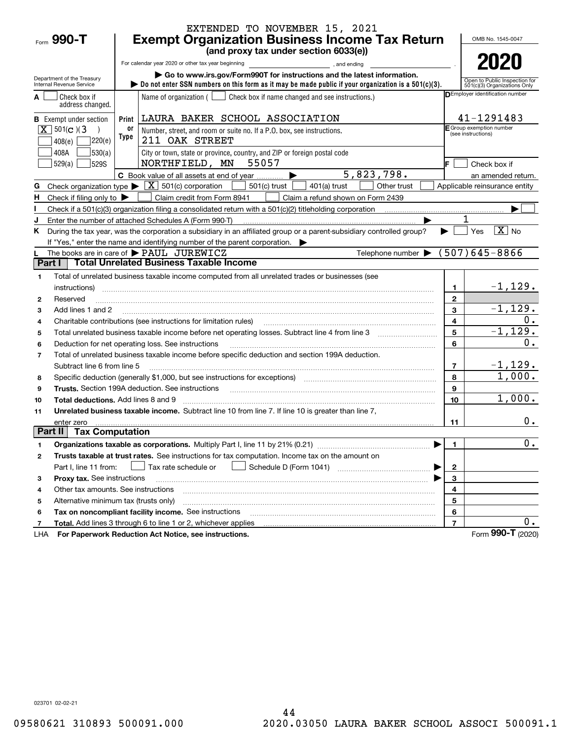|                                                        |       | EXTENDED TO NOVEMBER 15, 2021                                                                                                                                                                            |                   |                                                               |  |  |  |  |  |
|--------------------------------------------------------|-------|----------------------------------------------------------------------------------------------------------------------------------------------------------------------------------------------------------|-------------------|---------------------------------------------------------------|--|--|--|--|--|
| Form 990-T                                             |       | <b>Exempt Organization Business Income Tax Return</b>                                                                                                                                                    |                   |                                                               |  |  |  |  |  |
|                                                        |       | (and proxy tax under section 6033(e))                                                                                                                                                                    |                   |                                                               |  |  |  |  |  |
|                                                        |       | For calendar year 2020 or other tax year beginning<br>and ending                                                                                                                                         |                   | 2020                                                          |  |  |  |  |  |
| Department of the Treasury<br>Internal Revenue Service |       | Go to www.irs.gov/Form990T for instructions and the latest information.<br>bo not enter SSN numbers on this form as it may be made public if your organization is a $501(c)(3)$ .                        |                   | Open to Public Inspection for<br>501(c)(3) Organizations Only |  |  |  |  |  |
| Check box if<br>address changed.                       |       | Name of organization ( $\Box$ Check box if name changed and see instructions.)                                                                                                                           |                   | DEmployer identification number                               |  |  |  |  |  |
| <b>B</b> Exempt under section                          | Print | LAURA BAKER SCHOOL ASSOCIATION                                                                                                                                                                           |                   | 41-1291483                                                    |  |  |  |  |  |
| $X \mid 501(c)$ (3)                                    | 0ľ    | Number, street, and room or suite no. If a P.O. box, see instructions.                                                                                                                                   |                   | E Group exemption number<br>(see instructions)                |  |  |  |  |  |
| 220(e)<br>408(e)                                       | Type  | 211 OAK STREET                                                                                                                                                                                           |                   |                                                               |  |  |  |  |  |
| 530(a)<br>408A                                         |       | City or town, state or province, country, and ZIP or foreign postal code                                                                                                                                 |                   |                                                               |  |  |  |  |  |
| 529(a)<br><b>529S</b>                                  |       | NORTHFIELD, MN<br>55057                                                                                                                                                                                  |                   | Check box if                                                  |  |  |  |  |  |
|                                                        |       | 5,823,798.<br>C Book value of all assets at end of year                                                                                                                                                  |                   | an amended return.                                            |  |  |  |  |  |
| Check organization type $\blacktriangleright$<br>G     |       | $\boxed{\textbf{X}}$ 501(c) corporation<br>$501(c)$ trust<br>$401(a)$ trust<br>Other trust                                                                                                               |                   | Applicable reinsurance entity                                 |  |  |  |  |  |
| H<br>Check if filing only to $\blacktriangleright$     |       | Claim credit from Form 8941<br>Claim a refund shown on Form 2439                                                                                                                                         |                   |                                                               |  |  |  |  |  |
|                                                        |       |                                                                                                                                                                                                          |                   |                                                               |  |  |  |  |  |
|                                                        |       | Enter the number of attached Schedules A (Form 990-T)                                                                                                                                                    |                   |                                                               |  |  |  |  |  |
| ĸ.                                                     |       | During the tax year, was the corporation a subsidiary in an affiliated group or a parent-subsidiary controlled group?                                                                                    |                   | $\overline{X}$ No<br>Yes                                      |  |  |  |  |  |
|                                                        |       | If "Yes," enter the name and identifying number of the parent corporation.                                                                                                                               |                   |                                                               |  |  |  |  |  |
| Part I                                                 |       | Telephone number $\blacktriangleright$ (507)645-8866<br>The books are in care of PAUL JUREWICZ<br><b>Total Unrelated Business Taxable Income</b>                                                         |                   |                                                               |  |  |  |  |  |
|                                                        |       |                                                                                                                                                                                                          |                   |                                                               |  |  |  |  |  |
| 1                                                      |       | Total of unrelated business taxable income computed from all unrelated trades or businesses (see                                                                                                         |                   | $-1, 129.$                                                    |  |  |  |  |  |
| instructions)<br>Reserved                              |       |                                                                                                                                                                                                          | 1<br>$\mathbf{2}$ |                                                               |  |  |  |  |  |
| $\mathbf{2}$<br>Add lines 1 and 2<br>3                 |       |                                                                                                                                                                                                          | 3                 | $-1, 129.$                                                    |  |  |  |  |  |
| 4                                                      |       | Charitable contributions (see instructions for limitation rules)                                                                                                                                         | 4                 | 0.                                                            |  |  |  |  |  |
| 5                                                      |       |                                                                                                                                                                                                          | 5                 | $-1, 129.$                                                    |  |  |  |  |  |
| 6                                                      |       | Deduction for net operating loss. See instructions                                                                                                                                                       | 6                 | 0.                                                            |  |  |  |  |  |
| $\overline{7}$                                         |       | Total of unrelated business taxable income before specific deduction and section 199A deduction.                                                                                                         |                   |                                                               |  |  |  |  |  |
| Subtract line 6 from line 5                            |       |                                                                                                                                                                                                          | $\overline{7}$    |                                                               |  |  |  |  |  |
| 8                                                      |       | Specific deduction (generally \$1,000, but see instructions for exceptions) [11] [11] [11] Specific deduction (generally \$1,000, but see instructions for exceptions) [11] [12] [12] [12] $\frac{1}{2}$ | 8                 | $\frac{-1,129.}{1,000.}$                                      |  |  |  |  |  |
| 9                                                      |       | <b>Trusts.</b> Section 199A deduction. See instructions                                                                                                                                                  | 9                 |                                                               |  |  |  |  |  |
| <b>Total deductions.</b> Add lines 8 and 9<br>10       |       |                                                                                                                                                                                                          | 10                | 1,000.                                                        |  |  |  |  |  |
| 11                                                     |       | Unrelated business taxable income. Subtract line 10 from line 7. If line 10 is greater than line 7,                                                                                                      |                   |                                                               |  |  |  |  |  |
| enter zero                                             |       |                                                                                                                                                                                                          | 11                | 0.                                                            |  |  |  |  |  |
| <b>Tax Computation</b><br>Part II                      |       |                                                                                                                                                                                                          |                   |                                                               |  |  |  |  |  |
| 1                                                      |       |                                                                                                                                                                                                          | 1.                | 0.                                                            |  |  |  |  |  |
| 2                                                      |       | Trusts taxable at trust rates. See instructions for tax computation. Income tax on the amount on                                                                                                         |                   |                                                               |  |  |  |  |  |
| Part I, line 11 from:                                  |       | Tax rate schedule or                                                                                                                                                                                     | 2                 |                                                               |  |  |  |  |  |
| Proxy tax. See instructions<br>з                       |       |                                                                                                                                                                                                          | 3                 |                                                               |  |  |  |  |  |
| Other tax amounts. See instructions<br>4               |       |                                                                                                                                                                                                          | 4                 |                                                               |  |  |  |  |  |
| Alternative minimum tax (trusts only)<br>5             |       |                                                                                                                                                                                                          | 5                 |                                                               |  |  |  |  |  |
| 6                                                      |       | Tax on noncompliant facility income. See instructions                                                                                                                                                    | 6                 |                                                               |  |  |  |  |  |
| 7                                                      |       | Total. Add lines 3 through 6 to line 1 or 2, whichever applies                                                                                                                                           | $\overline{7}$    | $0$ .                                                         |  |  |  |  |  |
| LHA                                                    |       | For Paperwork Reduction Act Notice, see instructions.                                                                                                                                                    |                   | Form 990-T (2020)                                             |  |  |  |  |  |

LHA

023701 02-02-21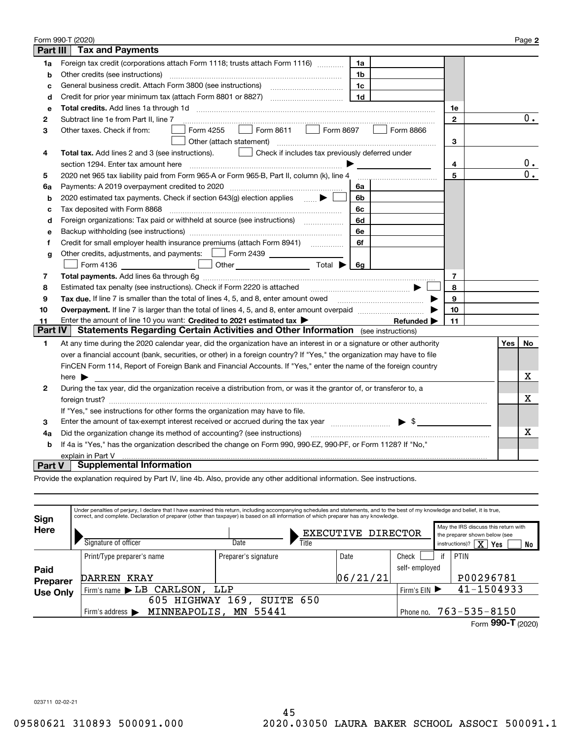|                 | Form 990-T (2020)                                                                                                       |              |  |     | Page 2           |  |
|-----------------|-------------------------------------------------------------------------------------------------------------------------|--------------|--|-----|------------------|--|
| <b>Part III</b> | <b>Tax and Payments</b>                                                                                                 |              |  |     |                  |  |
| 1a              | Foreign tax credit (corporations attach Form 1118; trusts attach Form 1116)<br>1a                                       |              |  |     |                  |  |
| b               | Other credits (see instructions)<br>1b                                                                                  |              |  |     |                  |  |
| C               | 1c                                                                                                                      |              |  |     |                  |  |
| d               | 1 <sub>d</sub>                                                                                                          |              |  |     |                  |  |
| е               | Total credits. Add lines 1a through 1d                                                                                  | 1e           |  |     |                  |  |
| 2               | Subtract line 1e from Part II, line 7                                                                                   | $\mathbf{2}$ |  |     | 0.               |  |
| 3               | Form 8611<br>Form 8697<br>Form 4255<br>Form 8866<br>Other taxes. Check if from:<br>$\mathbf{1}$                         |              |  |     |                  |  |
|                 | Other (attach statement)                                                                                                | 3            |  |     |                  |  |
| 4               | Check if includes tax previously deferred under<br>Total tax. Add lines 2 and 3 (see instructions).                     |              |  |     |                  |  |
|                 | section 1294. Enter tax amount here                                                                                     | 4            |  |     | 0.               |  |
| 5               | 2020 net 965 tax liability paid from Form 965-A or Form 965-B, Part II, column (k), line 4                              | 5            |  |     | $\overline{0}$ . |  |
| 6a              | Payments: A 2019 overpayment credited to 2020 [11] [11] maximum materials: A 2019 overpayment credited to 2020<br>6a    |              |  |     |                  |  |
| b               | 2020 estimated tax payments. Check if section 643(g) election applies $\qquad \qquad \bullet$<br>6b                     |              |  |     |                  |  |
| c               | Tax deposited with Form 8868<br>6c                                                                                      |              |  |     |                  |  |
| d               | Foreign organizations: Tax paid or withheld at source (see instructions) [<br>6d                                        |              |  |     |                  |  |
| e               | 6e                                                                                                                      |              |  |     |                  |  |
| f               | 6f                                                                                                                      |              |  |     |                  |  |
| g               | Other credits, adjustments, and payments:   Form 2439                                                                   |              |  |     |                  |  |
|                 | Other $\overline{\hspace{1cm}}$ Total $\blacktriangleright$ $\overline{\hspace{1cm}}$ 6g<br>Form 4136                   |              |  |     |                  |  |
| 7               |                                                                                                                         | 7            |  |     |                  |  |
| 8               | Estimated tax penalty (see instructions). Check if Form 2220 is attached                                                | 8            |  |     |                  |  |
| 9               | Tax due. If line 7 is smaller than the total of lines 4, 5, and 8, enter amount owed <b>Face and Conservers</b> in the  | 9            |  |     |                  |  |
| 10              |                                                                                                                         | 10           |  |     |                  |  |
| 11              | Enter the amount of line 10 you want: Credited to 2021 estimated tax<br>Refunded $\blacktriangleright$                  | 11           |  |     |                  |  |
| <b>Part IV</b>  | <b>Statements Regarding Certain Activities and Other Information</b> (see instructions)                                 |              |  |     |                  |  |
| 1               | At any time during the 2020 calendar year, did the organization have an interest in or a signature or other authority   |              |  | Yes | No               |  |
|                 | over a financial account (bank, securities, or other) in a foreign country? If "Yes," the organization may have to file |              |  |     |                  |  |
|                 | FinCEN Form 114, Report of Foreign Bank and Financial Accounts. If "Yes," enter the name of the foreign country         |              |  |     |                  |  |
|                 | here $\blacktriangleright$                                                                                              |              |  |     | х                |  |
| 2               | During the tax year, did the organization receive a distribution from, or was it the grantor of, or transferor to, a    |              |  |     |                  |  |
|                 |                                                                                                                         |              |  |     | X                |  |
|                 | If "Yes," see instructions for other forms the organization may have to file.                                           |              |  |     |                  |  |
| 3               | Enter the amount of tax-exempt interest received or accrued during the tax year manufactured $\blacktriangleright$ \$   |              |  |     |                  |  |
| 4a              | Did the organization change its method of accounting? (see instructions)                                                |              |  |     |                  |  |
| b               | If 4a is "Yes," has the organization described the change on Form 990, 990-EZ, 990-PF, or Form 1128? If "No,"           |              |  |     |                  |  |
|                 | explain in Part V                                                                                                       |              |  |     |                  |  |
| <b>Part V</b>   | <b>Supplemental Information</b>                                                                                         |              |  |     |                  |  |

Provide the explanation required by Part IV, line 4b. Also, provide any other additional information. See instructions.

| Sign            | Under penalties of perjury, I declare that I have examined this return, including accompanying schedules and statements, and to the best of my knowledge and belief, it is true,<br>correct, and complete. Declaration of preparer (other than taxpayer) is based on all information of which preparer has any knowledge. |                                     |          |                    |                                                                                                                           |                     |  |  |  |
|-----------------|---------------------------------------------------------------------------------------------------------------------------------------------------------------------------------------------------------------------------------------------------------------------------------------------------------------------------|-------------------------------------|----------|--------------------|---------------------------------------------------------------------------------------------------------------------------|---------------------|--|--|--|
| Here            | Signature of officer                                                                                                                                                                                                                                                                                                      | EXECUTIVE DIRECTOR<br>Date<br>Title |          |                    | May the IRS discuss this return with<br>the preparer shown below (see<br>instructions)? $\boxed{\mathbf{X}}$<br>Yes<br>No |                     |  |  |  |
|                 | Print/Type preparer's name                                                                                                                                                                                                                                                                                                | Preparer's signature                | Date     | Check              | if                                                                                                                        | PTIN                |  |  |  |
| Paid            |                                                                                                                                                                                                                                                                                                                           |                                     |          | self-employed      |                                                                                                                           |                     |  |  |  |
| <b>Preparer</b> | KRAY<br>DARREN                                                                                                                                                                                                                                                                                                            |                                     | 06/21/21 |                    |                                                                                                                           | P00296781           |  |  |  |
| <b>Use Only</b> | Firm's name LB CARLSON,<br>LLP                                                                                                                                                                                                                                                                                            | Firm's EIN ▶                        |          | 41-1504933         |                                                                                                                           |                     |  |  |  |
|                 |                                                                                                                                                                                                                                                                                                                           | 169,<br>SUITE 650<br>605 HIGHWAY    |          |                    |                                                                                                                           |                     |  |  |  |
|                 | MINNEAPOLIS,<br>Firm's address $\blacktriangleright$                                                                                                                                                                                                                                                                      | Phone no.                           |          | $763 - 535 - 8150$ |                                                                                                                           |                     |  |  |  |
|                 |                                                                                                                                                                                                                                                                                                                           |                                     |          |                    |                                                                                                                           | Form 990-T $(2020)$ |  |  |  |

023711 02-02-21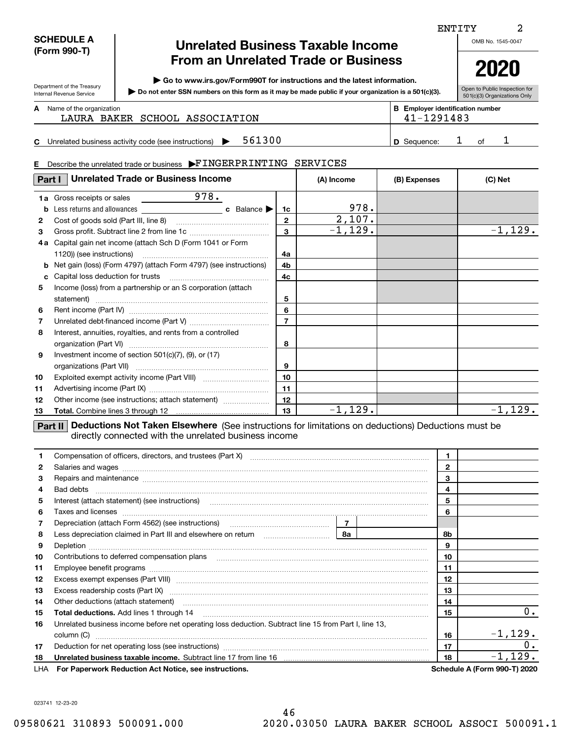| <b>SCHEDULE A</b> |
|-------------------|
| (Form 990-T)      |

Department of the Treasury Internal Revenue Service

### **Unrelated Business Taxable Income From an Unrelated Trade or Business**

**| Go to www.irs.gov/Form990T for instructions and the latest information.**

**Do not enter SSN numbers on this form as it may be made public if your organization is a 501(c)(3). |** 

Open to Public Inspection for 501(c)(3) Organizations Only

**2020**

#### Name of the organization **mumber and the organization number contracts the organization number BEEnployer identification number A**

|  |  |  |  |  | LAURA BAKER SCHOOL ASSOCIATIO |
|--|--|--|--|--|-------------------------------|
|--|--|--|--|--|-------------------------------|

**CD** Sequence:  $\begin{matrix} 1 & 0 & 1 \end{matrix}$ Unrelated business activity code (see instructions)  $\triangleright$  561300  $\vert$  D Sequence: 1 of

# LAURA BAKER SCHOOL ASSOCIATION 41-1291483

ENTITY

#### **E**Describe the unrelated trade or business  $\blacktriangleright \text{FINGERPRINTING}$  SERVICES

| Part I         | <b>Unrelated Trade or Business Income</b>                                                                                                                            |                               | (A) Income                   | (B) Expenses | (C) Net    |
|----------------|----------------------------------------------------------------------------------------------------------------------------------------------------------------------|-------------------------------|------------------------------|--------------|------------|
| b<br>2<br>3    | 978.<br><b>1a</b> Gross receipts or sales<br>4a Capital gain net income (attach Sch D (Form 1041 or Form                                                             | 1c<br>$\mathbf{2}$<br>3<br>4a | 978.<br>2,107.<br>$-1, 129.$ |              | $-1, 129.$ |
| c.<br>5        | <b>b</b> Net gain (loss) (Form 4797) (attach Form 4797) (see instructions)<br>Income (loss) from a partnership or an S corporation (attach                           | 4b<br>4c<br>5                 |                              |              |            |
| 6<br>7<br>8    | Interest, annuities, royalties, and rents from a controlled                                                                                                          | 6<br>$\overline{7}$<br>8      |                              |              |            |
| 9<br>10        | Investment income of section $501(c)(7)$ , (9), or (17)                                                                                                              | 9<br>10                       |                              |              |            |
| 11<br>12<br>13 | Other income (see instructions; attach statement)<br>m – 1111 Dedicatione Net Telesa Fleecdeaux (One instrumings for limitations on dedicational Dedications must be | 11<br>12<br>13                | $-1, 129.$                   |              | $-1, 129.$ |

**Part II Deductions Not Taken Elsewhere** (See instructions for limitations on deductions) Deductions must be directly connected with the unrelated business income

| 1  | Compensation of officers, directors, and trustees (Part X) [11] [2010] [2010] [2010] [2010] [2010] [2010] [2010] [2010] [2010] [2010] [2010] [2010] [2010] [2010] [2010] [2010] [2010] [2010] [2010] [2010] [2010] [2010] [201 |  |  | 1            |                                     |
|----|--------------------------------------------------------------------------------------------------------------------------------------------------------------------------------------------------------------------------------|--|--|--------------|-------------------------------------|
| 2  | Salaries and wages with the continuum contract of the contract of the contract of the contract of the contract of the contract of the contract of the contract of the contract of the contract of the contract of the contract |  |  | $\mathbf{2}$ |                                     |
| 3  | Repairs and maintenance material content content content and maintenance material content and maintenance material content and maintenance material content and maintenance material content and material content and material |  |  | 3            |                                     |
| 4  |                                                                                                                                                                                                                                |  |  | 4            |                                     |
| 5  | Interest (attach statement) (see instructions) [11] material content and according to the statement of the statement of the statement of the statement of the statement of the statement of the statement of the statement of  |  |  | 5            |                                     |
| 6  | Taxes and licenses <b>with a construction of the construction of the construction of the construction</b>                                                                                                                      |  |  | 6            |                                     |
| 7  |                                                                                                                                                                                                                                |  |  |              |                                     |
| 8  | Depreciation (attach Form 4562) (see instructions)<br>Less depreciation claimed in Part III and elsewhere on return<br><b>8a</b>                                                                                               |  |  | 8b           |                                     |
| 9  |                                                                                                                                                                                                                                |  |  | 9            |                                     |
| 10 | Contributions to deferred compensation plans                                                                                                                                                                                   |  |  | 10           |                                     |
| 11 |                                                                                                                                                                                                                                |  |  | 11           |                                     |
| 12 | Excess exempt expenses (Part VIII) material content content and all of the set of the set of the set of the set of the set of the set of the set of the set of the set of the set of the set of the set of the set of the set  |  |  | 12           |                                     |
| 13 |                                                                                                                                                                                                                                |  |  | 13           |                                     |
| 14 | Other deductions (attach statement) material content and a statement of the content of the deductions (attach statement)                                                                                                       |  |  | 14           |                                     |
| 15 |                                                                                                                                                                                                                                |  |  | 15           | 0.                                  |
| 16 | Unrelated business income before net operating loss deduction. Subtract line 15 from Part I, line 13,                                                                                                                          |  |  |              |                                     |
|    | column (C)                                                                                                                                                                                                                     |  |  | 16           | $-1, 129.$                          |
| 17 | Deduction for net operating loss (see instructions) manufactions.com/manufactions.com/manufactions.com/manufactions.com/manufactions.com/manufactions.com/manufactions.com/manufactions.com/manufactions.com/manufactions.com/ |  |  | 17           | 0.                                  |
| 18 |                                                                                                                                                                                                                                |  |  | 18           | $-1, 129.$                          |
|    | LHA For Paperwork Reduction Act Notice, see instructions.                                                                                                                                                                      |  |  |              | <b>Schedule A (Form 990-T) 2020</b> |

023741 12-23-20

2

|  | OMB No. 1545-0047 |
|--|-------------------|
|  |                   |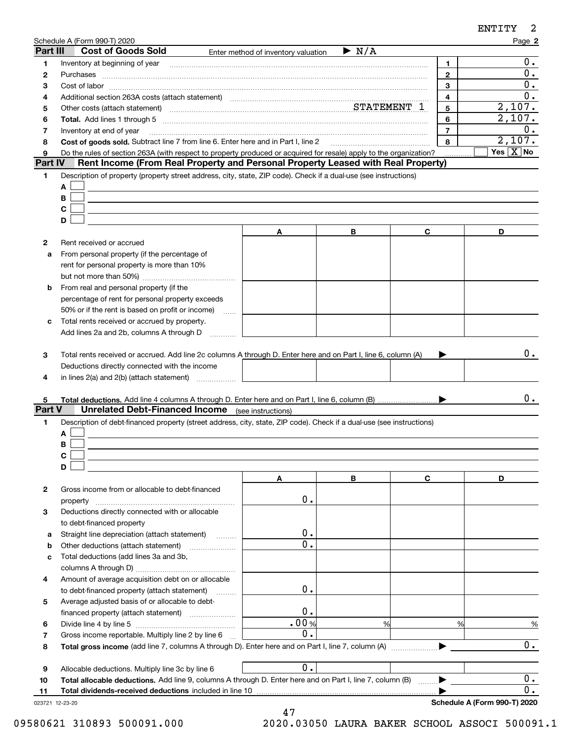| Part III                | Schedule A (Form 990-T) 2020<br><b>Cost of Goods Sold</b>                                                                                                                                                                                   |                                     |                      |   |                              | Page 2                    |
|-------------------------|---------------------------------------------------------------------------------------------------------------------------------------------------------------------------------------------------------------------------------------------|-------------------------------------|----------------------|---|------------------------------|---------------------------|
|                         |                                                                                                                                                                                                                                             | Enter method of inventory valuation | $\triangleright$ N/A |   |                              | $0$ .                     |
| 1<br>2                  | Inventory at beginning of year [11,2001] [2003] [2003] [2004] [3004] [3004] [3004] [3004] [3004] [3004] [3004] [3004] [3004] [3004] [3004] [3004] [3004] [3004] [3004] [3004] [3004] [3004] [3004] [3004] [3004] [3004] [3004]<br>Purchases |                                     |                      |   | $\mathbf{1}$<br>$\mathbf{2}$ | 0.                        |
| з                       |                                                                                                                                                                                                                                             |                                     |                      |   | 3                            | 0.                        |
| 4                       | Additional section 263A costs (attach statement) material content and according to the Additional section 263A                                                                                                                              |                                     |                      |   | 4                            | 0.                        |
| 5                       | Other costs (attach statement) measurement control of STATEMENT 1                                                                                                                                                                           |                                     |                      |   | 5                            | 2,107.                    |
| 6                       | Total. Add lines 1 through 5 [11, 12] manuscription of the contract of the contract of the contract of the contract of the contract of the contract of the contract of the contract of the contract of the contract of the con              |                                     |                      |   | 6                            | $\overline{2,107}$ .      |
| 7                       | Inventory at end of year                                                                                                                                                                                                                    |                                     |                      |   | $\overline{7}$               | 0.                        |
| 8                       | Cost of goods sold. Subtract line 7 from line 6. Enter here and in Part I, line 2 [11, 1111] Cost of goods sold. Subtract line 7 from line 6. Enter here and in Part I, line 2                                                              |                                     |                      |   | 8                            | 2,107.                    |
| 9                       | Do the rules of section 263A (with respect to property produced or acquired for resale) apply to the organization?                                                                                                                          |                                     |                      |   |                              | Yes $\boxed{\text{X}}$ No |
| Part IV                 | Rent Income (From Real Property and Personal Property Leased with Real Property)                                                                                                                                                            |                                     |                      |   |                              |                           |
| 1                       | Description of property (property street address, city, state, ZIP code). Check if a dual-use (see instructions)                                                                                                                            |                                     |                      |   |                              |                           |
|                         | Α                                                                                                                                                                                                                                           |                                     |                      |   |                              |                           |
|                         | В                                                                                                                                                                                                                                           |                                     |                      |   |                              |                           |
|                         | C                                                                                                                                                                                                                                           |                                     |                      |   |                              |                           |
|                         | D                                                                                                                                                                                                                                           |                                     |                      |   |                              |                           |
|                         |                                                                                                                                                                                                                                             | Α                                   | В                    | C |                              | D                         |
| 2                       | Rent received or accrued                                                                                                                                                                                                                    |                                     |                      |   |                              |                           |
| a                       | From personal property (if the percentage of                                                                                                                                                                                                |                                     |                      |   |                              |                           |
|                         | rent for personal property is more than 10%                                                                                                                                                                                                 |                                     |                      |   |                              |                           |
|                         |                                                                                                                                                                                                                                             |                                     |                      |   |                              |                           |
| b                       | From real and personal property (if the                                                                                                                                                                                                     |                                     |                      |   |                              |                           |
|                         | percentage of rent for personal property exceeds                                                                                                                                                                                            |                                     |                      |   |                              |                           |
|                         | 50% or if the rent is based on profit or income)<br>$\ldots$                                                                                                                                                                                |                                     |                      |   |                              |                           |
| c                       | Total rents received or accrued by property.                                                                                                                                                                                                |                                     |                      |   |                              |                           |
|                         | Add lines 2a and 2b, columns A through D                                                                                                                                                                                                    |                                     |                      |   |                              |                           |
|                         | Total rents received or accrued. Add line 2c columns A through D. Enter here and on Part I, line 6, column (A)<br>Deductions directly connected with the income<br>in lines $2(a)$ and $2(b)$ (attach statement) $\ldots$                   |                                     |                      |   |                              | 0.                        |
| 1                       | <b>Unrelated Debt-Financed Income</b> (see instructions)<br>Description of debt-financed property (street address, city, state, ZIP code). Check if a dual-use (see instructions)<br>А<br>В                                                 |                                     |                      |   |                              | 0.                        |
|                         | C                                                                                                                                                                                                                                           |                                     |                      |   |                              |                           |
| 4<br>5                  | D                                                                                                                                                                                                                                           | Α                                   | В                    | C |                              | D                         |
| 2                       | Gross income from or allocable to debt-financed                                                                                                                                                                                             |                                     |                      |   |                              |                           |
|                         | property                                                                                                                                                                                                                                    | 0.                                  |                      |   |                              |                           |
| 3                       | Deductions directly connected with or allocable                                                                                                                                                                                             |                                     |                      |   |                              |                           |
|                         | to debt-financed property                                                                                                                                                                                                                   |                                     |                      |   |                              |                           |
|                         |                                                                                                                                                                                                                                             | 0.                                  |                      |   |                              |                           |
| 3<br><b>Part V</b><br>b | Straight line depreciation (attach statement)                                                                                                                                                                                               | $\overline{0}$ .                    |                      |   |                              |                           |
| c                       | Total deductions (add lines 3a and 3b,                                                                                                                                                                                                      |                                     |                      |   |                              |                           |
|                         |                                                                                                                                                                                                                                             |                                     |                      |   |                              |                           |
| 4                       | Amount of average acquisition debt on or allocable                                                                                                                                                                                          |                                     |                      |   |                              |                           |
|                         |                                                                                                                                                                                                                                             | 0.                                  |                      |   |                              |                           |
| 5                       | to debt-financed property (attach statement)<br>Average adjusted basis of or allocable to debt-                                                                                                                                             |                                     |                      |   |                              |                           |
|                         |                                                                                                                                                                                                                                             | 0.                                  |                      |   |                              |                           |
|                         |                                                                                                                                                                                                                                             | .00%                                | %                    |   | %                            |                           |
|                         | Gross income reportable. Multiply line 2 by line 6                                                                                                                                                                                          | $\overline{0}$ .                    |                      |   |                              |                           |
|                         |                                                                                                                                                                                                                                             |                                     |                      |   |                              | %<br>$\overline{0}$ .     |
|                         |                                                                                                                                                                                                                                             |                                     |                      |   |                              |                           |
| 6<br>7<br>8<br>9        | Allocable deductions. Multiply line 3c by line 6                                                                                                                                                                                            | 0.                                  |                      |   |                              |                           |
| 10                      | Total allocable deductions. Add line 9, columns A through D. Enter here and on Part I, line 7, column (B)<br>Total dividends-received deductions included in line 10                                                                        |                                     |                      |   |                              | 0.<br>$\overline{0}$ .    |

09580621 310893 500091.000 2020.03050 LAURA BAKER SCHOOL ASSOCI 500091.1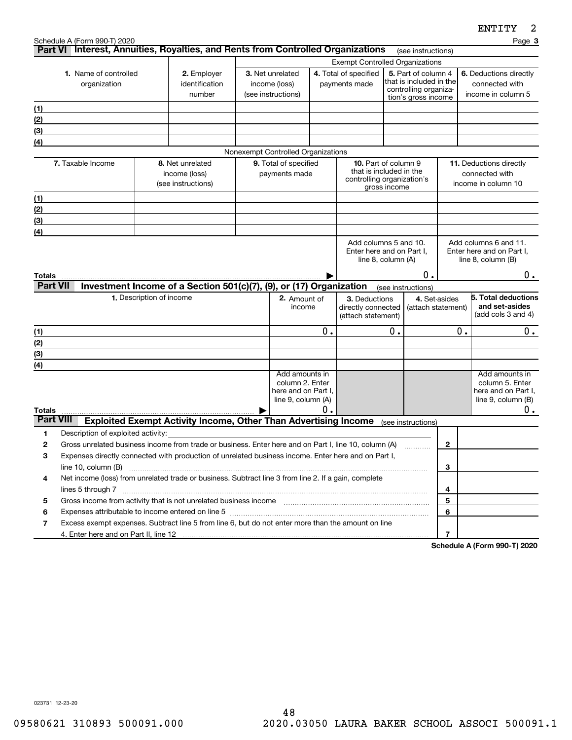|                           |                                       |                                                                                                                                                                                                                         |  |                                                                                |    |                                                                                      |                                                                         |                                     |              | <b>CNIIII</b>                                                                             |
|---------------------------|---------------------------------------|-------------------------------------------------------------------------------------------------------------------------------------------------------------------------------------------------------------------------|--|--------------------------------------------------------------------------------|----|--------------------------------------------------------------------------------------|-------------------------------------------------------------------------|-------------------------------------|--------------|-------------------------------------------------------------------------------------------|
|                           | Schedule A (Form 990-T) 2020          | Part VI Interest, Annuities, Royalties, and Rents from Controlled Organizations                                                                                                                                         |  |                                                                                |    |                                                                                      |                                                                         | (see instructions)                  |              | Page 3                                                                                    |
|                           |                                       | <b>Exempt Controlled Organizations</b>                                                                                                                                                                                  |  |                                                                                |    |                                                                                      |                                                                         |                                     |              |                                                                                           |
|                           | 1. Name of controlled<br>organization | 2. Employer<br>identification<br>number                                                                                                                                                                                 |  | 3. Net unrelated<br>income (loss)<br>(see instructions)                        |    | 4. Total of specified<br>payments made                                               | 5. Part of column 4<br>that is included in the<br>controlling organiza- |                                     |              | 6. Deductions directly<br>connected with<br>income in column 5                            |
| (1)                       |                                       |                                                                                                                                                                                                                         |  |                                                                                |    |                                                                                      |                                                                         | tion's gross income                 |              |                                                                                           |
| (2)                       |                                       |                                                                                                                                                                                                                         |  |                                                                                |    |                                                                                      |                                                                         |                                     |              |                                                                                           |
| (3)                       |                                       |                                                                                                                                                                                                                         |  |                                                                                |    |                                                                                      |                                                                         |                                     |              |                                                                                           |
| $\left(4\right)$          |                                       |                                                                                                                                                                                                                         |  |                                                                                |    |                                                                                      |                                                                         |                                     |              |                                                                                           |
|                           |                                       |                                                                                                                                                                                                                         |  | Nonexempt Controlled Organizations                                             |    |                                                                                      |                                                                         |                                     |              |                                                                                           |
|                           | 7. Taxable Income                     | 8. Net unrelated<br>income (loss)<br>(see instructions)                                                                                                                                                                 |  | 9. Total of specified<br>payments made                                         |    | <b>10.</b> Part of column 9<br>that is included in the<br>controlling organization's | gross income                                                            |                                     |              | <b>11.</b> Deductions directly<br>connected with<br>income in column 10                   |
| <u>(1)</u>                |                                       |                                                                                                                                                                                                                         |  |                                                                                |    |                                                                                      |                                                                         |                                     |              |                                                                                           |
| (2)                       |                                       |                                                                                                                                                                                                                         |  |                                                                                |    |                                                                                      |                                                                         |                                     |              |                                                                                           |
| (3)                       |                                       |                                                                                                                                                                                                                         |  |                                                                                |    |                                                                                      |                                                                         |                                     |              |                                                                                           |
| (4)                       |                                       |                                                                                                                                                                                                                         |  |                                                                                |    |                                                                                      |                                                                         |                                     |              |                                                                                           |
|                           |                                       |                                                                                                                                                                                                                         |  |                                                                                |    | Enter here and on Part I,<br>line 8, column (A)                                      |                                                                         | 0.                                  |              | Enter here and on Part I,<br>line $8$ , column $(B)$                                      |
| Totals<br><b>Part VII</b> |                                       | Investment Income of a Section 501(c)(7), (9), or (17) Organization                                                                                                                                                     |  |                                                                                |    |                                                                                      |                                                                         |                                     |              | $0$ .                                                                                     |
|                           |                                       | 1. Description of income                                                                                                                                                                                                |  | 2. Amount of                                                                   |    | 3. Deductions                                                                        |                                                                         | (see instructions)<br>4. Set-asides |              | 5. Total deductions                                                                       |
|                           |                                       |                                                                                                                                                                                                                         |  | income                                                                         |    | directly connected<br>(attach statement)                                             |                                                                         | (attach statement)                  |              | and set-asides<br>(add cols 3 and 4)                                                      |
| (1)                       |                                       |                                                                                                                                                                                                                         |  |                                                                                | Ο. |                                                                                      | ο.                                                                      |                                     | 0.           | $0$ .                                                                                     |
| (2)                       |                                       |                                                                                                                                                                                                                         |  |                                                                                |    |                                                                                      |                                                                         |                                     |              |                                                                                           |
| (3)                       |                                       |                                                                                                                                                                                                                         |  |                                                                                |    |                                                                                      |                                                                         |                                     |              |                                                                                           |
| (4)                       |                                       |                                                                                                                                                                                                                         |  |                                                                                |    |                                                                                      |                                                                         |                                     |              |                                                                                           |
| <b>Totals</b>             |                                       |                                                                                                                                                                                                                         |  | Add amounts in<br>column 2. Enter<br>here and on Part I,<br>line 9, column (A) | Ο. |                                                                                      |                                                                         |                                     |              | Add amounts in<br>column 5. Enter<br>here and on Part I,<br>line $9$ , column $(B)$<br>0. |
| <b>Part VIII</b>          |                                       | <b>Exploited Exempt Activity Income, Other Than Advertising Income</b>                                                                                                                                                  |  |                                                                                |    |                                                                                      |                                                                         | (see instructions)                  |              |                                                                                           |
| 1                         | Description of exploited activity:    |                                                                                                                                                                                                                         |  |                                                                                |    |                                                                                      |                                                                         |                                     |              |                                                                                           |
| $\mathbf{2}$              |                                       | Gross unrelated business income from trade or business. Enter here and on Part I, line 10, column (A)                                                                                                                   |  |                                                                                |    |                                                                                      |                                                                         |                                     | $\mathbf{2}$ |                                                                                           |
| 3                         | line 10, column (B)                   | Expenses directly connected with production of unrelated business income. Enter here and on Part I,                                                                                                                     |  |                                                                                |    |                                                                                      |                                                                         |                                     | 3            |                                                                                           |
| 4                         |                                       | Net income (loss) from unrelated trade or business. Subtract line 3 from line 2. If a gain, complete                                                                                                                    |  |                                                                                |    |                                                                                      |                                                                         |                                     |              |                                                                                           |
|                           | lines 5 through 7                     |                                                                                                                                                                                                                         |  |                                                                                |    |                                                                                      |                                                                         |                                     | 4            |                                                                                           |
| 5<br>6                    |                                       |                                                                                                                                                                                                                         |  |                                                                                |    |                                                                                      |                                                                         |                                     | 5<br>6       |                                                                                           |
| 7                         |                                       | Expenses attributable to income entered on line 5 [111] [12] manufacture attributable to income entered on line 5<br>Excess exempt expenses. Subtract line 5 from line 6, but do not enter more than the amount on line |  |                                                                                |    |                                                                                      |                                                                         |                                     |              |                                                                                           |
|                           |                                       |                                                                                                                                                                                                                         |  |                                                                                |    |                                                                                      |                                                                         |                                     | 7            |                                                                                           |

**Schedule A (Form 990-T) 2020**

023731 12-23-20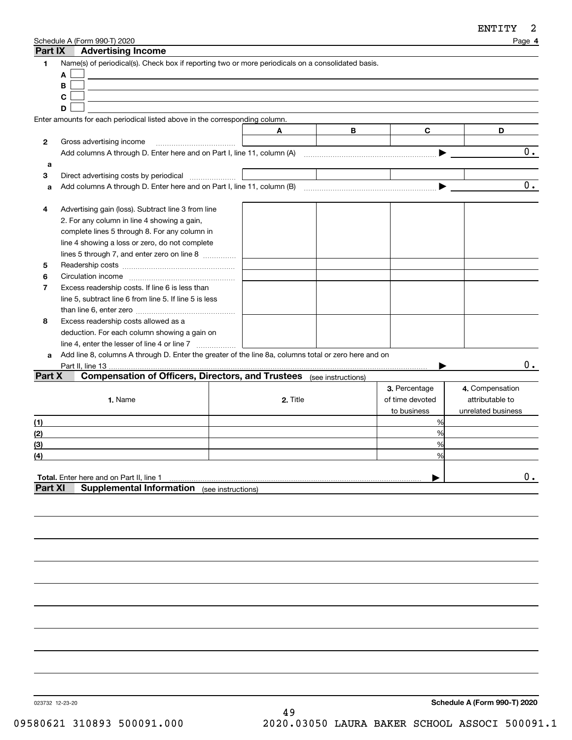| Part IX        | Schedule A (Form 990-T) 2020<br><b>Advertising Income</b>                                            |          |   |                 | Page 4             |
|----------------|------------------------------------------------------------------------------------------------------|----------|---|-----------------|--------------------|
| 1              | Name(s) of periodical(s). Check box if reporting two or more periodicals on a consolidated basis.    |          |   |                 |                    |
|                | A                                                                                                    |          |   |                 |                    |
|                | B                                                                                                    |          |   |                 |                    |
|                | C                                                                                                    |          |   |                 |                    |
|                | D                                                                                                    |          |   |                 |                    |
|                | Enter amounts for each periodical listed above in the corresponding column.                          |          |   |                 |                    |
|                |                                                                                                      | A        | в | C               | D                  |
| 2              | Gross advertising income                                                                             |          |   |                 |                    |
|                |                                                                                                      |          |   |                 | 0.                 |
| a              |                                                                                                      |          |   |                 |                    |
| 3              | Direct advertising costs by periodical                                                               |          |   |                 |                    |
| a              |                                                                                                      |          |   |                 | 0.                 |
|                |                                                                                                      |          |   |                 |                    |
| 4              | Advertising gain (loss). Subtract line 3 from line                                                   |          |   |                 |                    |
|                | 2. For any column in line 4 showing a gain,                                                          |          |   |                 |                    |
|                | complete lines 5 through 8. For any column in                                                        |          |   |                 |                    |
|                | line 4 showing a loss or zero, do not complete                                                       |          |   |                 |                    |
|                | lines 5 through 7, and enter zero on line 8                                                          |          |   |                 |                    |
| 5              |                                                                                                      |          |   |                 |                    |
| 6              |                                                                                                      |          |   |                 |                    |
| 7              | Excess readership costs. If line 6 is less than                                                      |          |   |                 |                    |
|                | line 5, subtract line 6 from line 5. If line 5 is less                                               |          |   |                 |                    |
|                |                                                                                                      |          |   |                 |                    |
| 8              | Excess readership costs allowed as a                                                                 |          |   |                 |                    |
|                | deduction. For each column showing a gain on                                                         |          |   |                 |                    |
|                | line 4, enter the lesser of line 4 or line 7                                                         |          |   |                 |                    |
| a              | Add line 8, columns A through D. Enter the greater of the line 8a, columns total or zero here and on |          |   |                 |                    |
|                | Part II, line 13                                                                                     |          |   |                 | 0.                 |
| Part X         | <b>Compensation of Officers, Directors, and Trustees</b> (see instructions)                          |          |   |                 |                    |
|                |                                                                                                      |          |   | 3. Percentage   | 4. Compensation    |
|                | 1. Name                                                                                              | 2. Title |   | of time devoted | attributable to    |
|                |                                                                                                      |          |   | to business     | unrelated business |
|                |                                                                                                      |          |   | %               |                    |
| (1)            |                                                                                                      |          |   | %               |                    |
| (2)            |                                                                                                      |          |   | %               |                    |
| (3)            |                                                                                                      |          |   |                 |                    |
| (4)            |                                                                                                      |          |   | %               |                    |
|                |                                                                                                      |          |   |                 |                    |
| <b>Part XI</b> | Total. Enter here and on Part II, line 1                                                             |          |   |                 | $0$ .              |
|                | <b>Supplemental Information</b> (see instructions)                                                   |          |   |                 |                    |
|                |                                                                                                      |          |   |                 |                    |
|                |                                                                                                      |          |   |                 |                    |

023732 12-23-20

**Schedule A (Form 990-T) 2020** 49 09580621 310893 500091.000 2020.03050 LAURA BAKER SCHOOL ASSOCI 500091.1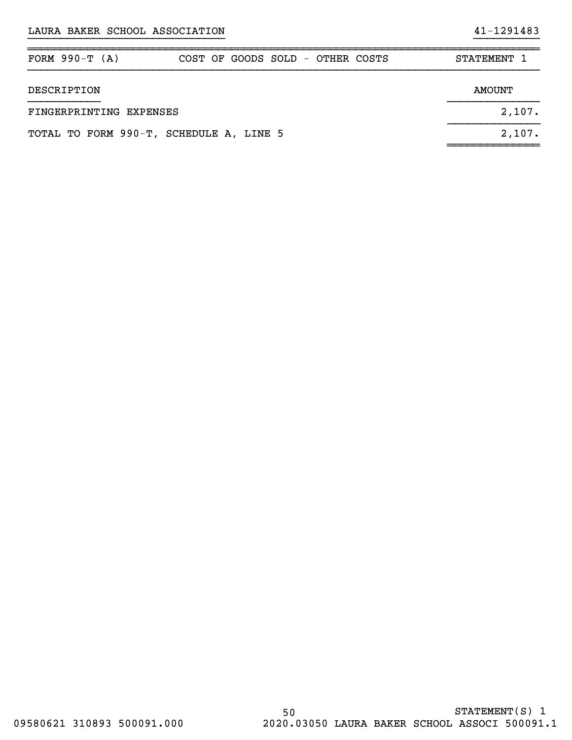| FORM $990-T (A)$                        | COST OF GOODS SOLD - OTHER COSTS |  |  | STATEMENT 1 |
|-----------------------------------------|----------------------------------|--|--|-------------|
| DESCRIPTION                             |                                  |  |  | AMOUNT      |
| FINGERPRINTING EXPENSES                 |                                  |  |  | 2,107.      |
| TOTAL TO FORM 990-T, SCHEDULE A, LINE 5 |                                  |  |  | 2,107.      |

}}}}}}}}}}}}}}}}}}}}}}}}}}}}}} }}}}}}}}}}

~~~~~~~~~~~~~~~~~~~~~~~~~~~~~~~~~~~~~~~~~~~~~~~~~~~~~~~~~~~~~~~~~~~~~~~~~~~~~~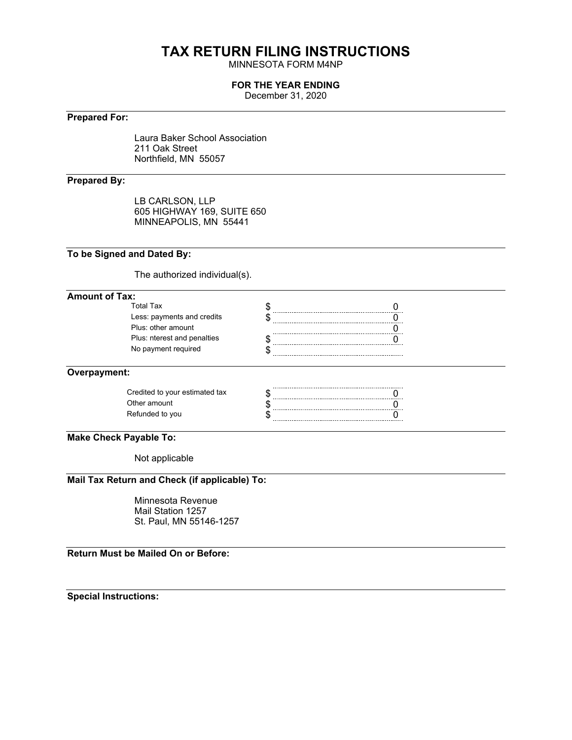## **TAX RETURN FILING INSTRUCTIONS**

MINNESOTA FORM M4NP

### **FOR THE YEAR ENDING**

December 31, 2020

### **Prepared For:**

Laura Baker School Association 211 Oak Street Northfield, MN 55057

### **Prepared By:**

LB CARLSON, LLP 605 HIGHWAY 169, SUITE 650 MINNEAPOLIS, MN 55441

### **To be Signed and Dated By:**

The authorized individual(s).

### **Amount of Tax:**

| Total Tax                   |  |
|-----------------------------|--|
| Less: payments and credits  |  |
| Plus: other amount          |  |
| Plus: nterest and penalties |  |
| No payment required         |  |
|                             |  |

### **Overpayment:**

| Credited to your estimated tax |  |
|--------------------------------|--|
| Other amount                   |  |
| Refunded to you                |  |
|                                |  |

### **Make Check Payable To:**

Not applicable

### **Mail Tax Return and Check (if applicable) To:**

Minnesota Revenue Mail Station 1257 St. Paul, MN 55146-1257

**Return Must be Mailed On or Before:**

**Special Instructions:**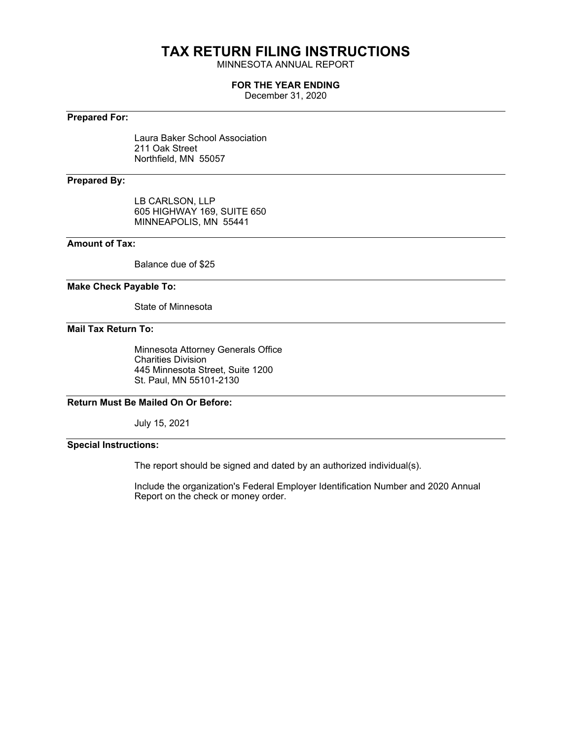# **TAX RETURN FILING INSTRUCTIONS**

MINNESOTA ANNUAL REPORT

### **FOR THE YEAR ENDING**

December 31, 2020

### **Prepared For:**

Laura Baker School Association 211 Oak Street Northfield, MN 55057

### **Prepared By:**

LB CARLSON, LLP 605 HIGHWAY 169, SUITE 650 MINNEAPOLIS, MN 55441

### **Amount of Tax:**

Balance due of \$25

### **Make Check Payable To:**

State of Minnesota

### **Mail Tax Return To:**

Minnesota Attorney Generals Office Charities Division 445 Minnesota Street, Suite 1200 St. Paul, MN 55101-2130

### **Return Must Be Mailed On Or Before:**

July 15, 2021

### **Special Instructions:**

The report should be signed and dated by an authorized individual(s).

Include the organization's Federal Employer Identification Number and 2020 Annual Report on the check or money order.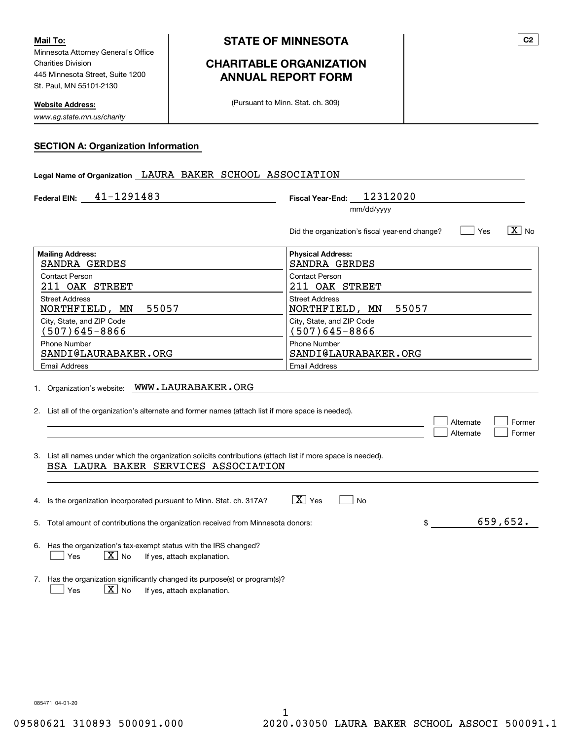Minnesota Attorney General's Office Charities Division 445 Minnesota Street, Suite 1200 St. Paul, MN 55101-2130 **Mail To:**

**Website Address:**

*www.ag.state.mn.us/charity*

### **CHARITABLE ORGANIZATION ANNUAL REPORT FORM**

(Pursuant to Minn. Stat. ch. 309)

**SECTION A: Organization Information**

| Legal Name of Organization LAURA BAKER SCHOOL ASSOCIATION                                                                                            |                                                                        |  |  |  |  |
|------------------------------------------------------------------------------------------------------------------------------------------------------|------------------------------------------------------------------------|--|--|--|--|
| 41-1291483<br><b>Federal EIN:</b>                                                                                                                    | 12312020<br><b>Fiscal Year-End:</b>                                    |  |  |  |  |
|                                                                                                                                                      | mm/dd/yyyy                                                             |  |  |  |  |
|                                                                                                                                                      | $\sqrt{X}$ No<br>Did the organization's fiscal year-end change?<br>Yes |  |  |  |  |
| <b>Mailing Address:</b><br>SANDRA GERDES                                                                                                             | <b>Physical Address:</b><br>SANDRA GERDES                              |  |  |  |  |
| <b>Contact Person</b><br>211 OAK STREET                                                                                                              | <b>Contact Person</b><br>211 OAK STREET                                |  |  |  |  |
| <b>Street Address</b><br>55057<br>NORTHFIELD, MN                                                                                                     | <b>Street Address</b><br>55057<br>NORTHFIELD, MN                       |  |  |  |  |
| City, State, and ZIP Code<br>$(507)645 - 8866$                                                                                                       | City, State, and ZIP Code<br>$(507)645 - 8866$                         |  |  |  |  |
| <b>Phone Number</b><br>SANDI@LAURABAKER.ORG                                                                                                          | <b>Phone Number</b><br>SANDI@LAURABAKER.ORG                            |  |  |  |  |
| <b>Email Address</b>                                                                                                                                 | <b>Email Address</b>                                                   |  |  |  |  |
| 1. Organization's website: WWW.LAURABAKER.ORG<br>2. List all of the organization's alternate and former names (attach list if more space is needed). |                                                                        |  |  |  |  |
|                                                                                                                                                      | Alternate<br>Former<br>Alternate<br>Former                             |  |  |  |  |
| 3. List all names under which the organization solicits contributions (attach list if more space is needed).<br>BSA LAURA BAKER SERVICES ASSOCIATION |                                                                        |  |  |  |  |
|                                                                                                                                                      |                                                                        |  |  |  |  |
| 4. Is the organization incorporated pursuant to Minn. Stat. ch. 317A?                                                                                | $ \overline{X} $ Yes<br>No                                             |  |  |  |  |
| 5. Total amount of contributions the organization received from Minnesota donors:                                                                    | 659,652.<br>$\frac{1}{2}$                                              |  |  |  |  |
| 6. Has the organization's tax-exempt status with the IRS changed?<br>$\boxed{\text{X}}$ No<br>Yes<br>If yes, attach explanation.                     |                                                                        |  |  |  |  |
| 7. Has the organization significantly changed its purpose(s) or program(s)?<br>$\boxed{\mathbf{X}}$ No<br>Yes<br>If yes, attach explanation.         |                                                                        |  |  |  |  |

085471 04-01-20

**C2**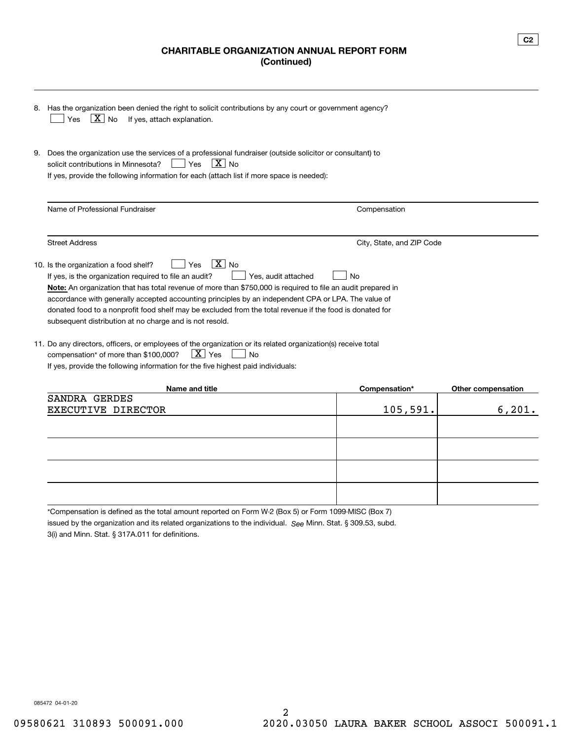### **CHARITABLE ORGANIZATION ANNUAL REPORT FORM (Continued)**

|    | 8. Has the organization been denied the right to solicit contributions by any court or government agency?<br>$\lfloor \underline{X} \rfloor$ No<br>If yes, attach explanation.<br>Yes                                                                                                                                                                                                                                                                                                                                                       |                           |                    |  |  |  |
|----|---------------------------------------------------------------------------------------------------------------------------------------------------------------------------------------------------------------------------------------------------------------------------------------------------------------------------------------------------------------------------------------------------------------------------------------------------------------------------------------------------------------------------------------------|---------------------------|--------------------|--|--|--|
| 9. | Does the organization use the services of a professional fundraiser (outside solicitor or consultant) to<br>$ X _{\text{No}}$<br>solicit contributions in Minnesota?<br>Yes<br>If yes, provide the following information for each (attach list if more space is needed):                                                                                                                                                                                                                                                                    |                           |                    |  |  |  |
|    | Name of Professional Fundraiser                                                                                                                                                                                                                                                                                                                                                                                                                                                                                                             | Compensation              |                    |  |  |  |
|    | <b>Street Address</b>                                                                                                                                                                                                                                                                                                                                                                                                                                                                                                                       | City, State, and ZIP Code |                    |  |  |  |
|    | $X$ No<br>10. Is the organization a food shelf?<br>Yes<br>Yes, audit attached<br>If yes, is the organization required to file an audit?<br>No<br>Note: An organization that has total revenue of more than \$750,000 is required to file an audit prepared in<br>accordance with generally accepted accounting principles by an independent CPA or LPA. The value of<br>donated food to a nonprofit food shelf may be excluded from the total revenue if the food is donated for<br>subsequent distribution at no charge and is not resold. |                           |                    |  |  |  |
|    | 11. Do any directors, officers, or employees of the organization or its related organization(s) receive total<br>$\mid$ $\rm X\mid$ Yes<br>compensation* of more than \$100,000?<br><b>No</b><br>If yes, provide the following information for the five highest paid individuals:                                                                                                                                                                                                                                                           |                           |                    |  |  |  |
|    | Name and title                                                                                                                                                                                                                                                                                                                                                                                                                                                                                                                              | Compensation*             | Other compensation |  |  |  |
|    | SANDRA GERDES<br>EXECUTIVE<br>DIRECTOR                                                                                                                                                                                                                                                                                                                                                                                                                                                                                                      | 105,591.                  | $6,201$ .          |  |  |  |

\*Compensation is defined as the total amount reported on Form W-2 (Box 5) or Form 1099-MISC (Box 7)

issued by the organization and its related organizations to the individual. S<sub>ee</sub> Minn. Stat. § 309.53, subd.

3(i) and Minn. Stat. § 317A.011 for definitions.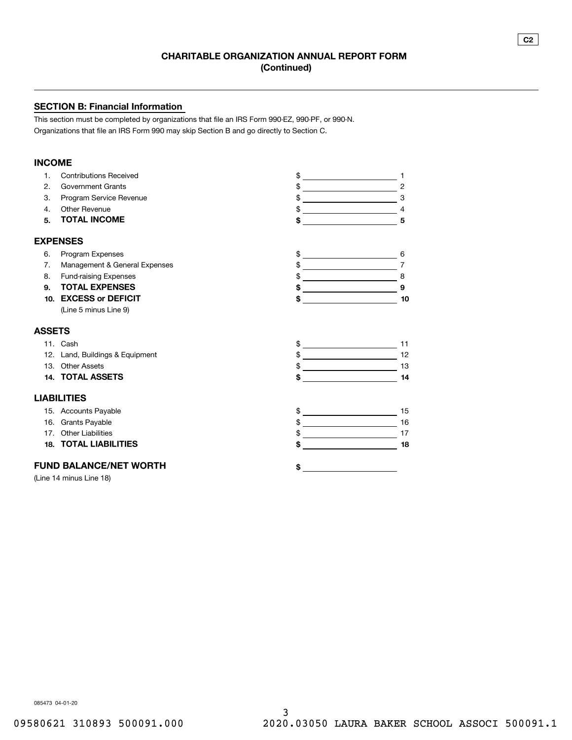### **SECTION B: Financial Information**

This section must be completed by organizations that file an IRS Form 990-EZ, 990-PF, or 990-N. Organizations that file an IRS Form 990 may skip Section B and go directly to Section C.

### **INCOME**

| $\mathbf{1}$ . | <b>Contributions Received</b>   | \$                                                        |                                                                                             |
|----------------|---------------------------------|-----------------------------------------------------------|---------------------------------------------------------------------------------------------|
| 2.             | <b>Government Grants</b>        | \$                                                        | $\overline{c}$                                                                              |
| 3.             | Program Service Revenue         | \$                                                        | 3<br><u> 1989 - Johann Barn, fransk politik (</u>                                           |
| 4.             | Other Revenue                   |                                                           |                                                                                             |
| 5.             | <b>TOTAL INCOME</b>             | \$                                                        | 5                                                                                           |
|                | <b>EXPENSES</b>                 |                                                           |                                                                                             |
| 6.             | Program Expenses                |                                                           | 6                                                                                           |
| 7 <sub>1</sub> | Management & General Expenses   | \$<br><u> 1989 - Andrea Station Barbara, amerikan per</u> | $\overline{7}$                                                                              |
| 8.             | <b>Fund-raising Expenses</b>    | \$                                                        | $\begin{array}{c c} \hline \begin{array}{ccc} \hline \end{array} & 8 \\ \hline \end{array}$ |
| 9.             | <b>TOTAL EXPENSES</b>           |                                                           | 9                                                                                           |
| 10.            | <b>EXCESS or DEFICIT</b>        | \$                                                        | 10<br><u> 1990 - Jan Barbara III, martx</u>                                                 |
|                | (Line 5 minus Line 9)           |                                                           |                                                                                             |
| <b>ASSETS</b>  |                                 |                                                           |                                                                                             |
|                | 11. Cash                        | $\mathsf{\$}$                                             | 11                                                                                          |
|                | 12. Land, Buildings & Equipment |                                                           | 12                                                                                          |
|                | 13. Other Assets                |                                                           | 13                                                                                          |
|                | 14. TOTAL ASSETS                | \$                                                        | 14                                                                                          |
|                | <b>LIABILITIES</b>              |                                                           |                                                                                             |
|                | 15. Accounts Payable            | <u> 1980 - Johann Barbara, martxa a</u>                   | 15                                                                                          |
|                | 16. Grants Payable              | $\frac{1}{2}$                                             | 16                                                                                          |
|                | 17. Other Liabilities           |                                                           | 17                                                                                          |
|                | <b>18. TOTAL LIABILITIES</b>    | \$                                                        | 18<br><u> 1980 - Jan Salaman Salaman (</u>                                                  |
|                | <b>FUND BALANCE/NET WORTH</b>   | \$                                                        |                                                                                             |
|                | (Line 14 minus Line 18)         |                                                           |                                                                                             |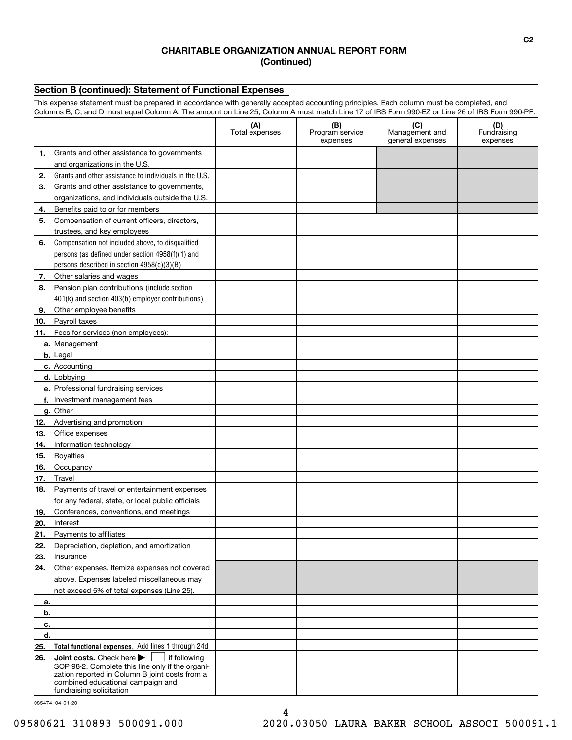### **CHARITABLE ORGANIZATION ANNUAL REPORT FORM (Continued)**

### **Section B (continued): Statement of Functional Expenses**

This expense statement must be prepared in accordance with generally accepted accounting principles. Each column must be completed, and Columns B, C, and D must equal Column A. The amount on Line 25, Column A must match Line 17 of IRS Form 990-EZ or Line 26 of IRS Form 990-PF.

|          | ovidiniis D, O, dha D mast egaar oolaniir) t. The ameant on Eine 20, Oolaniir) t mast materi Eine Tr or into Ferni ooo EZ                                           | (A)<br>Total expenses | (B)<br>Program service<br>expenses | (C)<br>Management and<br>general expenses | (D)<br>Fundraising<br>expenses |
|----------|---------------------------------------------------------------------------------------------------------------------------------------------------------------------|-----------------------|------------------------------------|-------------------------------------------|--------------------------------|
| 1.       | Grants and other assistance to governments                                                                                                                          |                       |                                    |                                           |                                |
|          | and organizations in the U.S.                                                                                                                                       |                       |                                    |                                           |                                |
| 2.       | Grants and other assistance to individuals in the U.S.                                                                                                              |                       |                                    |                                           |                                |
| З.       | Grants and other assistance to governments,                                                                                                                         |                       |                                    |                                           |                                |
|          | organizations, and individuals outside the U.S.                                                                                                                     |                       |                                    |                                           |                                |
| 4.       | Benefits paid to or for members                                                                                                                                     |                       |                                    |                                           |                                |
| 5.       | Compensation of current officers, directors,                                                                                                                        |                       |                                    |                                           |                                |
|          | trustees, and key employees                                                                                                                                         |                       |                                    |                                           |                                |
| 6.       | Compensation not included above, to disqualified                                                                                                                    |                       |                                    |                                           |                                |
|          | persons (as defined under section 4958(f)(1) and                                                                                                                    |                       |                                    |                                           |                                |
|          | persons described in section 4958(c)(3)(B)                                                                                                                          |                       |                                    |                                           |                                |
| 7.       | Other salaries and wages                                                                                                                                            |                       |                                    |                                           |                                |
| 8.       | Pension plan contributions (include section                                                                                                                         |                       |                                    |                                           |                                |
|          | 401(k) and section 403(b) employer contributions)                                                                                                                   |                       |                                    |                                           |                                |
| 9.       | Other employee benefits                                                                                                                                             |                       |                                    |                                           |                                |
| 10.      | Payroll taxes                                                                                                                                                       |                       |                                    |                                           |                                |
| 11.      | Fees for services (non-employees):                                                                                                                                  |                       |                                    |                                           |                                |
|          | a. Management                                                                                                                                                       |                       |                                    |                                           |                                |
|          | b. Legal                                                                                                                                                            |                       |                                    |                                           |                                |
|          | c. Accounting                                                                                                                                                       |                       |                                    |                                           |                                |
|          | d. Lobbying                                                                                                                                                         |                       |                                    |                                           |                                |
|          | e. Professional fundraising services                                                                                                                                |                       |                                    |                                           |                                |
|          | f. Investment management fees                                                                                                                                       |                       |                                    |                                           |                                |
|          | g. Other                                                                                                                                                            |                       |                                    |                                           |                                |
| 12.      | Advertising and promotion                                                                                                                                           |                       |                                    |                                           |                                |
| 13.      | Office expenses                                                                                                                                                     |                       |                                    |                                           |                                |
| 14.      | Information technology                                                                                                                                              |                       |                                    |                                           |                                |
| 15.      | Royalties                                                                                                                                                           |                       |                                    |                                           |                                |
| 16.      | Occupancy                                                                                                                                                           |                       |                                    |                                           |                                |
| 17.      | Travel                                                                                                                                                              |                       |                                    |                                           |                                |
| 18.      | Payments of travel or entertainment expenses                                                                                                                        |                       |                                    |                                           |                                |
|          | for any federal, state, or local public officials                                                                                                                   |                       |                                    |                                           |                                |
| 19.      | Conferences, conventions, and meetings                                                                                                                              |                       |                                    |                                           |                                |
| 20.      | Interest                                                                                                                                                            |                       |                                    |                                           |                                |
| 21.      | Payments to affiliates                                                                                                                                              |                       |                                    |                                           |                                |
| 22.      | Depreciation, depletion, and amortization                                                                                                                           |                       |                                    |                                           |                                |
| 23.      | Insurance                                                                                                                                                           |                       |                                    |                                           |                                |
| 24.      | Other expenses. Itemize expenses not covered                                                                                                                        |                       |                                    |                                           |                                |
|          | above. Expenses labeled miscellaneous may                                                                                                                           |                       |                                    |                                           |                                |
|          | not exceed 5% of total expenses (Line 25).                                                                                                                          |                       |                                    |                                           |                                |
| a.       |                                                                                                                                                                     |                       |                                    |                                           |                                |
| b.       |                                                                                                                                                                     |                       |                                    |                                           |                                |
| c.<br>d. |                                                                                                                                                                     |                       |                                    |                                           |                                |
|          |                                                                                                                                                                     |                       |                                    |                                           |                                |
| 25.      | Total functional expenses. Add lines 1 through 24d<br>Joint costs. Check here<br>if following                                                                       |                       |                                    |                                           |                                |
| 26.      | SOP 98-2. Complete this line only if the organi-<br>zation reported in Column B joint costs from a<br>combined educational campaign and<br>fundraising solicitation |                       |                                    |                                           |                                |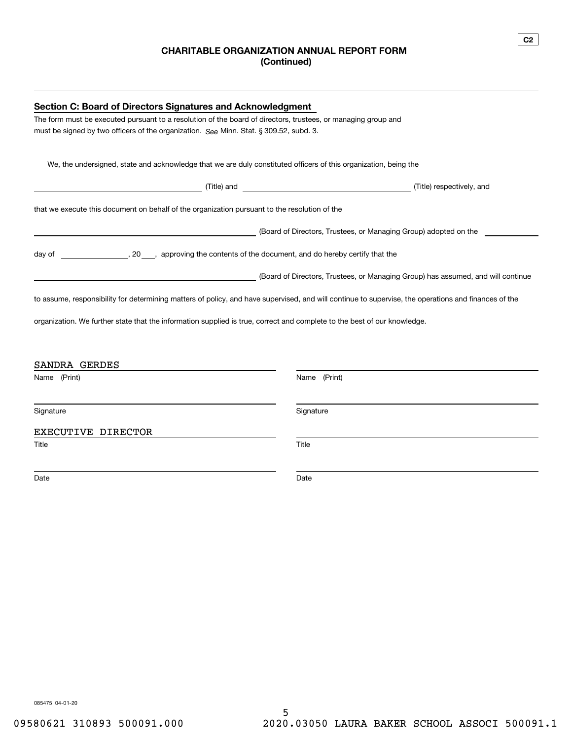### **CHARITABLE ORGANIZATION ANNUAL REPORT FORM (Continued)**

| <b>Section C: Board of Directors Signatures and Acknowledgment</b>                                                                                   |                                                                                  |  |  |  |
|------------------------------------------------------------------------------------------------------------------------------------------------------|----------------------------------------------------------------------------------|--|--|--|
| The form must be executed pursuant to a resolution of the board of directors, trustees, or managing group and                                        |                                                                                  |  |  |  |
| must be signed by two officers of the organization. See Minn. Stat. § 309.52, subd. 3.                                                               |                                                                                  |  |  |  |
|                                                                                                                                                      |                                                                                  |  |  |  |
| We, the undersigned, state and acknowledge that we are duly constituted officers of this organization, being the                                     |                                                                                  |  |  |  |
|                                                                                                                                                      | (Title) respectively, and                                                        |  |  |  |
| that we execute this document on behalf of the organization pursuant to the resolution of the                                                        |                                                                                  |  |  |  |
|                                                                                                                                                      | (Board of Directors, Trustees, or Managing Group) adopted on the                 |  |  |  |
|                                                                                                                                                      |                                                                                  |  |  |  |
|                                                                                                                                                      | (Board of Directors, Trustees, or Managing Group) has assumed, and will continue |  |  |  |
| to assume, responsibility for determining matters of policy, and have supervised, and will continue to supervise, the operations and finances of the |                                                                                  |  |  |  |
| organization. We further state that the information supplied is true, correct and complete to the best of our knowledge.                             |                                                                                  |  |  |  |
|                                                                                                                                                      |                                                                                  |  |  |  |
| SANDRA GERDES                                                                                                                                        |                                                                                  |  |  |  |
| Name (Print)                                                                                                                                         | Name (Print)                                                                     |  |  |  |
| Signature                                                                                                                                            | Signature                                                                        |  |  |  |
| EXECUTIVE DIRECTOR                                                                                                                                   |                                                                                  |  |  |  |
| Title                                                                                                                                                | Title                                                                            |  |  |  |
| Date                                                                                                                                                 | Date                                                                             |  |  |  |
|                                                                                                                                                      |                                                                                  |  |  |  |

**C2**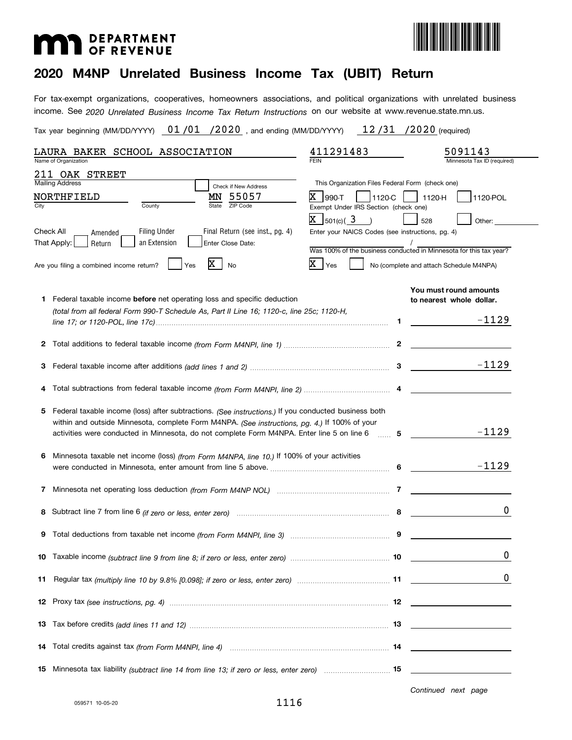# **MAD** DEPARTMENT



### **2020 M4NP Unrelated Business Income Tax (UBIT) Return**

income. See 2020 Unrelated Business Income Tax Return Instructions on our website at www.revenue.state.mn.us. For tax-exempt organizations, cooperatives, homeowners associations, and political organizations with unrelated business

Tax year beginning (MM/DD/YYYY)  $\quad 01$  / $01$   $\,$  /2020  $\,$  , and ending (MM/DD/YYYY)  $\qquad 12$  /31  $\,$  /2020 (required)

| LAURA BAKER SCHOOL ASSOCIATION                                                                                                                                                                                                                                                                                       | 411291483                                                                                                                                                                                                                                                                                         | 5091143                                                       |
|----------------------------------------------------------------------------------------------------------------------------------------------------------------------------------------------------------------------------------------------------------------------------------------------------------------------|---------------------------------------------------------------------------------------------------------------------------------------------------------------------------------------------------------------------------------------------------------------------------------------------------|---------------------------------------------------------------|
| Name of Organization                                                                                                                                                                                                                                                                                                 |                                                                                                                                                                                                                                                                                                   | Minnesota Tax ID (required)                                   |
| 211 OAK STREET<br><b>Mailing Address</b><br>Check if New Address<br>55057<br>NORTHFIELD<br>MΝ<br>ZIP Code<br>County<br>State<br>City<br><b>Filing Under</b><br>Final Return (see inst., pg. 4)<br>Check All<br>Amended<br>an Extension<br>That Apply:<br>Enter Close Date:<br>Return                                 | This Organization Files Federal Form (check one)<br>X.<br>$ 990-T$<br>1120-C<br>Exempt Under IRS Section (check one)<br>$X \frac{1}{501(c)} \left( \frac{3}{2} \right)$<br>Enter your NAICS Codes (see instructions, pg. 4)<br>Was 100% of the business conducted in Minnesota for this tax year? | 1120-H<br>1120-POL<br>528<br>Other:                           |
| x<br>Are you filing a combined income return?<br><b>Yes</b><br>No                                                                                                                                                                                                                                                    | $X \rfloor_{\text{Yes}}$                                                                                                                                                                                                                                                                          | No (complete and attach Schedule M4NPA)                       |
| <b>1</b> Federal taxable income <b>before</b> net operating loss and specific deduction<br>(total from all federal Form 990-T Schedule As, Part II Line 16; 1120-c, line 25c; 1120-H,                                                                                                                                | 1.                                                                                                                                                                                                                                                                                                | You must round amounts<br>to nearest whole dollar.<br>$-1129$ |
|                                                                                                                                                                                                                                                                                                                      |                                                                                                                                                                                                                                                                                                   |                                                               |
| З                                                                                                                                                                                                                                                                                                                    |                                                                                                                                                                                                                                                                                                   | $-1129$                                                       |
| 4                                                                                                                                                                                                                                                                                                                    |                                                                                                                                                                                                                                                                                                   |                                                               |
| Federal taxable income (loss) after subtractions. (See instructions.) If you conducted business both<br>5.<br>within and outside Minnesota, complete Form M4NPA. (See instructions, pg. 4.) If 100% of your<br>activities were conducted in Minnesota, do not complete Form M4NPA. Enter line 5 on line 6 [11, 2016] |                                                                                                                                                                                                                                                                                                   | $-1129$                                                       |
| Minnesota taxable net income (loss) (from Form M4NPA, line 10.) If 100% of your activities                                                                                                                                                                                                                           |                                                                                                                                                                                                                                                                                                   | $-1129$                                                       |
| 7                                                                                                                                                                                                                                                                                                                    |                                                                                                                                                                                                                                                                                                   |                                                               |
|                                                                                                                                                                                                                                                                                                                      |                                                                                                                                                                                                                                                                                                   | 0                                                             |
|                                                                                                                                                                                                                                                                                                                      |                                                                                                                                                                                                                                                                                                   |                                                               |
|                                                                                                                                                                                                                                                                                                                      |                                                                                                                                                                                                                                                                                                   | 0                                                             |
| 11                                                                                                                                                                                                                                                                                                                   |                                                                                                                                                                                                                                                                                                   |                                                               |
|                                                                                                                                                                                                                                                                                                                      |                                                                                                                                                                                                                                                                                                   |                                                               |
|                                                                                                                                                                                                                                                                                                                      |                                                                                                                                                                                                                                                                                                   |                                                               |
| 14                                                                                                                                                                                                                                                                                                                   |                                                                                                                                                                                                                                                                                                   |                                                               |
| 15 Minnesota tax liability (subtract line 14 from line 13; if zero or less, enter zero)  15                                                                                                                                                                                                                          |                                                                                                                                                                                                                                                                                                   |                                                               |

*Continued next page*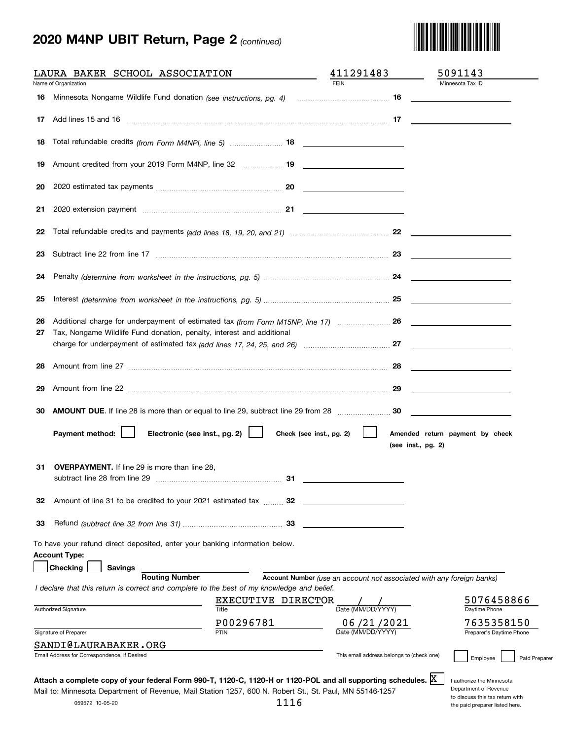# **2020 M4NP UBIT Return, Page 2** *(continued)*



|                      | LAURA BAKER SCHOOL ASSOCIATION                                                                        | <u>and the company of the company of the company of the company of the company of the company of the company of the company of the company of the company of the company of the company of the company of the company of the com</u> | 411291483                | 5091143                                                                                                                |
|----------------------|-------------------------------------------------------------------------------------------------------|--------------------------------------------------------------------------------------------------------------------------------------------------------------------------------------------------------------------------------------|--------------------------|------------------------------------------------------------------------------------------------------------------------|
|                      | Name of Organization                                                                                  |                                                                                                                                                                                                                                      | <b>FEIN</b>              | Minnesota Tax ID                                                                                                       |
|                      |                                                                                                       |                                                                                                                                                                                                                                      |                          |                                                                                                                        |
| 17                   | Add lines 15 and 16 <b>manual contract and 16</b> and 16 <b>manual contract and 17 17 17 17 17 11</b> |                                                                                                                                                                                                                                      |                          |                                                                                                                        |
| 18                   | Total refundable credits (from Form M4NPI, line 5)  18                                                |                                                                                                                                                                                                                                      |                          |                                                                                                                        |
| 19                   |                                                                                                       |                                                                                                                                                                                                                                      |                          |                                                                                                                        |
| 20                   |                                                                                                       |                                                                                                                                                                                                                                      |                          |                                                                                                                        |
| 21                   |                                                                                                       |                                                                                                                                                                                                                                      |                          |                                                                                                                        |
| 22                   |                                                                                                       |                                                                                                                                                                                                                                      |                          |                                                                                                                        |
| 23                   |                                                                                                       |                                                                                                                                                                                                                                      |                          |                                                                                                                        |
| 24                   |                                                                                                       |                                                                                                                                                                                                                                      |                          |                                                                                                                        |
| 25                   |                                                                                                       |                                                                                                                                                                                                                                      |                          |                                                                                                                        |
| 26<br>27             | Tax, Nongame Wildlife Fund donation, penalty, interest and additional                                 |                                                                                                                                                                                                                                      |                          |                                                                                                                        |
|                      |                                                                                                       |                                                                                                                                                                                                                                      |                          |                                                                                                                        |
| 28                   |                                                                                                       |                                                                                                                                                                                                                                      |                          | <u> Territoria de la contenentación de la contenentación de la contenentación de la contenentación de la contene</u>   |
| 29                   |                                                                                                       |                                                                                                                                                                                                                                      |                          |                                                                                                                        |
|                      |                                                                                                       |                                                                                                                                                                                                                                      |                          | <u> 1980 - John Stein, mars and de Branch and de Branch and de Branch and de Branch and de Branch and de Branch an</u> |
|                      |                                                                                                       |                                                                                                                                                                                                                                      |                          |                                                                                                                        |
|                      | Payment method:<br>Electronic (see inst., pg. 2)                                                      |                                                                                                                                                                                                                                      | Check (see inst., pg. 2) | Amended return payment by check<br>(see inst., pg. 2)                                                                  |
|                      | <b>OVERPAYMENT.</b> If line 29 is more than line 28,<br>subtract line 28 from line 29                 | 31                                                                                                                                                                                                                                   |                          |                                                                                                                        |
|                      | Amount of line 31 to be credited to your 2021 estimated tax  32                                       |                                                                                                                                                                                                                                      |                          |                                                                                                                        |
|                      |                                                                                                       |                                                                                                                                                                                                                                      |                          |                                                                                                                        |
|                      | To have your refund direct deposited, enter your banking information below.                           |                                                                                                                                                                                                                                      |                          |                                                                                                                        |
| 30<br>31<br>32<br>33 | <b>Account Type:</b><br>Checking<br><b>Savings</b>                                                    |                                                                                                                                                                                                                                      |                          |                                                                                                                        |
|                      | <b>Routing Number</b>                                                                                 |                                                                                                                                                                                                                                      |                          | Account Number (use an account not associated with any foreign banks)                                                  |
|                      | I declare that this return is correct and complete to the best of my knowledge and belief.            |                                                                                                                                                                                                                                      |                          |                                                                                                                        |
|                      | Authorized Signature                                                                                  | EXECUTIVE DIRECTOR<br>Title                                                                                                                                                                                                          | Date (MM/DD/YYYY)        | 5076458866<br>Daytime Phone                                                                                            |
|                      |                                                                                                       | P00296781                                                                                                                                                                                                                            | 06/21/2021               |                                                                                                                        |
|                      | Signature of Preparer<br>SANDI@LAURABAKER.ORG                                                         | PTIN                                                                                                                                                                                                                                 | Date (MM/DD/YYYY         | 7635358150<br>Preparer's Daytime Phone                                                                                 |

| <b>STATISTICS</b> |  |         |  |
|-------------------|--|---------|--|
|                   |  | ×<br>۰. |  |

Department of Revenue to discuss this tax return with the paid preparer listed here.